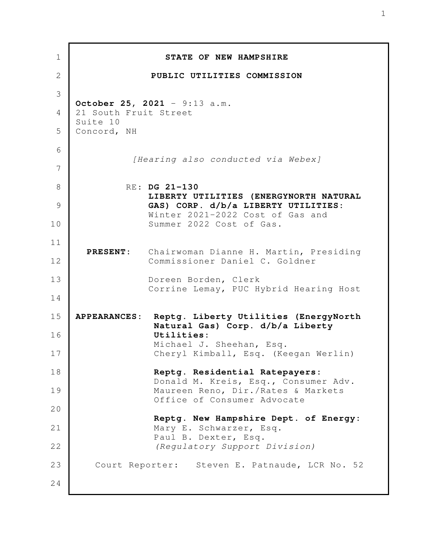| $\mathbf 1$    |                         | STATE OF NEW HAMPSHIRE                                                                 |
|----------------|-------------------------|----------------------------------------------------------------------------------------|
| $\overline{2}$ |                         | PUBLIC UTILITIES COMMISSION                                                            |
| 3              |                         |                                                                                        |
| 4              | 21 South Fruit Street   | October 25, 2021 - 9:13 a.m.                                                           |
| 5              | Suite 10<br>Concord, NH |                                                                                        |
| 6              |                         |                                                                                        |
| 7              |                         | [Hearing also conducted via Webex]                                                     |
| 8              |                         | RE: DG 21-130                                                                          |
| 9              |                         | LIBERTY UTILITIES (ENERGYNORTH NATURAL<br>GAS) CORP. d/b/a LIBERTY UTILITIES:          |
| 10             |                         | Winter 2021-2022 Cost of Gas and<br>Summer 2022 Cost of Gas.                           |
| 11             |                         |                                                                                        |
| 12             |                         | PRESENT: Chairwoman Dianne H. Martin, Presiding<br>Commissioner Daniel C. Goldner      |
| 13             |                         | Doreen Borden, Clerk<br>Corrine Lemay, PUC Hybrid Hearing Host                         |
| 14             |                         |                                                                                        |
| 15             |                         | APPEARANCES: Reptg. Liberty Utilities (EnergyNorth<br>Natural Gas) Corp. d/b/a Liberty |
| 16             |                         | Utilities:<br>Michael J. Sheehan, Esq.                                                 |
| 17             |                         | Cheryl Kimball, Esq. (Keegan Werlin)                                                   |
| 18             |                         | Reptg. Residential Ratepayers:                                                         |
| 19             |                         | Donald M. Kreis, Esq., Consumer Adv.<br>Maureen Reno, Dir./Rates & Markets             |
| 20             |                         | Office of Consumer Advocate                                                            |
| 21             |                         | Reptg. New Hampshire Dept. of Energy:<br>Mary E. Schwarzer, Esq.                       |
| 22             |                         | Paul B. Dexter, Esq.<br>(Regulatory Support Division)                                  |
|                |                         |                                                                                        |
| 23             |                         | Court Reporter: Steven E. Patnaude, LCR No. 52                                         |
| 24             |                         |                                                                                        |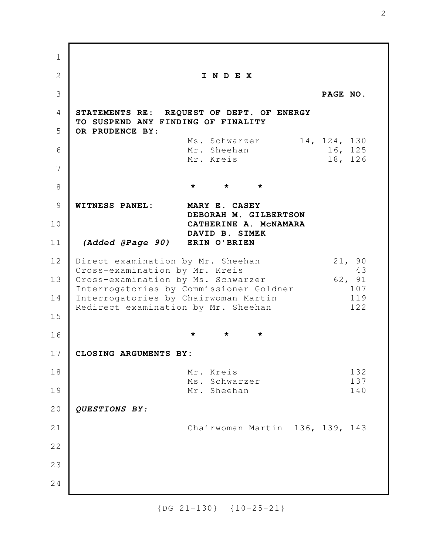**I N D E X PAGE NO. STATEMENTS RE: REQUEST OF DEPT. OF ENERGY TO SUSPEND ANY FINDING OF FINALITY OR PRUDENCE BY:**  Ms. Schwarzer 14, 124, 130 Mr. Sheehan 16, 125 Mr. Kreis 18, 126 **\* \* \* WITNESS PANEL: MARY E. CASEY DEBORAH M. GILBERTSON CATHERINE A. McNAMARA DAVID B. SIMEK** *(Added @Page 90)* **ERIN O'BRIEN** Direct examination by Mr. Sheehan 21, 90 Cross-examination by Mr. Kreis 43 Cross-examination by Ms. Schwarzer 62, 91 Interrogatories by Commissioner Goldner 107 Interrogatories by Chairwoman Martin 119 Redirect examination by Mr. Sheehan 122 **\* \* \* CLOSING ARGUMENTS BY:** Mr. Kreis 132 Ms. Schwarzer 137 Mr. Sheehan 140 *QUESTIONS BY:* Chairwoman Martin 136, 139, 143 1 2 3 4 5 6 7 8 9 10 11 12 13 14 15 16 17 18 19 20 21 22 23 24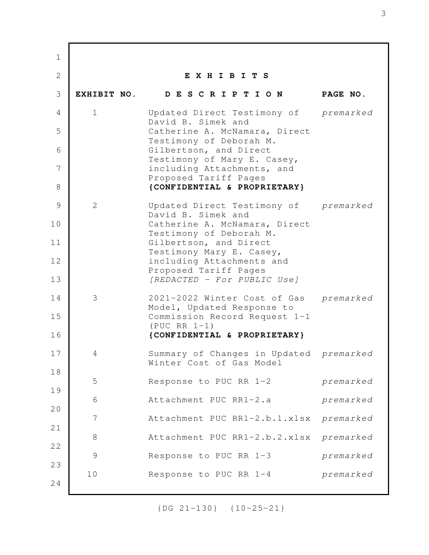**E X H I B I T S EXHIBIT NO. D E S C R I P T I O N PAGE NO.** 1 Updated Direct Testimony of *premarked* David B. Simek and Catherine A. McNamara, Direct Testimony of Deborah M. Gilbertson, and Direct Testimony of Mary E. Casey, including Attachments, and Proposed Tariff Pages **{CONFIDENTIAL & PROPRIETARY}** 2 Updated Direct Testimony of *premarked* David B. Simek and Catherine A. McNamara, Direct Testimony of Deborah M. Gilbertson, and Direct Testimony Mary E. Casey, including Attachments and Proposed Tariff Pages *[REDACTED - For PUBLIC Use]* 3 2021-2022 Winter Cost of Gas *premarked* Model, Updated Response to Commission Record Request 1-1 (PUC RR 1-1) **{CONFIDENTIAL & PROPRIETARY}** 4 Summary of Changes in Updated *premarked* Winter Cost of Gas Model 5 Response to PUC RR 1-2 *premarked* 6 Attachment PUC RR1-2.a *premarked* 7 Attachment PUC RR1-2.b.1.xlsx *premarked* 8 Attachment PUC RR1-2.b.2.xlsx *premarked* 9 Response to PUC RR 1-3 *premarked* 10 Response to PUC RR 1-4 *premarked* 1 2 3 4 5 6 7 8 9 10 11 12 13 14 15 16 17 18 19 20 21 22 23 24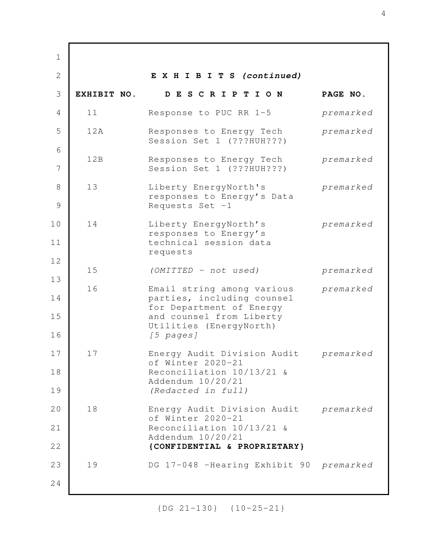**E X H I B I T S** *(continued)* **EXHIBIT NO. D E S C R I P T I O N PAGE NO.** 11 Response to PUC RR 1-5 *premarked* 12A Responses to Energy Tech *premarked* Session Set 1 (???HUH???) 12B Responses to Energy Tech *premarked* Session Set 1 (???HUH???) 13 Liberty EnergyNorth's *premarked* responses to Energy's Data Requests Set  $-1$  14 Liberty EnergyNorth's *premarked* responses to Energy's technical session data requests 15 *(OMITTED - not used) premarked* 16 Email string among various *premarked* parties, including counsel for Department of Energy and counsel from Liberty Utilities (EnergyNorth)  *[5 pages]* 17 Energy Audit Division Audit *premarked* of Winter 2020-21 Reconciliation 10/13/21 & Addendum 10/20/21 *(Redacted in full)* 18 Energy Audit Division Audit *premarked* of Winter 2020-21 Reconciliation 10/13/21 & Addendum 10/20/21 **{CONFIDENTIAL & PROPRIETARY}** 19 DG 17-048 –Hearing Exhibit 90 *premarked* 1 2 3 4 5 6 7 8 9 10 11 12 13 14 15 16 17 18 19 20 21 22 23 24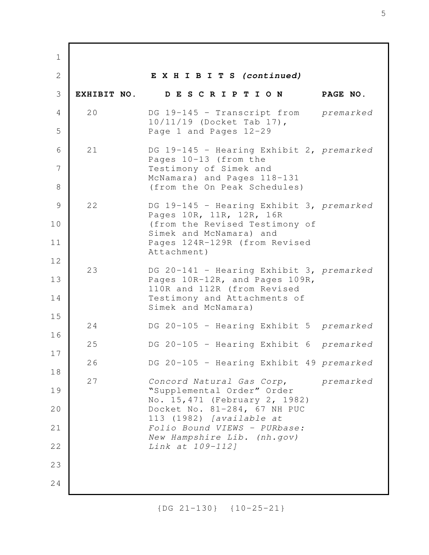**E X H I B I T S** *(continued)* **EXHIBIT NO. D E S C R I P T I O N PAGE NO.** 20 DG 19-145 – Transcript from *premarked* 10/11/19 (Docket Tab 17), Page 1 and Pages 12-29 21 DG 19-145 - Hearing Exhibit 2, *premarked* Pages 10-13 (from the Testimony of Simek and McNamara) and Pages 118-131 (from the On Peak Schedules) 22 DG 19-145 - Hearing Exhibit 3, *premarked* Pages 10R, 11R, 12R, 16R (from the Revised Testimony of Simek and McNamara) and Pages 124R-129R (from Revised Attachment) 23 DG 20-141 - Hearing Exhibit 3, *premarked* Pages 10R-12R, and Pages 109R, 110R and 112R (from Revised Testimony and Attachments of Simek and McNamara) 24 DG 20-105 - Hearing Exhibit 5 *premarked* 25 DG 20-105 - Hearing Exhibit 6 *premarked* 26 DG 20-105 - Hearing Exhibit 49 *premarked* 27 *Concord Natural Gas Corp*, *premarked* "Supplemental Order" Order No. 15,471 (February 2, 1982) Docket No. 81-284, 67 NH PUC 113 (1982) *[available at Folio Bound VIEWS - PURbase: New Hampshire Lib. (nh.gov) Link at 109-112]* 1 2 3 4 5 6 7 8 9 10 11 12 13 14 15 16 17 18 19 20 21 22 23 24

{DG 21-130} {10-25-21}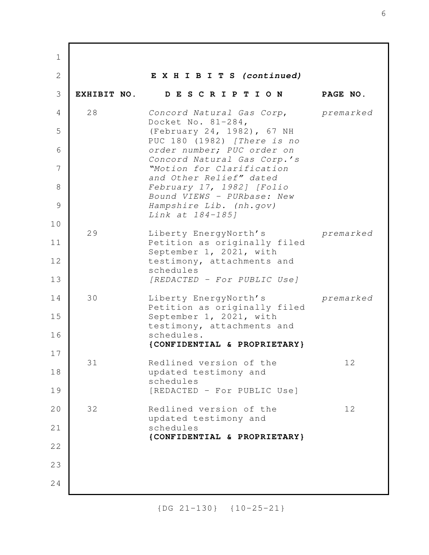**E X H I B I T S** *(continued)* **EXHIBIT NO. D E S C R I P T I O N PAGE NO.** 28 *Concord Natural Gas Corp*, *premarked* Docket No. 81-284, (February 24, 1982), 67 NH PUC 180 (1982) *[There is no order number; PUC order on Concord Natural Gas Corp.'s "Motion for Clarification and Other Relief" dated February 17, 1982] [Folio Bound VIEWS - PURbase: New Hampshire Lib. (nh.gov) Link at 184-185]* 29 Liberty EnergyNorth's *premarked* Petition as originally filed September 1, 2021, with testimony, attachments and schedules *[REDACTED - For PUBLIC Use]* 30 Liberty EnergyNorth's *premarked* Petition as originally filed September 1, 2021, with testimony, attachments and schedules. **{CONFIDENTIAL & PROPRIETARY}** 31 Redlined version of the 12 updated testimony and schedules [REDACTED - For PUBLIC Use] 32 Redlined version of the 12 updated testimony and schedules **{CONFIDENTIAL & PROPRIETARY}** 1 2 3 4 5 6 7 8 9 10 11 12 13 14 15 16 17 18 19 20 21 22 23 24

{DG 21-130} {10-25-21}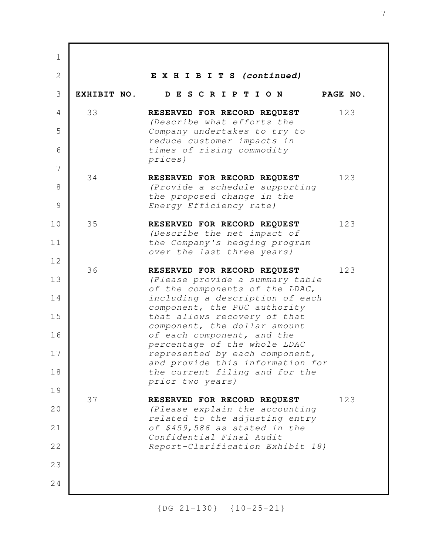| $\mathbf 1$    |             |                                                                    |          |
|----------------|-------------|--------------------------------------------------------------------|----------|
| $\overline{2}$ |             | EXHIBITS (continued)                                               |          |
| 3              | EXHIBIT NO. | DESCRIPTION                                                        | PAGE NO. |
| $\overline{4}$ | 33          | RESERVED FOR RECORD REQUEST<br>(Describe what efforts the          | 123      |
| 5              |             | Company undertakes to try to<br>reduce customer impacts in         |          |
| 6              |             | times of rising commodity<br>prices)                               |          |
| 7              | 34          | RESERVED FOR RECORD REQUEST                                        | 123      |
| 8              |             | (Provide a schedule supporting<br>the proposed change in the       |          |
| 9              |             | Energy Efficiency rate)                                            |          |
| 10             | 35          | RESERVED FOR RECORD REQUEST<br>(Describe the net impact of         | 123      |
| 11             |             | the Company's hedging program<br>over the last three years)        |          |
| 12             | 36          | RESERVED FOR RECORD REQUEST                                        | 123      |
| 13             |             | (Please provide a summary table<br>of the components of the LDAC,  |          |
| 14             |             | including a description of each<br>component, the PUC authority    |          |
| 15             |             | that allows recovery of that<br>component, the dollar amount       |          |
| 16             |             | of each component, and the<br>percentage of the whole LDAC         |          |
| 17             |             | represented by each component,<br>and provide this information for |          |
| 18             |             | the current filing and for the<br>prior two years)                 |          |
| 19             | 37          | RESERVED FOR RECORD REQUEST                                        | 123      |
| 20             |             | (Please explain the accounting<br>related to the adjusting entry   |          |
| 21             |             | of \$459,586 as stated in the<br>Confidential Final Audit          |          |
| 22             |             | Report-Clarification Exhibit 18)                                   |          |
| 23             |             |                                                                    |          |
| 24             |             |                                                                    |          |

{DG 21-130} {10-25-21}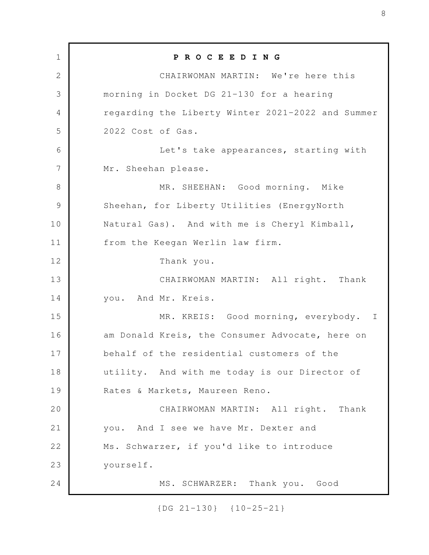**P R O C E E D I N G** CHAIRWOMAN MARTIN: We're here this morning in Docket DG 21-130 for a hearing regarding the Liberty Winter 2021-2022 and Summer 2022 Cost of Gas. Let's take appearances, starting with Mr. Sheehan please. MR. SHEEHAN: Good morning. Mike Sheehan, for Liberty Utilities (EnergyNorth Natural Gas). And with me is Cheryl Kimball, from the Keegan Werlin law firm. Thank you. CHAIRWOMAN MARTIN: All right. Thank you. And Mr. Kreis. MR. KREIS: Good morning, everybody. I am Donald Kreis, the Consumer Advocate, here on behalf of the residential customers of the utility. And with me today is our Director of Rates & Markets, Maureen Reno. CHAIRWOMAN MARTIN: All right. Thank you. And I see we have Mr. Dexter and Ms. Schwarzer, if you'd like to introduce yourself. MS. SCHWARZER: Thank you. Good 1 2 3 4 5 6 7 8 9 10 11 12 13 14 15 16 17 18 19 20 21 22 23 24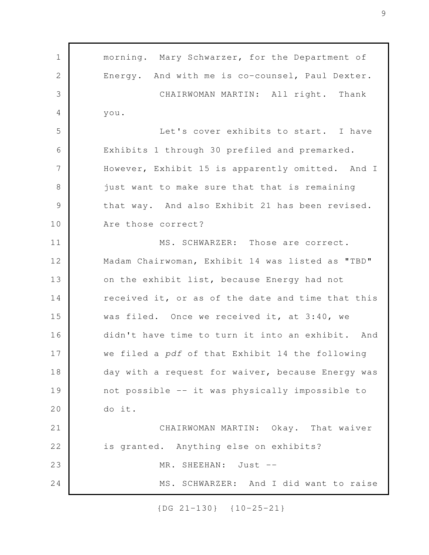morning. Mary Schwarzer, for the Department of Energy. And with me is co-counsel, Paul Dexter. CHAIRWOMAN MARTIN: All right. Thank you. Let's cover exhibits to start. I have Exhibits 1 through 30 prefiled and premarked. However, Exhibit 15 is apparently omitted. And I just want to make sure that that is remaining that way. And also Exhibit 21 has been revised. Are those correct? MS. SCHWARZER: Those are correct. Madam Chairwoman, Exhibit 14 was listed as "TBD" on the exhibit list, because Energy had not received it, or as of the date and time that this was filed. Once we received it, at 3:40, we didn't have time to turn it into an exhibit. And we filed a *pdf* of that Exhibit 14 the following day with a request for waiver, because Energy was not possible -- it was physically impossible to do it. CHAIRWOMAN MARTIN: Okay. That waiver is granted. Anything else on exhibits? MR. SHEEHAN: Just --MS. SCHWARZER: And I did want to raise 1 2 3 4 5 6 7 8 9 10 11 12 13 14 15 16 17 18 19 20 21 22 23 24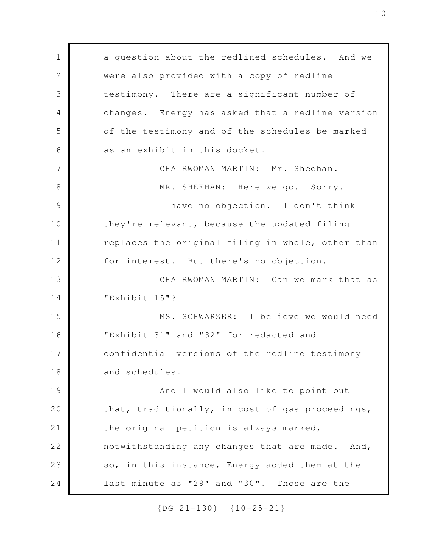a question about the redlined schedules. And we were also provided with a copy of redline testimony. There are a significant number of changes. Energy has asked that a redline version of the testimony and of the schedules be marked as an exhibit in this docket. CHAIRWOMAN MARTIN: Mr. Sheehan. MR. SHEEHAN: Here we go. Sorry. I have no objection. I don't think they're relevant, because the updated filing replaces the original filing in whole, other than for interest. But there's no objection. CHAIRWOMAN MARTIN: Can we mark that as "Exhibit 15"? MS. SCHWARZER: I believe we would need "Exhibit 31" and "32" for redacted and confidential versions of the redline testimony and schedules. And I would also like to point out that, traditionally, in cost of gas proceedings, the original petition is always marked, notwithstanding any changes that are made. And, so, in this instance, Energy added them at the last minute as "29" and "30". Those are the 1 2 3 4 5 6 7 8 9 10 11 12 13 14 15 16 17 18 19 20 21 22 23 24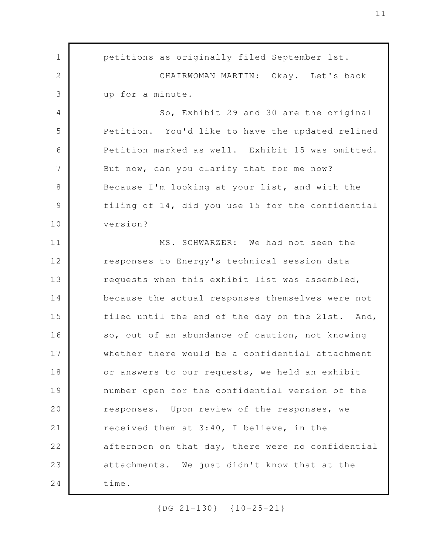petitions as originally filed September 1st. CHAIRWOMAN MARTIN: Okay. Let's back up for a minute. So, Exhibit 29 and 30 are the original Petition. You'd like to have the updated relined Petition marked as well. Exhibit 15 was omitted. But now, can you clarify that for me now? Because I'm looking at your list, and with the filing of 14, did you use 15 for the confidential version? MS. SCHWARZER: We had not seen the responses to Energy's technical session data requests when this exhibit list was assembled, because the actual responses themselves were not filed until the end of the day on the 21st. And, so, out of an abundance of caution, not knowing whether there would be a confidential attachment or answers to our requests, we held an exhibit number open for the confidential version of the responses. Upon review of the responses, we received them at 3:40, I believe, in the afternoon on that day, there were no confidential attachments. We just didn't know that at the time. 1 2 3 4 5 6 7 8 9 10 11 12 13 14 15 16 17 18 19 20 21 22 23 24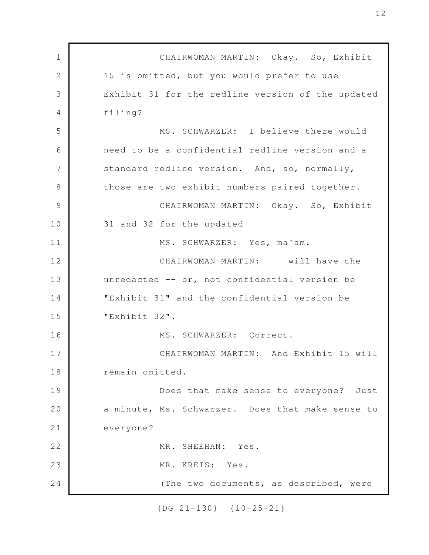CHAIRWOMAN MARTIN: Okay. So, Exhibit 15 is omitted, but you would prefer to use Exhibit 31 for the redline version of the updated filing? MS. SCHWARZER: I believe there would need to be a confidential redline version and a standard redline version. And, so, normally, those are two exhibit numbers paired together. CHAIRWOMAN MARTIN: Okay. So, Exhibit 31 and 32 for the updated -- MS. SCHWARZER: Yes, ma'am. CHAIRWOMAN MARTIN: -- will have the unredacted -- or, not confidential version be "Exhibit 31" and the confidential version be "Exhibit 32". MS. SCHWARZER: Correct. CHAIRWOMAN MARTIN: And Exhibit 15 will remain omitted. Does that make sense to everyone? Just a minute, Ms. Schwarzer. Does that make sense to everyone? MR. SHEEHAN: Yes. MR. KREIS: Yes. (The two documents, as described, were 1 2 3 4 5 6 7 8 9 10 11 12 13 14 15 16 17 18 19 20 21 22 23 24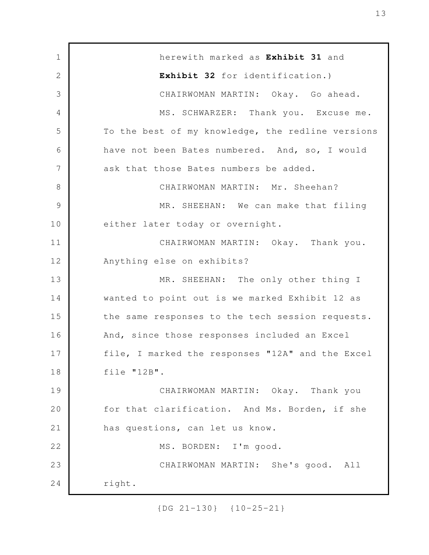herewith marked as **Exhibit 31** and **Exhibit 32** for identification.) CHAIRWOMAN MARTIN: Okay. Go ahead. MS. SCHWARZER: Thank you. Excuse me. To the best of my knowledge, the redline versions have not been Bates numbered. And, so, I would ask that those Bates numbers be added. CHAIRWOMAN MARTIN: Mr. Sheehan? MR. SHEEHAN: We can make that filing either later today or overnight. CHAIRWOMAN MARTIN: Okay. Thank you. Anything else on exhibits? MR. SHEEHAN: The only other thing I wanted to point out is we marked Exhibit 12 as the same responses to the tech session requests. And, since those responses included an Excel file, I marked the responses "12A" and the Excel file "12B". CHAIRWOMAN MARTIN: Okay. Thank you for that clarification. And Ms. Borden, if she has questions, can let us know. MS. BORDEN: I'm good. CHAIRWOMAN MARTIN: She's good. All right. 1 2 3 4 5 6 7 8 9 10 11 12 13 14 15 16 17 18 19 20 21 22 23 24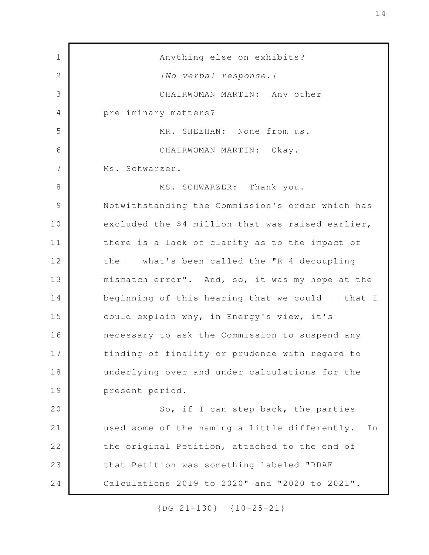Anything else on exhibits? *[No verbal response.]* CHAIRWOMAN MARTIN: Any other preliminary matters? MR. SHEEHAN: None from us. CHAIRWOMAN MARTIN: Okay. Ms. Schwarzer. MS. SCHWARZER: Thank you. Notwithstanding the Commission's order which has excluded the \$4 million that was raised earlier, there is a lack of clarity as to the impact of the -- what's been called the "R-4 decoupling mismatch error". And, so, it was my hope at the beginning of this hearing that we could -- that I could explain why, in Energy's view, it's necessary to ask the Commission to suspend any finding of finality or prudence with regard to underlying over and under calculations for the present period. So, if I can step back, the parties used some of the naming a little differently. In the original Petition, attached to the end of that Petition was something labeled "RDAF Calculations 2019 to 2020" and "2020 to 2021". 1 2 3 4 5 6 7 8 9 10 11 12 13 14 15 16 17 18 19 20 21 22 23 24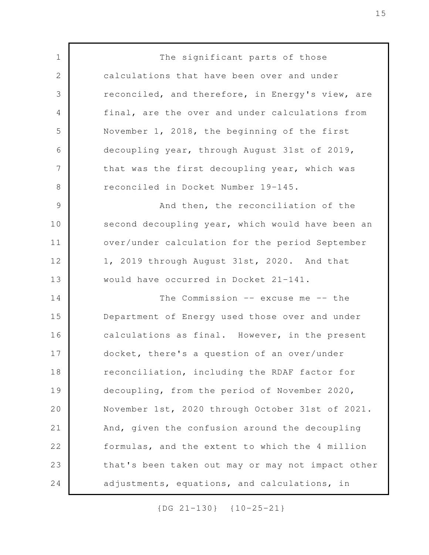The significant parts of those calculations that have been over and under reconciled, and therefore, in Energy's view, are final, are the over and under calculations from November 1, 2018, the beginning of the first decoupling year, through August 31st of 2019, that was the first decoupling year, which was reconciled in Docket Number 19-145. And then, the reconciliation of the second decoupling year, which would have been an over/under calculation for the period September 1, 2019 through August 31st, 2020. And that would have occurred in Docket 21-141. The Commission -- excuse me -- the Department of Energy used those over and under calculations as final. However, in the present docket, there's a question of an over/under reconciliation, including the RDAF factor for decoupling, from the period of November 2020, November 1st, 2020 through October 31st of 2021. And, given the confusion around the decoupling formulas, and the extent to which the 4 million that's been taken out may or may not impact other adjustments, equations, and calculations, in 1 2 3 4 5 6 7 8 9 10 11 12 13 14 15 16 17 18 19 20 21 22 23 24

{DG 21-130} {10-25-21}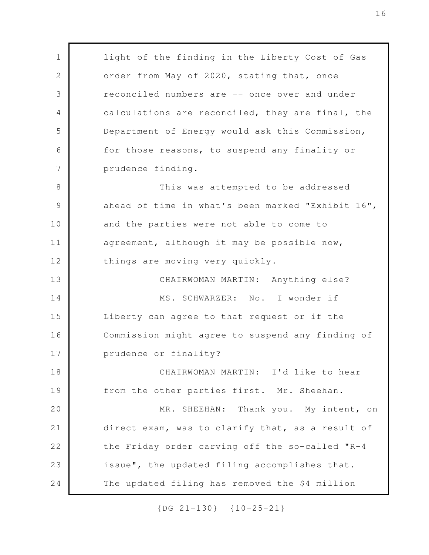light of the finding in the Liberty Cost of Gas order from May of 2020, stating that, once reconciled numbers are -- once over and under calculations are reconciled, they are final, the Department of Energy would ask this Commission, for those reasons, to suspend any finality or prudence finding. This was attempted to be addressed ahead of time in what's been marked "Exhibit 16", and the parties were not able to come to agreement, although it may be possible now, things are moving very quickly. CHAIRWOMAN MARTIN: Anything else? MS. SCHWARZER: No. I wonder if Liberty can agree to that request or if the Commission might agree to suspend any finding of prudence or finality? CHAIRWOMAN MARTIN: I'd like to hear from the other parties first. Mr. Sheehan. MR. SHEEHAN: Thank you. My intent, on direct exam, was to clarify that, as a result of the Friday order carving off the so-called "R-4 issue", the updated filing accomplishes that. The updated filing has removed the \$4 million 1 2 3 4 5 6 7 8 9 10 11 12 13 14 15 16 17 18 19 20 21 22 23 24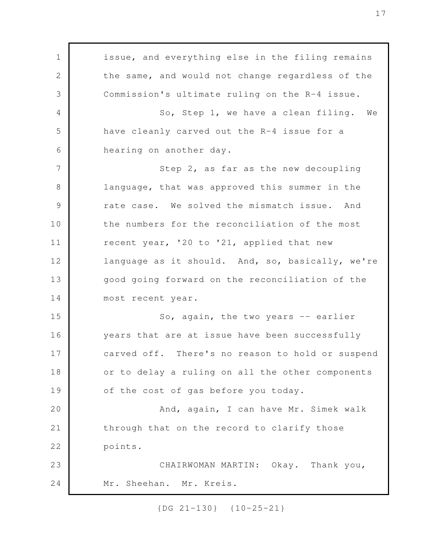issue, and everything else in the filing remains the same, and would not change regardless of the Commission's ultimate ruling on the R-4 issue. So, Step 1, we have a clean filing. We have cleanly carved out the R-4 issue for a hearing on another day. Step 2, as far as the new decoupling language, that was approved this summer in the rate case. We solved the mismatch issue. And the numbers for the reconciliation of the most recent year, '20 to '21, applied that new language as it should. And, so, basically, we're good going forward on the reconciliation of the most recent year. So, again, the two years -- earlier years that are at issue have been successfully carved off. There's no reason to hold or suspend or to delay a ruling on all the other components of the cost of gas before you today. And, again, I can have Mr. Simek walk through that on the record to clarify those points. CHAIRWOMAN MARTIN: Okay. Thank you, Mr. Sheehan. Mr. Kreis. 1 2 3 4 5 6 7 8 9 10 11 12 13 14 15 16 17 18 19 20 21 22 23 24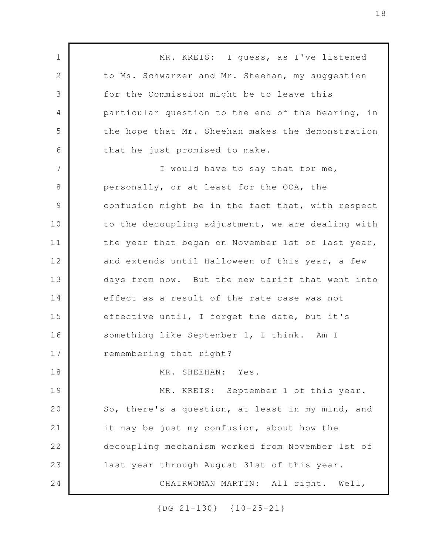MR. KREIS: I guess, as I've listened to Ms. Schwarzer and Mr. Sheehan, my suggestion for the Commission might be to leave this particular question to the end of the hearing, in the hope that Mr. Sheehan makes the demonstration that he just promised to make. I would have to say that for me, personally, or at least for the OCA, the confusion might be in the fact that, with respect to the decoupling adjustment, we are dealing with the year that began on November 1st of last year, and extends until Halloween of this year, a few days from now. But the new tariff that went into effect as a result of the rate case was not effective until, I forget the date, but it's something like September 1, I think. Am I remembering that right? MR. SHEEHAN: Yes. MR. KREIS: September 1 of this year. So, there's a question, at least in my mind, and it may be just my confusion, about how the decoupling mechanism worked from November 1st of last year through August 31st of this year. CHAIRWOMAN MARTIN: All right. Well, 1 2 3 4 5 6 7 8 9 10 11 12 13 14 15 16 17 18 19 20 21 22 23 24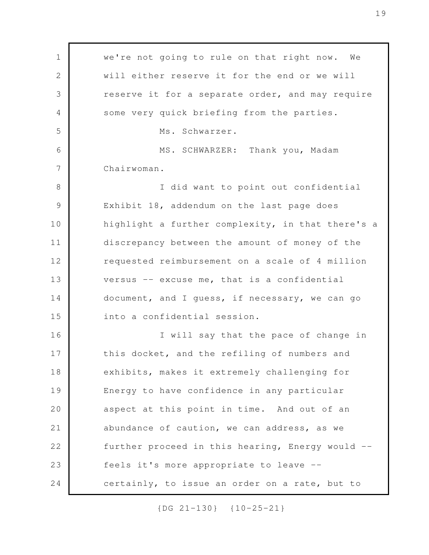we're not going to rule on that right now. We will either reserve it for the end or we will reserve it for a separate order, and may require some very quick briefing from the parties. Ms. Schwarzer. MS. SCHWARZER: Thank you, Madam Chairwoman. I did want to point out confidential Exhibit 18, addendum on the last page does highlight a further complexity, in that there's a discrepancy between the amount of money of the requested reimbursement on a scale of 4 million versus -- excuse me, that is a confidential document, and I guess, if necessary, we can go into a confidential session. I will say that the pace of change in this docket, and the refiling of numbers and exhibits, makes it extremely challenging for Energy to have confidence in any particular aspect at this point in time. And out of an abundance of caution, we can address, as we further proceed in this hearing, Energy would - feels it's more appropriate to leave - certainly, to issue an order on a rate, but to 1 2 3 4 5 6 7 8 9 10 11 12 13 14 15 16 17 18 19 20 21 22 23 24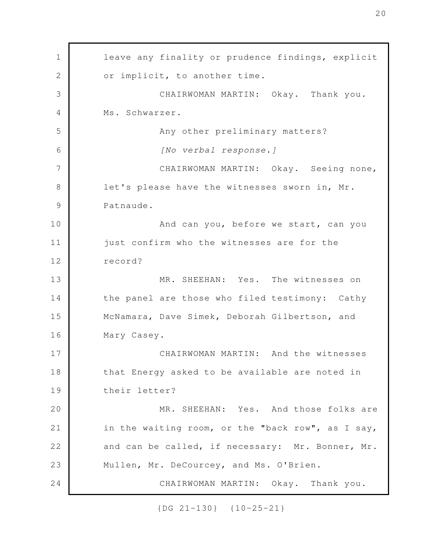leave any finality or prudence findings, explicit or implicit, to another time. CHAIRWOMAN MARTIN: Okay. Thank you. Ms. Schwarzer. Any other preliminary matters? *[No verbal response.]* CHAIRWOMAN MARTIN: Okay. Seeing none, let's please have the witnesses sworn in, Mr. Patnaude. And can you, before we start, can you just confirm who the witnesses are for the record? MR. SHEEHAN: Yes. The witnesses on the panel are those who filed testimony: Cathy McNamara, Dave Simek, Deborah Gilbertson, and Mary Casey. CHAIRWOMAN MARTIN: And the witnesses that Energy asked to be available are noted in their letter? MR. SHEEHAN: Yes. And those folks are in the waiting room, or the "back row", as I say, and can be called, if necessary: Mr. Bonner, Mr. Mullen, Mr. DeCourcey, and Ms. O'Brien. CHAIRWOMAN MARTIN: Okay. Thank you. 1 2 3 4 5 6 7 8 9 10 11 12 13 14 15 16 17 18 19 20 21 22 23 24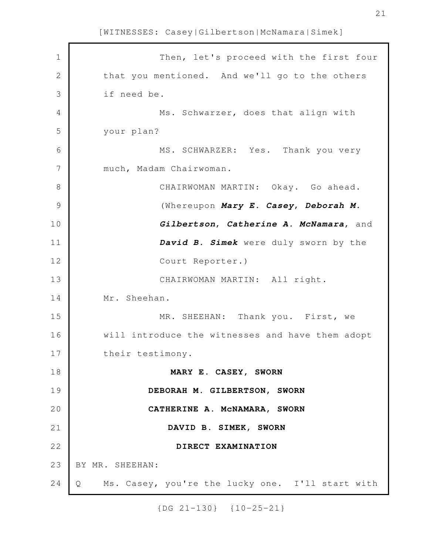Then, let's proceed with the first four that you mentioned. And we'll go to the others if need be. Ms. Schwarzer, does that align with your plan? MS. SCHWARZER: Yes. Thank you very much, Madam Chairwoman. CHAIRWOMAN MARTIN: Okay. Go ahead. (Whereupon *Mary E. Casey*, *Deborah M. Gilbertson*, *Catherine A. McNamara*, and *David B. Simek* were duly sworn by the Court Reporter.) CHAIRWOMAN MARTIN: All right. Mr. Sheehan. MR. SHEEHAN: Thank you. First, we will introduce the witnesses and have them adopt their testimony. **MARY E. CASEY, SWORN DEBORAH M. GILBERTSON, SWORN CATHERINE A. McNAMARA, SWORN DAVID B. SIMEK, SWORN DIRECT EXAMINATION** BY MR. SHEEHAN: Q Ms. Casey, you're the lucky one. I'll start with 1 2 3 4 5 6 7 8 9 10 11 12 13 14 15 16 17 18 19 20 21 22 23 24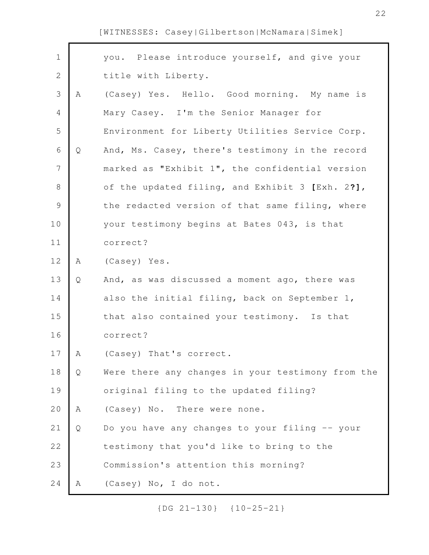| $\mathbf 1$   |   | you. Please introduce yourself, and give your     |
|---------------|---|---------------------------------------------------|
| 2             |   | title with Liberty.                               |
| 3             | Α | (Casey) Yes. Hello. Good morning. My name is      |
| 4             |   | Mary Casey. I'm the Senior Manager for            |
| 5             |   | Environment for Liberty Utilities Service Corp.   |
| 6             | Q | And, Ms. Casey, there's testimony in the record   |
| 7             |   | marked as "Exhibit 1", the confidential version   |
| $\,8\,$       |   | of the updated filing, and Exhibit 3 [Exh. 2?],   |
| $\mathcal{G}$ |   | the redacted version of that same filing, where   |
| 10            |   | your testimony begins at Bates 043, is that       |
| 11            |   | correct?                                          |
| 12            | Α | (Casey) Yes.                                      |
| 13            | Q | And, as was discussed a moment ago, there was     |
| 14            |   | also the initial filing, back on September 1,     |
| 15            |   | that also contained your testimony. Is that       |
| 16            |   | correct?                                          |
| 17            | A | (Casey) That's correct.                           |
| 18            | Q | Were there any changes in your testimony from the |
| 19            |   | original filing to the updated filing?            |
| 20            | Α | (Casey) No. There were none.                      |
| 21            | Q | Do you have any changes to your filing -- your    |
| 22            |   | testimony that you'd like to bring to the         |
| 23            |   | Commission's attention this morning?              |
| 24            | Α | (Casey) No, I do not.                             |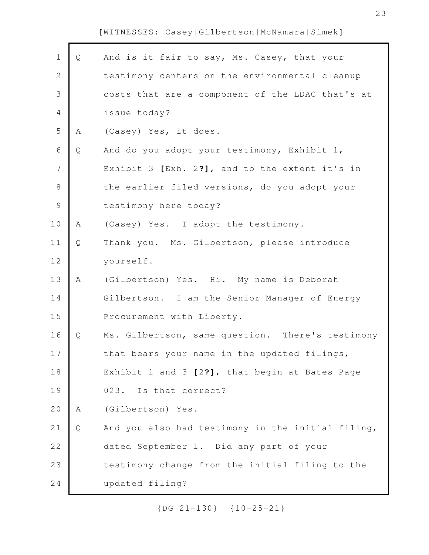Г

| $\mathbf 1$    | Q | And is it fair to say, Ms. Casey, that your       |
|----------------|---|---------------------------------------------------|
| $\mathbf{2}$   |   | testimony centers on the environmental cleanup    |
| 3              |   | costs that are a component of the LDAC that's at  |
| $\overline{4}$ |   | issue today?                                      |
| 5              | Α | (Casey) Yes, it does.                             |
| $\sqrt{6}$     | Q | And do you adopt your testimony, Exhibit 1,       |
| $\overline{7}$ |   | Exhibit 3 [Exh. 2?], and to the extent it's in    |
| $\,8\,$        |   | the earlier filed versions, do you adopt your     |
| $\mathcal{G}$  |   | testimony here today?                             |
| 10             | Α | (Casey) Yes. I adopt the testimony.               |
| 11             | Q | Thank you. Ms. Gilbertson, please introduce       |
| 12             |   | yourself.                                         |
| 13             | A | (Gilbertson) Yes. Hi. My name is Deborah          |
| 14             |   | Gilbertson. I am the Senior Manager of Energy     |
| 15             |   | Procurement with Liberty.                         |
| 16             | Q | Ms. Gilbertson, same question. There's testimony  |
| 17             |   | that bears your name in the updated filings,      |
| 18             |   | Exhibit 1 and 3 [2?], that begin at Bates Page    |
| 19             |   | 023. Is that correct?                             |
| 20             | Α | (Gilbertson) Yes.                                 |
| 21             | Q | And you also had testimony in the initial filing, |
| 22             |   | dated September 1. Did any part of your           |
| 23             |   | testimony change from the initial filing to the   |
| 24             |   | updated filing?                                   |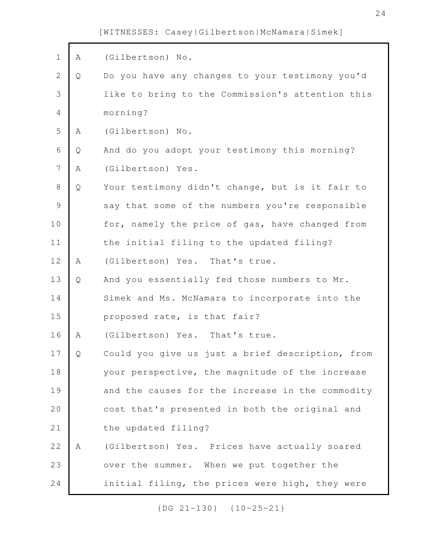| $1\,$          | Α | (Gilbertson) No.                                 |
|----------------|---|--------------------------------------------------|
| $\overline{2}$ | Q | Do you have any changes to your testimony you'd  |
| 3              |   | like to bring to the Commission's attention this |
| 4              |   | morning?                                         |
| 5              | Α | (Gilbertson) No.                                 |
| 6              | Q | And do you adopt your testimony this morning?    |
| $\overline{7}$ | Α | (Gilbertson) Yes.                                |
| $\,8\,$        | Q | Your testimony didn't change, but is it fair to  |
| $\mathcal{G}$  |   | say that some of the numbers you're responsible  |
| 10             |   | for, namely the price of gas, have changed from  |
| 11             |   | the initial filing to the updated filing?        |
| 12             | A | (Gilbertson) Yes. That's true.                   |
| 13             | Q | And you essentially fed those numbers to Mr.     |
| 14             |   | Simek and Ms. McNamara to incorporate into the   |
| 15             |   | proposed rate, is that fair?                     |
| 16             | A | (Gilbertson) Yes. That's true.                   |
| 17             | Q | Could you give us just a brief description, from |
| 18             |   | your perspective, the magnitude of the increase  |
| 19             |   | and the causes for the increase in the commodity |
| 20             |   | cost that's presented in both the original and   |
| 21             |   | the updated filing?                              |
| 22             | A | (Gilbertson) Yes. Prices have actually soared    |
| 23             |   | over the summer. When we put together the        |
| 24             |   | initial filing, the prices were high, they were  |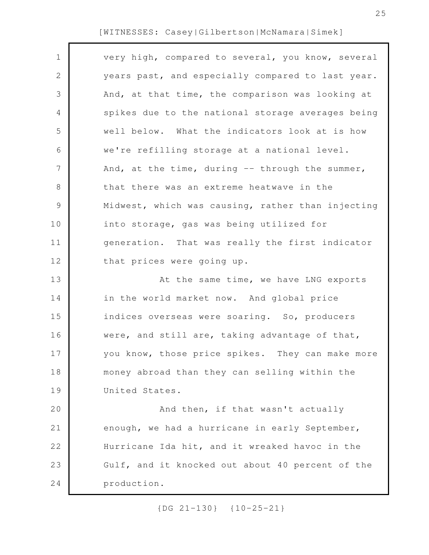| $\mathbf 1$    | very high, compared to several, you know, several |
|----------------|---------------------------------------------------|
| $\mathbf{2}$   | years past, and especially compared to last year. |
| 3              | And, at that time, the comparison was looking at  |
| 4              | spikes due to the national storage averages being |
| 5              | well below. What the indicators look at is how    |
| 6              | we're refilling storage at a national level.      |
| $\overline{7}$ | And, at the time, during -- through the summer,   |
| 8              | that there was an extreme heatwave in the         |
| 9              | Midwest, which was causing, rather than injecting |
| 10             | into storage, gas was being utilized for          |
| 11             | generation. That was really the first indicator   |
| 12             | that prices were going up.                        |
| 13             | At the same time, we have LNG exports             |
| 14             | in the world market now. And global price         |
| 15             | indices overseas were soaring. So, producers      |
| 16             | were, and still are, taking advantage of that,    |
| 17             | you know, those price spikes. They can make more  |
| 18             | money abroad than they can selling within the     |
| 19             | United States.                                    |
| 20             | And then, if that wasn't actually                 |
| 21             | enough, we had a hurricane in early September,    |
| 22             | Hurricane Ida hit, and it wreaked havoc in the    |
| 23             | Gulf, and it knocked out about 40 percent of the  |
| 24             | production.                                       |
|                |                                                   |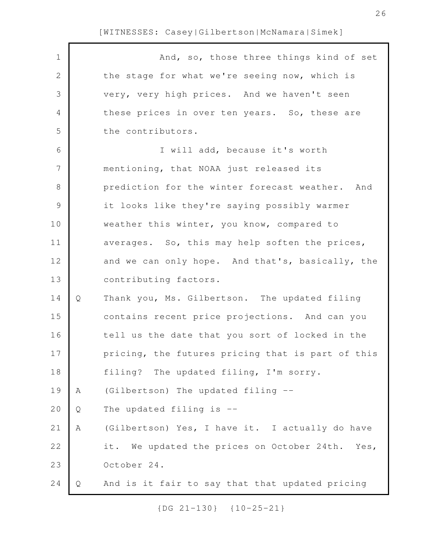| $\mathbf 1$    |              | And, so, those three things kind of set           |
|----------------|--------------|---------------------------------------------------|
| $\sqrt{2}$     |              | the stage for what we're seeing now, which is     |
| $\mathfrak{Z}$ |              | very, very high prices. And we haven't seen       |
| $\overline{4}$ |              | these prices in over ten years. So, these are     |
| 5              |              | the contributors.                                 |
| 6              |              | I will add, because it's worth                    |
| 7              |              | mentioning, that NOAA just released its           |
| $\,8\,$        |              | prediction for the winter forecast weather. And   |
| $\mathcal{G}$  |              | it looks like they're saying possibly warmer      |
| 10             |              | weather this winter, you know, compared to        |
| 11             |              | averages. So, this may help soften the prices,    |
| 12             |              | and we can only hope. And that's, basically, the  |
| 13             |              | contributing factors.                             |
| 14             | Q            | Thank you, Ms. Gilbertson. The updated filing     |
| 15             |              | contains recent price projections. And can you    |
| 16             |              | tell us the date that you sort of locked in the   |
| 17             |              | pricing, the futures pricing that is part of this |
| 18             |              | filing? The updated filing, I'm sorry.            |
| 19             | Α            | (Gilbertson) The updated filing --                |
| 20             | Q            | The updated filing is --                          |
| 21             | $\, {\bf A}$ | (Gilbertson) Yes, I have it. I actually do have   |
| 22             |              | it. We updated the prices on October 24th. Yes,   |
| 23             |              | October 24.                                       |
| 24             | Q            | And is it fair to say that that updated pricing   |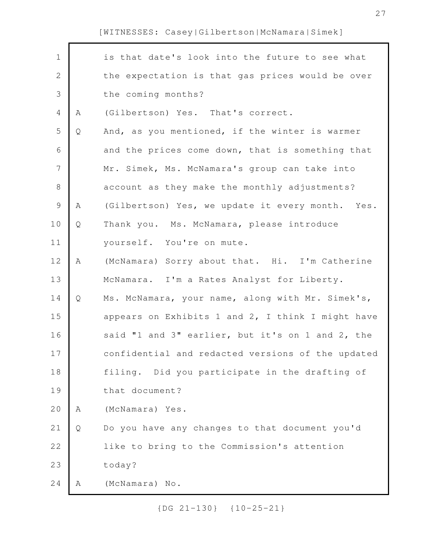| $\mathbf 1$    |   | is that date's look into the future to see what   |
|----------------|---|---------------------------------------------------|
| $\sqrt{2}$     |   | the expectation is that gas prices would be over  |
| $\mathfrak{Z}$ |   | the coming months?                                |
| $\overline{4}$ | Α | (Gilbertson) Yes. That's correct.                 |
| 5              | Q | And, as you mentioned, if the winter is warmer    |
| 6              |   | and the prices come down, that is something that  |
| $\overline{7}$ |   | Mr. Simek, Ms. McNamara's group can take into     |
| $\,8\,$        |   | account as they make the monthly adjustments?     |
| $\mathcal{G}$  | Α | (Gilbertson) Yes, we update it every month. Yes.  |
| 10             | Q | Thank you. Ms. McNamara, please introduce         |
| 11             |   | yourself. You're on mute.                         |
| 12             | A | (McNamara) Sorry about that. Hi. I'm Catherine    |
| 13             |   | McNamara. I'm a Rates Analyst for Liberty.        |
| 14             | Q | Ms. McNamara, your name, along with Mr. Simek's,  |
| 15             |   | appears on Exhibits 1 and 2, I think I might have |
| 16             |   | said "1 and 3" earlier, but it's on 1 and 2, the  |
| 17             |   | confidential and redacted versions of the updated |
| 18             |   | filing. Did you participate in the drafting of    |
| 19             |   | that document?                                    |
| 20             | Α | (McNamara) Yes.                                   |
| 21             | Q | Do you have any changes to that document you'd    |
| 22             |   | like to bring to the Commission's attention       |
| 23             |   | today?                                            |
| 24             | Α | (McNamara) No.                                    |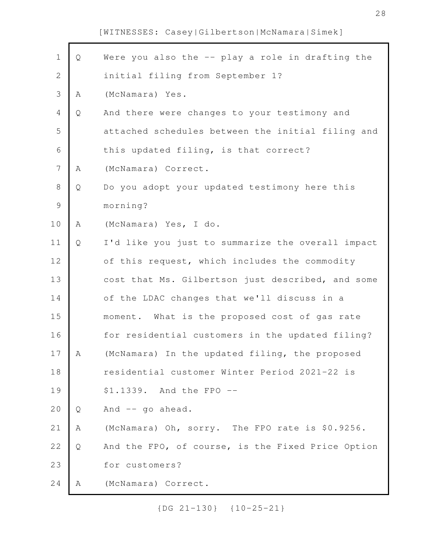| $\mathbf 1$    | Q | Were you also the -- play a role in drafting the  |
|----------------|---|---------------------------------------------------|
| $\mathbf{2}$   |   | initial filing from September 1?                  |
| $\mathcal{S}$  | Α | (McNamara) Yes.                                   |
| $\overline{4}$ | Q | And there were changes to your testimony and      |
| 5              |   | attached schedules between the initial filing and |
| 6              |   | this updated filing, is that correct?             |
| $\overline{7}$ | Α | (McNamara) Correct.                               |
| $\,8\,$        | Q | Do you adopt your updated testimony here this     |
| $\mathcal{G}$  |   | morning?                                          |
| 10             | Α | (McNamara) Yes, I do.                             |
| 11             | Q | I'd like you just to summarize the overall impact |
| 12             |   | of this request, which includes the commodity     |
| 13             |   | cost that Ms. Gilbertson just described, and some |
| 14             |   | of the LDAC changes that we'll discuss in a       |
| 15             |   | moment. What is the proposed cost of gas rate     |
| 16             |   | for residential customers in the updated filing?  |
| $17$           | A | (McNamara) In the updated filing, the proposed    |
| 18             |   | residential customer Winter Period 2021-22 is     |
| 19             |   | \$1.1339. And the FPO --                          |
| 20             | Q | And -- go ahead.                                  |
| 21             | Α | (McNamara) Oh, sorry. The FPO rate is \$0.9256.   |
| 22             | Q | And the FPO, of course, is the Fixed Price Option |
| 23             |   | for customers?                                    |
| 24             | Α | (McNamara) Correct.                               |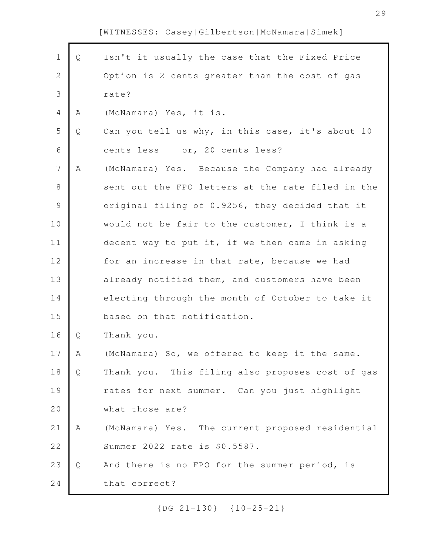Г

| $\mathbf 1$    | Q | Isn't it usually the case that the Fixed Price    |
|----------------|---|---------------------------------------------------|
| $\sqrt{2}$     |   | Option is 2 cents greater than the cost of gas    |
| $\mathfrak{Z}$ |   | rate?                                             |
| $\overline{4}$ | Α | (McNamara) Yes, it is.                            |
| 5              | Q | Can you tell us why, in this case, it's about 10  |
| $\sqrt{6}$     |   | cents less -- or, 20 cents less?                  |
| $\overline{7}$ | Α | (McNamara) Yes. Because the Company had already   |
| $\,8\,$        |   | sent out the FPO letters at the rate filed in the |
| $\mathcal{G}$  |   | original filing of 0.9256, they decided that it   |
| 10             |   | would not be fair to the customer, I think is a   |
| 11             |   | decent way to put it, if we then came in asking   |
| 12             |   | for an increase in that rate, because we had      |
| 13             |   | already notified them, and customers have been    |
| 14             |   | electing through the month of October to take it  |
| 15             |   | based on that notification.                       |
| 16             | Q | Thank you.                                        |
| 17             | Α | (McNamara) So, we offered to keep it the same.    |
| 18             | Q | Thank you. This filing also proposes cost of gas  |
| 19             |   | rates for next summer. Can you just highlight     |
| 20             |   | what those are?                                   |
| 21             | Α | (McNamara) Yes. The current proposed residential  |
| 22             |   | Summer 2022 rate is \$0.5587.                     |
| 23             | Q | And there is no FPO for the summer period, is     |
| 24             |   | that correct?                                     |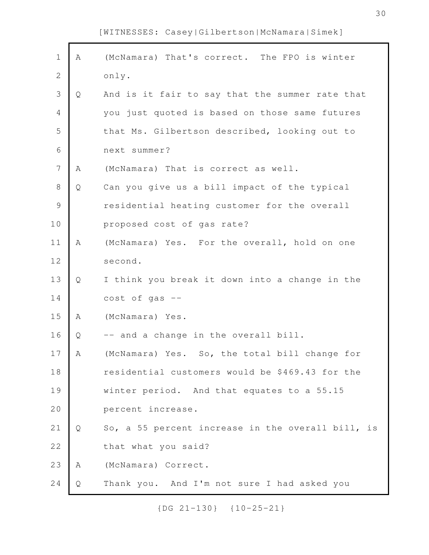| $\mathbf 1$    | Α | (McNamara) That's correct. The FPO is winter      |
|----------------|---|---------------------------------------------------|
| $\mathbf 2$    |   | only.                                             |
| 3              | Q | And is it fair to say that the summer rate that   |
| $\overline{4}$ |   | you just quoted is based on those same futures    |
| 5              |   | that Ms. Gilbertson described, looking out to     |
| 6              |   | next summer?                                      |
| $\overline{7}$ | Α | (McNamara) That is correct as well.               |
| $\,8\,$        | Q | Can you give us a bill impact of the typical      |
| $\mathcal{G}$  |   | residential heating customer for the overall      |
| 10             |   | proposed cost of gas rate?                        |
| 11             | Α | (McNamara) Yes. For the overall, hold on one      |
| 12             |   | second.                                           |
| 13             | Q | I think you break it down into a change in the    |
| 14             |   | $cost$ of gas $--$                                |
| 15             | Α | (McNamara) Yes.                                   |
| 16             | Q | -- and a change in the overall bill.              |
| 17             | Α | (McNamara) Yes. So, the total bill change for     |
| 18             |   | residential customers would be \$469.43 for the   |
| 19             |   | winter period. And that equates to a 55.15        |
| 20             |   | percent increase.                                 |
| 21             | Q | So, a 55 percent increase in the overall bill, is |
| 22             |   | that what you said?                               |
| 23             | Α | (McNamara) Correct.                               |
| 24             | Q | Thank you. And I'm not sure I had asked you       |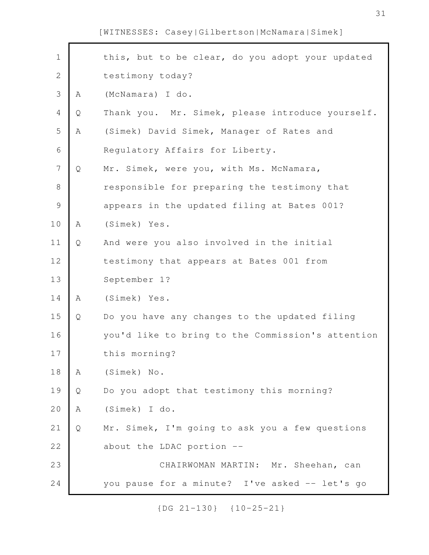| $\mathbf 1$    |   | this, but to be clear, do you adopt your updated  |
|----------------|---|---------------------------------------------------|
| $\mathbf 2$    |   | testimony today?                                  |
| 3              | Α | (McNamara) I do.                                  |
| $\overline{4}$ | Q | Thank you. Mr. Simek, please introduce yourself.  |
| 5              | Α | (Simek) David Simek, Manager of Rates and         |
| $\epsilon$     |   | Regulatory Affairs for Liberty.                   |
| $\overline{7}$ | Q | Mr. Simek, were you, with Ms. McNamara,           |
| $\,8\,$        |   | responsible for preparing the testimony that      |
| $\mathcal{G}$  |   | appears in the updated filing at Bates 001?       |
| 10             | Α | (Simek) Yes.                                      |
| 11             | Q | And were you also involved in the initial         |
| 12             |   | testimony that appears at Bates 001 from          |
| 13             |   | September 1?                                      |
| 14             | Α | (Simek) Yes.                                      |
| 15             | Q | Do you have any changes to the updated filing     |
| 16             |   | you'd like to bring to the Commission's attention |
| 17             |   | this morning?                                     |
| 18             | Α | (Simek) No.                                       |
| 19             | Q | Do you adopt that testimony this morning?         |
| 20             | Α | (Simek) I do.                                     |
| 21             | Q | Mr. Simek, I'm going to ask you a few questions   |
| 22             |   | about the LDAC portion --                         |
| 23             |   | CHAIRWOMAN MARTIN: Mr. Sheehan, can               |
| 24             |   | you pause for a minute? I've asked -- let's go    |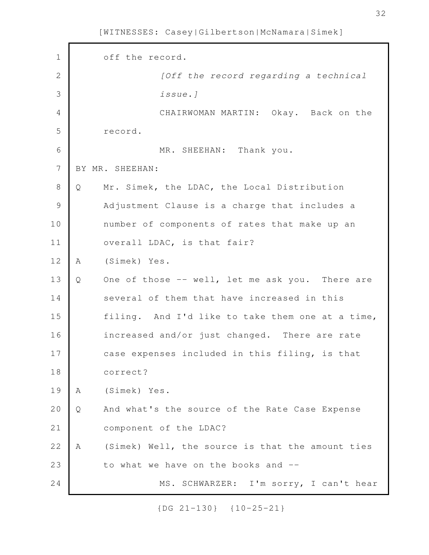off the record. *[Off the record regarding a technical issue.]* CHAIRWOMAN MARTIN: Okay. Back on the record. MR. SHEEHAN: Thank you. BY MR. SHEEHAN: Q Mr. Simek, the LDAC, the Local Distribution Adjustment Clause is a charge that includes a number of components of rates that make up an overall LDAC, is that fair? A (Simek) Yes. Q One of those -- well, let me ask you. There are several of them that have increased in this filing. And I'd like to take them one at a time, increased and/or just changed. There are rate case expenses included in this filing, is that correct? A (Simek) Yes. Q And what's the source of the Rate Case Expense component of the LDAC? A (Simek) Well, the source is that the amount ties to what we have on the books and -- MS. SCHWARZER: I'm sorry, I can't hear 1 2 3 4 5 6 7 8 9 10 11 12 13 14 15 16 17 18 19 20 21 22 23 24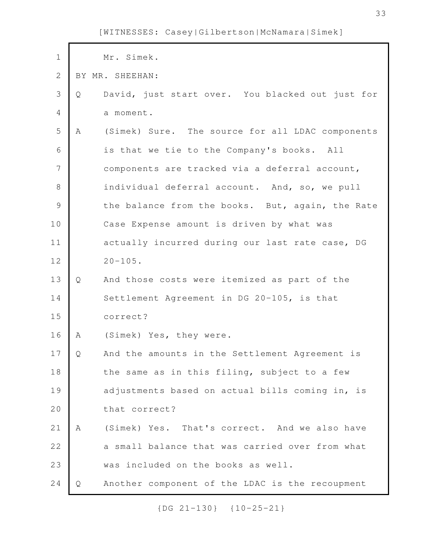| $\mathbf 1$    |   | Mr. Simek.                                       |
|----------------|---|--------------------------------------------------|
| $\mathbf{2}$   |   | BY MR. SHEEHAN:                                  |
| 3              | Q | David, just start over. You blacked out just for |
| $\overline{4}$ |   | a moment.                                        |
| 5              | A | (Simek) Sure. The source for all LDAC components |
| 6              |   | is that we tie to the Company's books. All       |
| $\overline{7}$ |   | components are tracked via a deferral account,   |
| $\,8\,$        |   | individual deferral account. And, so, we pull    |
| $\mathcal{G}$  |   | the balance from the books. But, again, the Rate |
| 10             |   | Case Expense amount is driven by what was        |
| 11             |   | actually incurred during our last rate case, DG  |
| 12             |   | $20 - 105$ .                                     |
| 13             | Q | And those costs were itemized as part of the     |
| 14             |   | Settlement Agreement in DG 20-105, is that       |
| 15             |   | correct?                                         |
| 16             | Α | (Simek) Yes, they were.                          |
| 17             | Q | And the amounts in the Settlement Agreement is   |
| 18             |   | the same as in this filing, subject to a few     |
| 19             |   | adjustments based on actual bills coming in, is  |
| 20             |   | that correct?                                    |
| 21             | A | (Simek) Yes. That's correct. And we also have    |
| 22             |   | a small balance that was carried over from what  |
| 23             |   | was included on the books as well.               |
| 24             | Q | Another component of the LDAC is the recoupment  |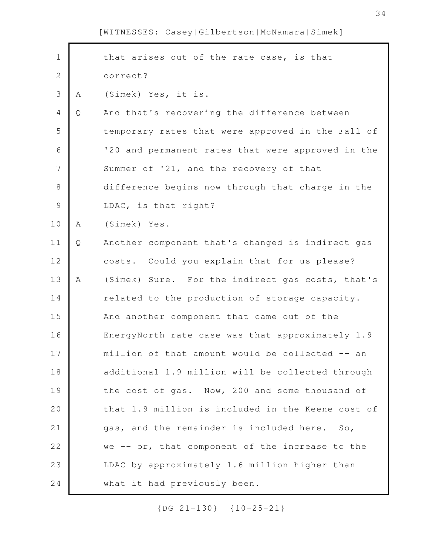| $\mathbf 1$    |   | that arises out of the rate case, is that         |
|----------------|---|---------------------------------------------------|
|                |   |                                                   |
| $\overline{2}$ |   | correct?                                          |
| 3              | Α | (Simek) Yes, it is.                               |
| $\overline{4}$ | Q | And that's recovering the difference between      |
| 5              |   | temporary rates that were approved in the Fall of |
| 6              |   | '20 and permanent rates that were approved in the |
| $\overline{7}$ |   | Summer of '21, and the recovery of that           |
| $8\,$          |   | difference begins now through that charge in the  |
| $\mathcal{G}$  |   | LDAC, is that right?                              |
| 10             | Α | (Simek) Yes.                                      |
| 11             | Q | Another component that's changed is indirect gas  |
| 12             |   | costs. Could you explain that for us please?      |
| 13             | Α | (Simek) Sure. For the indirect gas costs, that's  |
| 14             |   | related to the production of storage capacity.    |
| 15             |   | And another component that came out of the        |
| 16             |   | EnergyNorth rate case was that approximately 1.9  |
| 17             |   | million of that amount would be collected -- an   |
| 18             |   | additional 1.9 million will be collected through  |
| 19             |   | the cost of gas. Now, 200 and some thousand of    |
| 20             |   | that 1.9 million is included in the Keene cost of |
| 21             |   | gas, and the remainder is included here. So,      |
| 22             |   | we -- or, that component of the increase to the   |
| 23             |   | LDAC by approximately 1.6 million higher than     |
| 24             |   | what it had previously been.                      |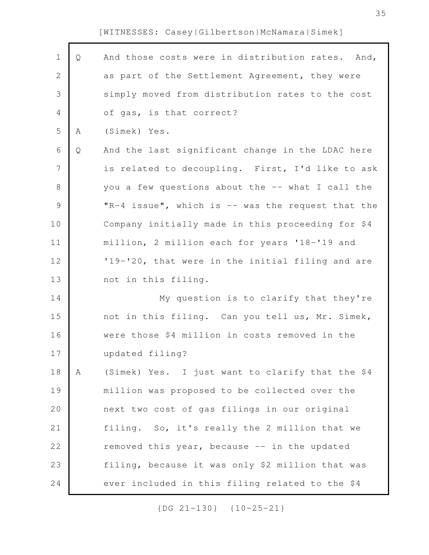Г

| $\mathbf 1$  | Q | And those costs were in distribution rates. And,  |
|--------------|---|---------------------------------------------------|
| $\mathbf{2}$ |   | as part of the Settlement Agreement, they were    |
| 3            |   | simply moved from distribution rates to the cost  |
| 4            |   | of gas, is that correct?                          |
| 5            | Α | (Simek) Yes.                                      |
| 6            | Q | And the last significant change in the LDAC here  |
| 7            |   | is related to decoupling. First, I'd like to ask  |
| 8            |   | you a few questions about the -- what I call the  |
| $\mathsf 9$  |   | "R-4 issue", which is -- was the request that the |
| 10           |   | Company initially made in this proceeding for \$4 |
| 11           |   | million, 2 million each for years '18-'19 and     |
| 12           |   | '19-'20, that were in the initial filing and are  |
| 13           |   | not in this filing.                               |
| 14           |   | My question is to clarify that they're            |
| 15           |   | not in this filing. Can you tell us, Mr. Simek,   |
| 16           |   | were those \$4 million in costs removed in the    |
| 17           |   | updated filing?                                   |
| 18           | Α | (Simek) Yes. I just want to clarify that the \$4  |
| 19           |   | million was proposed to be collected over the     |
| 20           |   | next two cost of gas filings in our original      |
| 21           |   | filing. So, it's really the 2 million that we     |
| 22           |   | removed this year, because -- in the updated      |
| 23           |   | filing, because it was only \$2 million that was  |
| 24           |   | ever included in this filing related to the \$4   |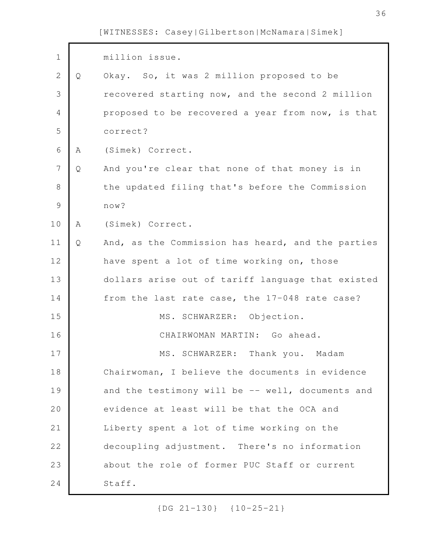| $\mathbf 1$    |   | million issue.                                    |
|----------------|---|---------------------------------------------------|
| $\mathbf{2}$   | Q | Okay. So, it was 2 million proposed to be         |
| 3              |   | recovered starting now, and the second 2 million  |
| $\overline{4}$ |   | proposed to be recovered a year from now, is that |
| 5              |   | correct?                                          |
| $6\,$          | A | (Simek) Correct.                                  |
| 7              | Q | And you're clear that none of that money is in    |
| $\,8\,$        |   | the updated filing that's before the Commission   |
| $\mathcal{G}$  |   | now?                                              |
| 10             | Α | (Simek) Correct.                                  |
| 11             | Q | And, as the Commission has heard, and the parties |
| 12             |   | have spent a lot of time working on, those        |
| 13             |   | dollars arise out of tariff language that existed |
| 14             |   | from the last rate case, the 17-048 rate case?    |
| 15             |   | MS. SCHWARZER: Objection.                         |
| 16             |   | CHAIRWOMAN MARTIN: Go ahead.                      |
| 17             |   | MS. SCHWARZER:<br>Thank you. Madam                |
| 18             |   | Chairwoman, I believe the documents in evidence   |
| 19             |   | and the testimony will be -- well, documents and  |
| 20             |   | evidence at least will be that the OCA and        |
| 21             |   | Liberty spent a lot of time working on the        |
| 22             |   | decoupling adjustment. There's no information     |
| 23             |   | about the role of former PUC Staff or current     |
| 24             |   | Staff.                                            |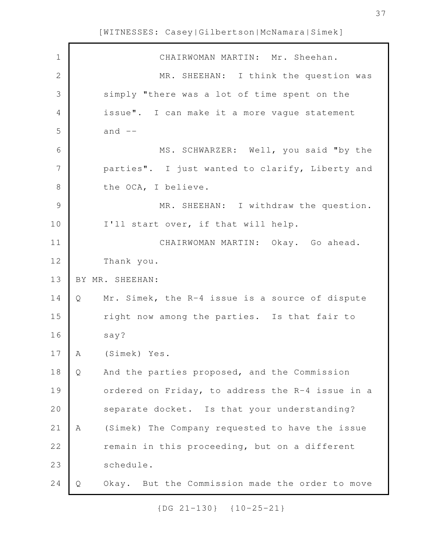| $\mathbf 1$    |   | CHAIRWOMAN MARTIN: Mr. Sheehan.                  |
|----------------|---|--------------------------------------------------|
| $\mathbf{2}$   |   | MR. SHEEHAN: I think the question was            |
| 3              |   | simply "there was a lot of time spent on the     |
| $\overline{4}$ |   | issue". I can make it a more vague statement     |
| 5              |   | and $--$                                         |
| $\sqrt{6}$     |   | MS. SCHWARZER: Well, you said "by the            |
| 7              |   | parties". I just wanted to clarify, Liberty and  |
| $\,8\,$        |   | the OCA, I believe.                              |
| $\mathcal{G}$  |   | MR. SHEEHAN: I withdraw the question.            |
| 10             |   | I'll start over, if that will help.              |
| 11             |   | CHAIRWOMAN MARTIN: Okay. Go ahead.               |
| 12             |   | Thank you.                                       |
|                |   |                                                  |
| 13             |   | BY MR. SHEEHAN:                                  |
| 14             | Q | Mr. Simek, the R-4 issue is a source of dispute  |
| 15             |   | right now among the parties. Is that fair to     |
| 16             |   | say?                                             |
| 17             | A | (Simek) Yes.                                     |
| 18             | Q | And the parties proposed, and the Commission     |
| 19             |   | ordered on Friday, to address the R-4 issue in a |
| 20             |   | separate docket. Is that your understanding?     |
| 21             | Α | (Simek) The Company requested to have the issue  |
| 22             |   | remain in this proceeding, but on a different    |
| 23             |   | schedule.                                        |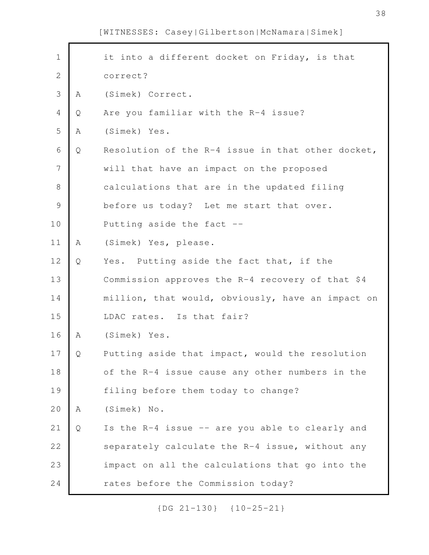| $1\,$          |              | it into a different docket on Friday, is that     |
|----------------|--------------|---------------------------------------------------|
| $\mathbf{2}$   |              | correct?                                          |
| 3              | Α            | (Simek) Correct.                                  |
| $\overline{4}$ | Q            | Are you familiar with the R-4 issue?              |
| 5              | Α            | (Simek) Yes.                                      |
| $\sqrt{6}$     | $\mathsf{Q}$ | Resolution of the R-4 issue in that other docket, |
| $\overline{7}$ |              | will that have an impact on the proposed          |
| $\,8\,$        |              | calculations that are in the updated filing       |
| $\mathcal{G}$  |              | before us today? Let me start that over.          |
| 10             |              | Putting aside the fact --                         |
| 11             | Α            | (Simek) Yes, please.                              |
| 12             | Q            | Yes. Putting aside the fact that, if the          |
| 13             |              | Commission approves the R-4 recovery of that \$4  |
| 14             |              | million, that would, obviously, have an impact on |
| 15             |              | LDAC rates. Is that fair?                         |
| 16             | Α            | (Simek) Yes.                                      |
| 17             | Q            | Putting aside that impact, would the resolution   |
| 18             |              | of the R-4 issue cause any other numbers in the   |
| 19             |              | filing before them today to change?               |
| 20             | Α            | (Simek) No.                                       |
| 21             | Q            | Is the R-4 issue -- are you able to clearly and   |
| 22             |              | separately calculate the R-4 issue, without any   |
| 23             |              | impact on all the calculations that go into the   |
| 24             |              | rates before the Commission today?                |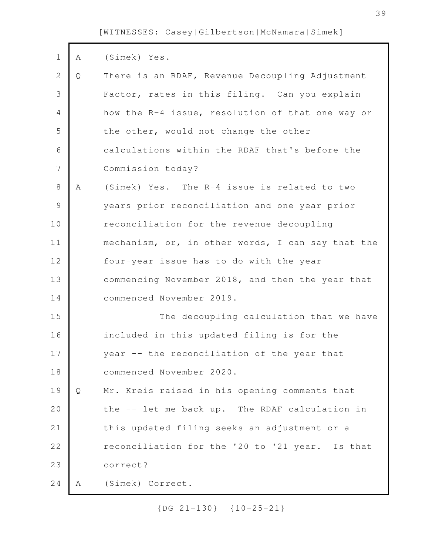| $\mathbf 1$    | Α | (Simek) Yes.                                      |
|----------------|---|---------------------------------------------------|
| $\overline{2}$ | Q | There is an RDAF, Revenue Decoupling Adjustment   |
| 3              |   | Factor, rates in this filing. Can you explain     |
| $\overline{4}$ |   | how the R-4 issue, resolution of that one way or  |
| 5              |   | the other, would not change the other             |
| 6              |   | calculations within the RDAF that's before the    |
| 7              |   | Commission today?                                 |
| 8              | A | (Simek) Yes. The R-4 issue is related to two      |
| $\mathsf 9$    |   | years prior reconciliation and one year prior     |
| 10             |   | reconciliation for the revenue decoupling         |
| 11             |   | mechanism, or, in other words, I can say that the |
| 12             |   | four-year issue has to do with the year           |
| 13             |   | commencing November 2018, and then the year that  |
| 14             |   | commenced November 2019.                          |
| 15             |   | The decoupling calculation that we have           |
| 16             |   | included in this updated filing is for the        |
| 17             |   | year -- the reconciliation of the year that       |
| 18             |   | commenced November 2020.                          |
| 19             | Q | Mr. Kreis raised in his opening comments that     |
| 20             |   | the -- let me back up. The RDAF calculation in    |
| 21             |   | this updated filing seeks an adjustment or a      |
| 22             |   | reconciliation for the '20 to '21 year. Is that   |
| 23             |   | correct?                                          |
| 24             | A | (Simek) Correct.                                  |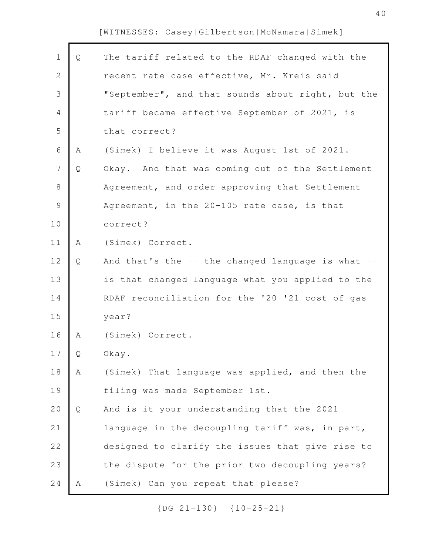Г

| $\mathbf 1$    | $\mathsf{Q}$ | The tariff related to the RDAF changed with the   |
|----------------|--------------|---------------------------------------------------|
| $\overline{2}$ |              | recent rate case effective, Mr. Kreis said        |
| $\mathcal{S}$  |              | "September", and that sounds about right, but the |
| $\overline{4}$ |              | tariff became effective September of 2021, is     |
| 5              |              | that correct?                                     |
| $\sqrt{6}$     | A            | (Simek) I believe it was August 1st of 2021.      |
| $\overline{7}$ | Q            | Okay. And that was coming out of the Settlement   |
| $\,8\,$        |              | Agreement, and order approving that Settlement    |
| $\mathcal{G}$  |              | Agreement, in the 20-105 rate case, is that       |
| 10             |              | correct?                                          |
| 11             | Α            | (Simek) Correct.                                  |
| 12             | Q            | And that's the -- the changed language is what -- |
| 13             |              | is that changed language what you applied to the  |
| 14             |              | RDAF reconciliation for the '20-'21 cost of gas   |
| 15             |              | year?                                             |
| 16             | Α            | (Simek) Correct.                                  |
| 17             | Q            | Okay.                                             |
| 18             | Α            | (Simek) That language was applied, and then the   |
| 19             |              | filing was made September 1st.                    |
| 20             | Q            | And is it your understanding that the 2021        |
| 21             |              | language in the decoupling tariff was, in part,   |
| 22             |              | designed to clarify the issues that give rise to  |
| 23             |              | the dispute for the prior two decoupling years?   |
| 24             |              | (Simek) Can you repeat that please?               |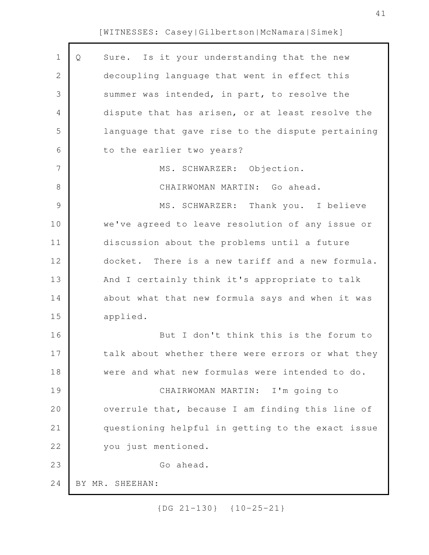| 1              | Sure. Is it your understanding that the new<br>Q  |
|----------------|---------------------------------------------------|
| $\mathbf{2}$   | decoupling language that went in effect this      |
| 3              | summer was intended, in part, to resolve the      |
| 4              | dispute that has arisen, or at least resolve the  |
| 5              | language that gave rise to the dispute pertaining |
| 6              | to the earlier two years?                         |
| $\overline{7}$ | MS. SCHWARZER: Objection.                         |
| $8\,$          | CHAIRWOMAN MARTIN: Go ahead.                      |
| $\mathcal{G}$  | Thank you. I believe<br>MS. SCHWARZER:            |
| 10             | we've agreed to leave resolution of any issue or  |
| 11             | discussion about the problems until a future      |
| 12             | docket. There is a new tariff and a new formula.  |
| 13             | And I certainly think it's appropriate to talk    |
| 14             | about what that new formula says and when it was  |
| 15             | applied.                                          |
| 16             | But I don't think this is the forum to            |
| 17             | talk about whether there were errors or what they |
| 18             | were and what new formulas were intended to do.   |
| 19             | CHAIRWOMAN MARTIN: I'm going to                   |
| 20             | overrule that, because I am finding this line of  |
| 21             | questioning helpful in getting to the exact issue |
| 22             | you just mentioned.                               |
| 23             | Go ahead.                                         |
| 24             | BY MR. SHEEHAN:                                   |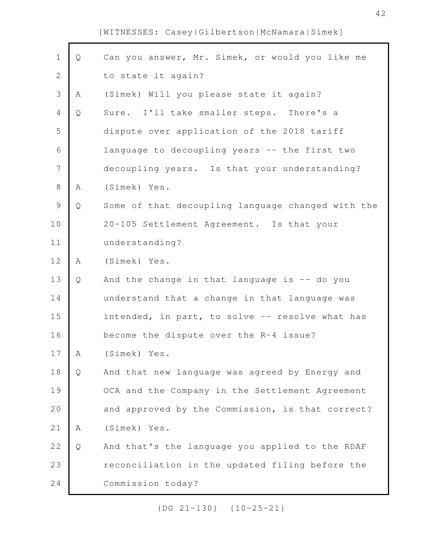| $\mathbf 1$    | Q | Can you answer, Mr. Simek, or would you like me   |
|----------------|---|---------------------------------------------------|
| $\overline{2}$ |   | to state it again?                                |
| 3              | Α | (Simek) Will you please state it again?           |
| $\overline{4}$ | Q | Sure. I'll take smaller steps. There's a          |
| 5              |   | dispute over application of the 2018 tariff       |
| $\sqrt{6}$     |   | language to decoupling years -- the first two     |
| 7              |   | decoupling years. Is that your understanding?     |
| $\,8\,$        | Α | (Simek) Yes.                                      |
| $\mathcal{G}$  | Q | Some of that decoupling language changed with the |
| 10             |   | 20-105 Settlement Agreement. Is that your         |
| 11             |   | understanding?                                    |
| 12             | Α | (Simek) Yes.                                      |
| 13             | Q | And the change in that language is $-$ do you     |
| 14             |   | understand that a change in that language was     |
| 15             |   | intended, in part, to solve -- resolve what has   |
| 16             |   | become the dispute over the R-4 issue?            |
| 17             | A | (Simek) Yes.                                      |
| 18             | Q | And that new language was agreed by Energy and    |
| 19             |   | OCA and the Company in the Settlement Agreement   |
| 20             |   | and approved by the Commission, is that correct?  |
| 21             | Α | (Simek) Yes.                                      |
| 22             | Q | And that's the language you applied to the RDAF   |
| 23             |   | reconciliation in the updated filing before the   |
|                |   |                                                   |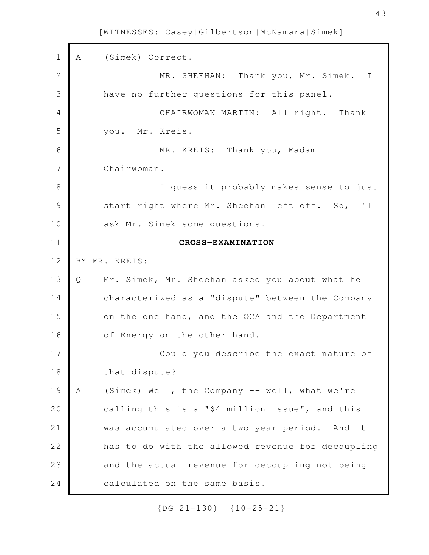A (Simek) Correct. MR. SHEEHAN: Thank you, Mr. Simek. I have no further questions for this panel. CHAIRWOMAN MARTIN: All right. Thank you. Mr. Kreis. MR. KREIS: Thank you, Madam Chairwoman. I guess it probably makes sense to just start right where Mr. Sheehan left off. So, I'll ask Mr. Simek some questions. **CROSS-EXAMINATION** BY MR. KREIS: Q Mr. Simek, Mr. Sheehan asked you about what he characterized as a "dispute" between the Company on the one hand, and the OCA and the Department of Energy on the other hand. Could you describe the exact nature of that dispute? A (Simek) Well, the Company -- well, what we're calling this is a "\$4 million issue", and this was accumulated over a two-year period. And it has to do with the allowed revenue for decoupling and the actual revenue for decoupling not being calculated on the same basis. 1 2 3 4 5 6 7 8 9 10 11 12 13 14 15 16 17 18 19 20 21 22 23 24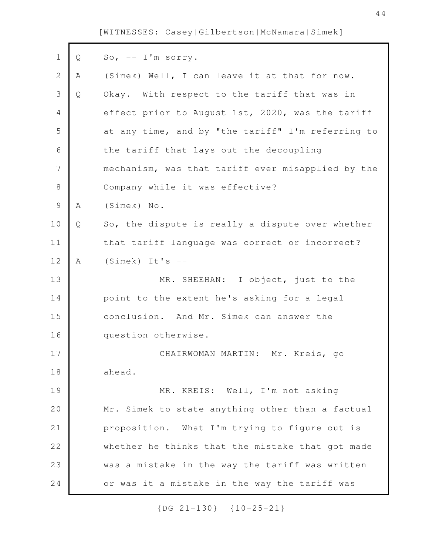| $\mathbf 1$   | Q | So, $--$ I'm sorry.                               |
|---------------|---|---------------------------------------------------|
| 2             | A | (Simek) Well, I can leave it at that for now.     |
| 3             | Q | Okay. With respect to the tariff that was in      |
| 4             |   | effect prior to August 1st, 2020, was the tariff  |
| 5             |   | at any time, and by "the tariff" I'm referring to |
| 6             |   | the tariff that lays out the decoupling           |
| 7             |   | mechanism, was that tariff ever misapplied by the |
| $\,8\,$       |   | Company while it was effective?                   |
| $\mathcal{G}$ | Α | (Simek) No.                                       |
| 10            | Q | So, the dispute is really a dispute over whether  |
| 11            |   | that tariff language was correct or incorrect?    |
| 12            | A | $(Simek)$ It's $-$                                |
| 13            |   | MR. SHEEHAN: I object, just to the                |
|               |   | point to the extent he's asking for a legal       |
| 14            |   |                                                   |
| 15            |   | conclusion. And Mr. Simek can answer the          |
| 16            |   | question otherwise.                               |
| 17            |   | CHAIRWOMAN MARTIN: Mr. Kreis, go                  |
| 18            |   | ahead.                                            |
| 19            |   | MR. KREIS: Well, I'm not asking                   |
| 20            |   | Mr. Simek to state anything other than a factual  |
| 21            |   | proposition. What I'm trying to figure out is     |
| 22            |   | whether he thinks that the mistake that got made  |
| 23            |   | was a mistake in the way the tariff was written   |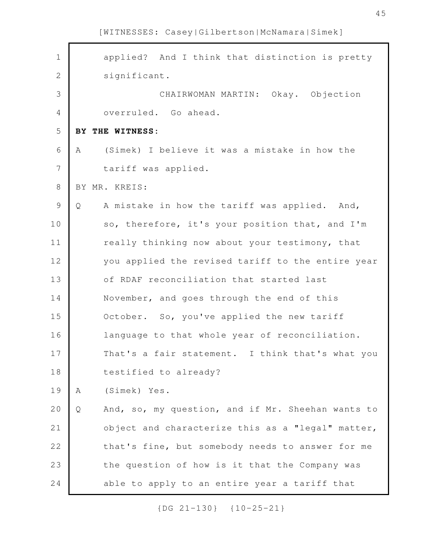| $\mathbf 1$    |   | applied? And I think that distinction is pretty   |
|----------------|---|---------------------------------------------------|
| $\mathbf{2}$   |   | significant.                                      |
| 3              |   | CHAIRWOMAN MARTIN: Okay. Objection                |
| $\overline{4}$ |   | overruled. Go ahead.                              |
| 5              |   | BY THE WITNESS:                                   |
| 6              | A | (Simek) I believe it was a mistake in how the     |
| 7              |   | tariff was applied.                               |
| $\,8\,$        |   | BY MR. KREIS:                                     |
| $\mathcal{G}$  | Q | A mistake in how the tariff was applied. And,     |
| 10             |   | so, therefore, it's your position that, and I'm   |
| 11             |   | really thinking now about your testimony, that    |
| 12             |   | you applied the revised tariff to the entire year |
| 13             |   | of RDAF reconciliation that started last          |
| 14             |   | November, and goes through the end of this        |
| 15             |   | October. So, you've applied the new tariff        |
| 16             |   | language to that whole year of reconciliation.    |
| 17             |   | That's a fair statement. I think that's what you  |
| 18             |   | testified to already?                             |
| 19             | Α | (Simek) Yes.                                      |
| 20             | Q | And, so, my question, and if Mr. Sheehan wants to |
| 21             |   | object and characterize this as a "legal" matter, |
| 22             |   | that's fine, but somebody needs to answer for me  |
| 23             |   | the question of how is it that the Company was    |
| 24             |   | able to apply to an entire year a tariff that     |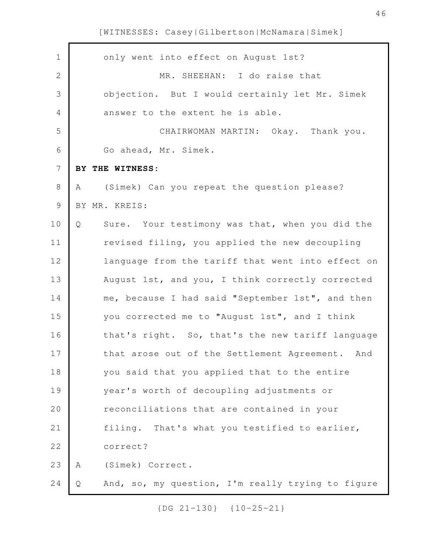| $\mathbf 1$    | only went into effect on August 1st?                   |
|----------------|--------------------------------------------------------|
| $\mathbf{2}$   | MR. SHEEHAN: I do raise that                           |
| 3              | objection. But I would certainly let Mr. Simek         |
| 4              | answer to the extent he is able.                       |
| 5              | CHAIRWOMAN MARTIN: Okay. Thank you.                    |
| 6              | Go ahead, Mr. Simek.                                   |
| $7\phantom{.}$ | BY THE WITNESS:                                        |
| 8              | (Simek) Can you repeat the question please?<br>A       |
| 9              | BY MR. KREIS:                                          |
| 10             | Sure. Your testimony was that, when you did the<br>Q   |
| 11             | revised filing, you applied the new decoupling         |
| 12             | language from the tariff that went into effect on      |
| 13             | August 1st, and you, I think correctly corrected       |
| 14             | me, because I had said "September 1st", and then       |
| 15             | you corrected me to "August 1st", and I think          |
| 16             | that's right. So, that's the new tariff language       |
| 17             | that arose out of the Settlement Agreement. And        |
| 18             | you said that you applied that to the entire           |
| 19             | year's worth of decoupling adjustments or              |
| 20             | reconciliations that are contained in your             |
| 21             | filing. That's what you testified to earlier,          |
| 22             | correct?                                               |
| 23             | (Simek) Correct.<br>Α                                  |
| 24             | And, so, my question, I'm really trying to figure<br>Q |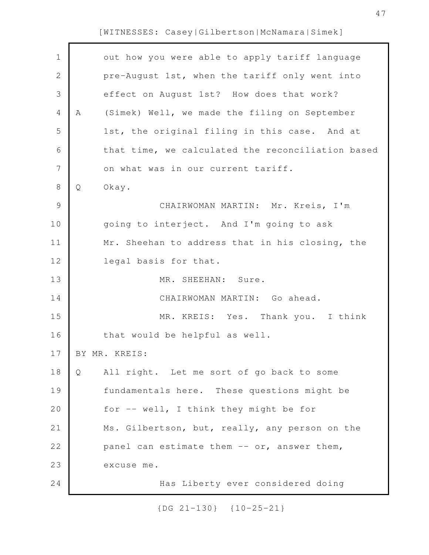Г

| $\mathbf 1$    |   | out how you were able to apply tariff language    |
|----------------|---|---------------------------------------------------|
| $\mathbf{2}$   |   | pre-August 1st, when the tariff only went into    |
| 3              |   | effect on August 1st? How does that work?         |
| $\overline{4}$ | A | (Simek) Well, we made the filing on September     |
| 5              |   | 1st, the original filing in this case. And at     |
| 6              |   | that time, we calculated the reconciliation based |
| 7              |   | on what was in our current tariff.                |
| $\,8\,$        | Q | Okay.                                             |
| $\mathcal{G}$  |   | CHAIRWOMAN MARTIN: Mr. Kreis, I'm                 |
| 10             |   | going to interject. And I'm going to ask          |
| 11             |   | Mr. Sheehan to address that in his closing, the   |
| 12             |   | legal basis for that.                             |
| 13             |   | MR. SHEEHAN: Sure.                                |
| 14             |   | CHAIRWOMAN MARTIN: Go ahead.                      |
| 15             |   | MR. KREIS: Yes. Thank you. I think                |
| 16             |   | that would be helpful as well.                    |
| 17             |   | BY MR. KREIS:                                     |
| 18             | Q | All right. Let me sort of go back to some         |
| 19             |   | fundamentals here. These questions might be       |
| 20             |   | for -- well, I think they might be for            |
| 21             |   | Ms. Gilbertson, but, really, any person on the    |
| 22             |   | panel can estimate them -- or, answer them,       |
| 23             |   | excuse me.                                        |
| 24             |   | Has Liberty ever considered doing                 |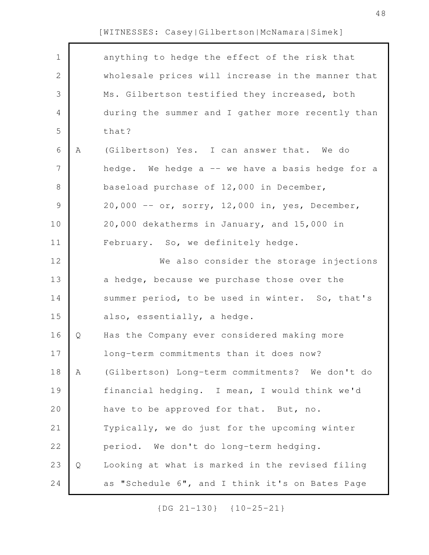Г

| $\mathbf 1$  |   | anything to hedge the effect of the risk that     |
|--------------|---|---------------------------------------------------|
| $\mathbf{2}$ |   | wholesale prices will increase in the manner that |
| 3            |   | Ms. Gilbertson testified they increased, both     |
| 4            |   | during the summer and I gather more recently than |
| 5            |   | that?                                             |
| 6            | Α | (Gilbertson) Yes. I can answer that. We do        |
| 7            |   | hedge. We hedge a -- we have a basis hedge for a  |
| 8            |   | baseload purchase of 12,000 in December,          |
| $\mathsf 9$  |   | 20,000 -- or, sorry, 12,000 in, yes, December,    |
| 10           |   | 20,000 dekatherms in January, and 15,000 in       |
| 11           |   | February. So, we definitely hedge.                |
| 12           |   | We also consider the storage injections           |
| 13           |   | a hedge, because we purchase those over the       |
| 14           |   | summer period, to be used in winter. So, that's   |
| 15           |   | also, essentially, a hedge.                       |
| 16           | Q | Has the Company ever considered making more       |
| 17           |   | long-term commitments than it does now?           |
| 18           | Α | (Gilbertson) Long-term commitments? We don't do   |
| 19           |   | financial hedging. I mean, I would think we'd     |
| 20           |   | have to be approved for that. But, no.            |
| 21           |   | Typically, we do just for the upcoming winter     |
| 22           |   | period. We don't do long-term hedging.            |
| 23           | Q | Looking at what is marked in the revised filing   |
| 24           |   | as "Schedule 6", and I think it's on Bates Page   |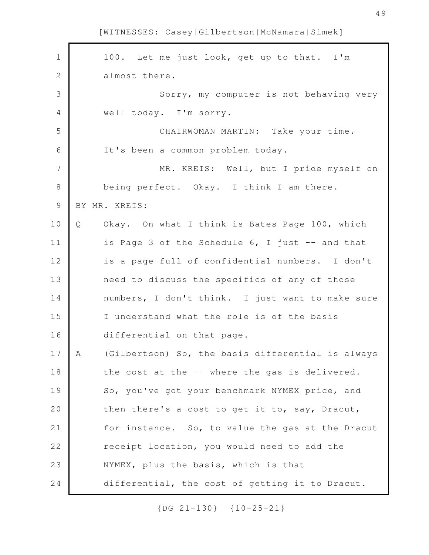| $\mathbf 1$    |   | 100. Let me just look, get up to that. I'm        |
|----------------|---|---------------------------------------------------|
| $\mathbf{2}$   |   | almost there.                                     |
| 3              |   | Sorry, my computer is not behaving very           |
| $\overline{4}$ |   | well today. I'm sorry.                            |
| 5              |   | CHAIRWOMAN MARTIN: Take your time.                |
| 6              |   | It's been a common problem today.                 |
| 7              |   | MR. KREIS: Well, but I pride myself on            |
| 8              |   | being perfect. Okay. I think I am there.          |
| $\mathsf 9$    |   | BY MR. KREIS:                                     |
| 10             | Q | Okay. On what I think is Bates Page 100, which    |
| 11             |   | is Page 3 of the Schedule 6, I just -- and that   |
| 12             |   | is a page full of confidential numbers. I don't   |
| 13             |   | need to discuss the specifics of any of those     |
| 14             |   | numbers, I don't think. I just want to make sure  |
| 15             |   | I understand what the role is of the basis        |
| 16             |   | differential on that page.                        |
| 17             | Α | (Gilbertson) So, the basis differential is always |
| 18             |   | the cost at the -- where the gas is delivered.    |
| 19             |   | So, you've got your benchmark NYMEX price, and    |
| 20             |   | then there's a cost to get it to, say, Dracut,    |
| 21             |   | for instance. So, to value the gas at the Dracut  |
| 22             |   | receipt location, you would need to add the       |
| 23             |   | NYMEX, plus the basis, which is that              |
| 24             |   | differential, the cost of getting it to Dracut.   |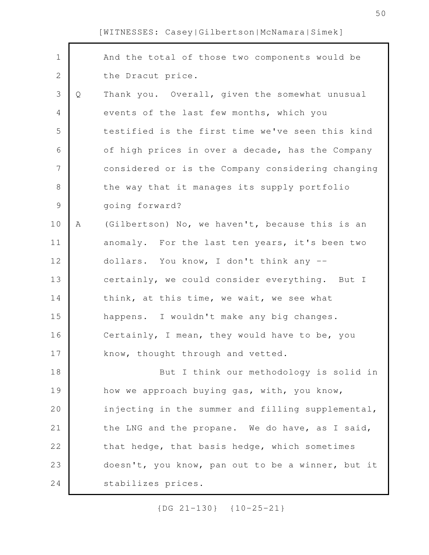| $\mathbf 1$   |   | And the total of those two components would be    |
|---------------|---|---------------------------------------------------|
| $\mathbf{2}$  |   | the Dracut price.                                 |
| 3             | Q | Thank you. Overall, given the somewhat unusual    |
| 4             |   | events of the last few months, which you          |
| 5             |   | testified is the first time we've seen this kind  |
| 6             |   | of high prices in over a decade, has the Company  |
| 7             |   | considered or is the Company considering changing |
| 8             |   | the way that it manages its supply portfolio      |
| $\mathcal{G}$ |   | going forward?                                    |
| 10            | Α | (Gilbertson) No, we haven't, because this is an   |
| 11            |   | anomaly. For the last ten years, it's been two    |
| 12            |   | dollars. You know, I don't think any --           |
| 13            |   | certainly, we could consider everything. But I    |
| 14            |   | think, at this time, we wait, we see what         |
| 15            |   | happens. I wouldn't make any big changes.         |
| 16            |   | Certainly, I mean, they would have to be, you     |
| 17            |   | know, thought through and vetted.                 |
| 18            |   | But I think our methodology is solid in           |
| 19            |   | how we approach buying gas, with, you know,       |
| 20            |   | injecting in the summer and filling supplemental, |
| 21            |   | the LNG and the propane. We do have, as I said,   |
| 22            |   | that hedge, that basis hedge, which sometimes     |
| 23            |   | doesn't, you know, pan out to be a winner, but it |
| 24            |   | stabilizes prices.                                |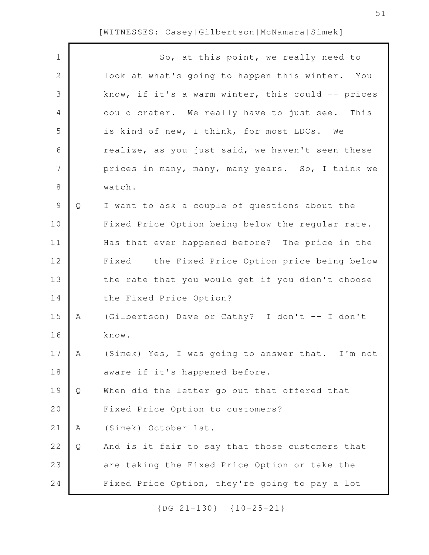$\Gamma$ 

| $\mathbf 1$     |   | So, at this point, we really need to              |
|-----------------|---|---------------------------------------------------|
| $\mathbf{2}$    |   | look at what's going to happen this winter. You   |
| 3               |   | know, if it's a warm winter, this could -- prices |
| 4               |   | could crater. We really have to just see. This    |
| 5               |   | is kind of new, I think, for most LDCs. We        |
| 6               |   | realize, as you just said, we haven't seen these  |
| $7\phantom{.0}$ |   | prices in many, many, many years. So, I think we  |
| $8\,$           |   | watch.                                            |
| $\mathcal{G}$   | Q | I want to ask a couple of questions about the     |
| 10              |   | Fixed Price Option being below the regular rate.  |
| 11              |   | Has that ever happened before? The price in the   |
| 12              |   | Fixed -- the Fixed Price Option price being below |
| 13              |   | the rate that you would get if you didn't choose  |
| 14              |   | the Fixed Price Option?                           |
| 15              | A | (Gilbertson) Dave or Cathy? I don't -- I don't    |
| 16              |   | know.                                             |
| 17              | A | (Simek) Yes, I was going to answer that. I'm not  |
| 18              |   | aware if it's happened before.                    |
| 19              | Q | When did the letter go out that offered that      |
| 20              |   | Fixed Price Option to customers?                  |
| 21              | Α | (Simek) October 1st.                              |
| 22              | Q | And is it fair to say that those customers that   |
| 23              |   | are taking the Fixed Price Option or take the     |
| 24              |   | Fixed Price Option, they're going to pay a lot    |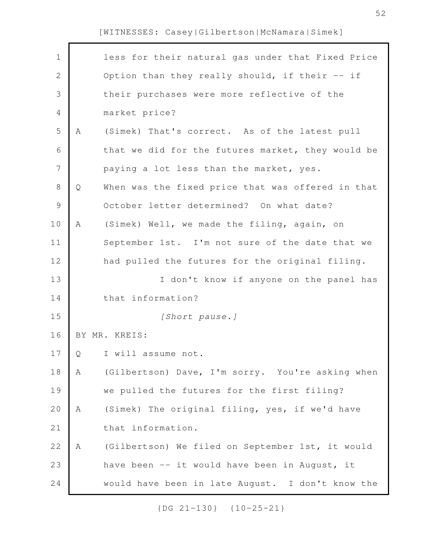| $\mathbf 1$    |   | less for their natural gas under that Fixed Price |
|----------------|---|---------------------------------------------------|
| $\overline{2}$ |   | Option than they really should, if their -- if    |
| 3              |   | their purchases were more reflective of the       |
| 4              |   | market price?                                     |
| 5              | A | (Simek) That's correct. As of the latest pull     |
| 6              |   | that we did for the futures market, they would be |
| $\overline{7}$ |   | paying a lot less than the market, yes.           |
| $\,8\,$        | Q | When was the fixed price that was offered in that |
| $\mathsf{S}$   |   | October letter determined? On what date?          |
| 10             | A | (Simek) Well, we made the filing, again, on       |
| 11             |   | September 1st. I'm not sure of the date that we   |
| 12             |   | had pulled the futures for the original filing.   |
| 13             |   | I don't know if anyone on the panel has           |
| 14             |   | that information?                                 |
| 15             |   | [Short pause.]                                    |
| 16             |   | BY MR. KREIS:                                     |
| 17             | Q | I will assume not.                                |
| 18             | A | (Gilbertson) Dave, I'm sorry. You're asking when  |
| 19             |   | we pulled the futures for the first filing?       |
| 20             | Α | (Simek) The original filing, yes, if we'd have    |
|                |   |                                                   |
| 21             |   | that information.                                 |
| 22             | Α | (Gilbertson) We filed on September 1st, it would  |
| 23             |   | have been -- it would have been in August, it     |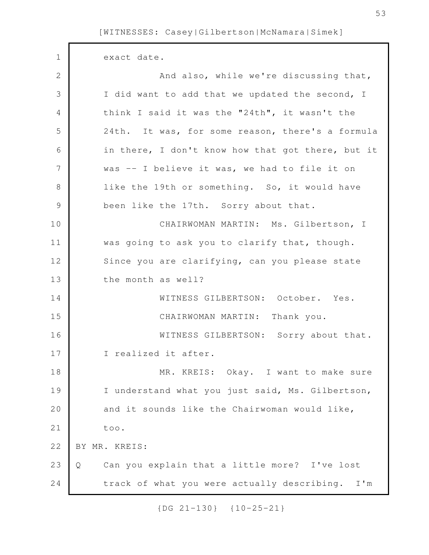| $\mathbf 1$    | exact date.                                        |
|----------------|----------------------------------------------------|
| $\overline{2}$ | And also, while we're discussing that,             |
| 3              | I did want to add that we updated the second, I    |
| 4              | think I said it was the "24th", it wasn't the      |
| 5              | 24th. It was, for some reason, there's a formula   |
| 6              | in there, I don't know how that got there, but it  |
| $\overline{7}$ | was -- I believe it was, we had to file it on      |
| 8              | like the 19th or something. So, it would have      |
| $\mathcal{G}$  | been like the 17th. Sorry about that.              |
| 10             | CHAIRWOMAN MARTIN: Ms. Gilbertson, I               |
| 11             | was going to ask you to clarify that, though.      |
| 12             | Since you are clarifying, can you please state     |
| 13             | the month as well?                                 |
| 14             | WITNESS GILBERTSON: October. Yes.                  |
| 15             | CHAIRWOMAN MARTIN: Thank you.                      |
| 16             | WITNESS GILBERTSON: Sorry about that.              |
| 17             | I realized it after.                               |
| 18             | MR. KREIS: Okay. I want to make sure               |
| 19             | I understand what you just said, Ms. Gilbertson,   |
| 20             | and it sounds like the Chairwoman would like,      |
| 21             | too.                                               |
| 22             | BY MR. KREIS:                                      |
| 23             | Can you explain that a little more? I've lost<br>Q |
| 24             | track of what you were actually describing. I'm    |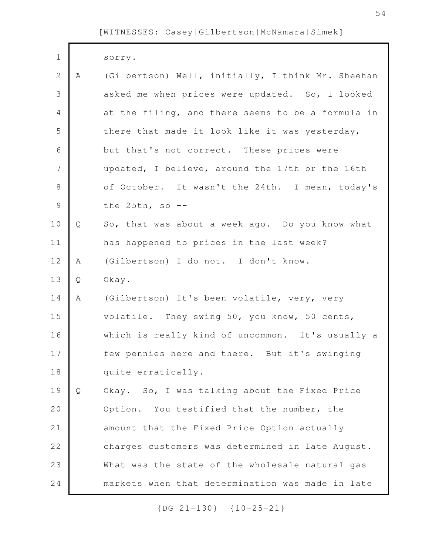| $\mathbf 1$   |   | sorry.                                            |
|---------------|---|---------------------------------------------------|
| $\mathbf{2}$  | A | (Gilbertson) Well, initially, I think Mr. Sheehan |
| 3             |   | asked me when prices were updated. So, I looked   |
| 4             |   | at the filing, and there seems to be a formula in |
| 5             |   | there that made it look like it was yesterday,    |
| 6             |   | but that's not correct. These prices were         |
| 7             |   | updated, I believe, around the 17th or the 16th   |
| $\,8\,$       |   | of October. It wasn't the 24th. I mean, today's   |
| $\mathcal{G}$ |   | the $25th$ , so $-$                               |
| 10            | Q | So, that was about a week ago. Do you know what   |
| 11            |   | has happened to prices in the last week?          |
| 12            | A | (Gilbertson) I do not. I don't know.              |
| 13            | Q | Okay.                                             |
| 14            | A | (Gilbertson) It's been volatile, very, very       |
| 15            |   | volatile. They swing 50, you know, 50 cents,      |
| 16            |   | which is really kind of uncommon. It's usually a  |
| 17            |   | few pennies here and there. But it's swinging     |
| 18            |   | quite erratically.                                |
| 19            | Q | Okay. So, I was talking about the Fixed Price     |
| 20            |   | Option. You testified that the number, the        |
| 21            |   | amount that the Fixed Price Option actually       |
| 22            |   | charges customers was determined in late August.  |
| 23            |   | What was the state of the wholesale natural gas   |
| 24            |   | markets when that determination was made in late  |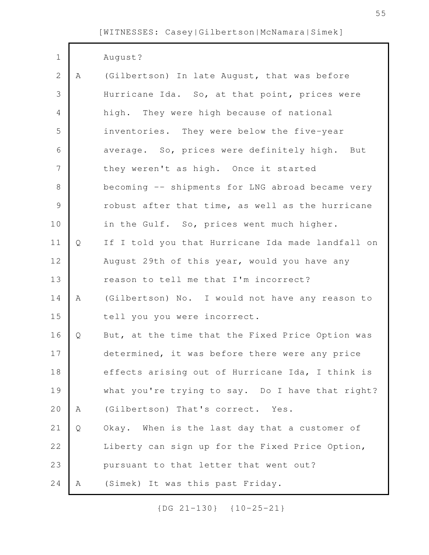| $\mathbf 1$    |             | August?                                           |
|----------------|-------------|---------------------------------------------------|
| $\overline{2}$ | $\mathbb A$ | (Gilbertson) In late August, that was before      |
| 3              |             | Hurricane Ida. So, at that point, prices were     |
| 4              |             | high. They were high because of national          |
| 5              |             | inventories. They were below the five-year        |
| 6              |             | average. So, prices were definitely high. But     |
| 7              |             | they weren't as high. Once it started             |
| 8              |             | becoming -- shipments for LNG abroad became very  |
| $\mathcal{G}$  |             | robust after that time, as well as the hurricane  |
| 10             |             | in the Gulf. So, prices went much higher.         |
| 11             | Q           | If I told you that Hurricane Ida made landfall on |
| 12             |             | August 29th of this year, would you have any      |
| 13             |             | reason to tell me that I'm incorrect?             |
| 14             | A           | (Gilbertson) No. I would not have any reason to   |
| 15             |             | tell you you were incorrect.                      |
| 16             | Q           | But, at the time that the Fixed Price Option was  |
| 17             |             | determined, it was before there were any price    |
| 18             |             | effects arising out of Hurricane Ida, I think is  |
| 19             |             | what you're trying to say. Do I have that right?  |
| 20             | Α           | (Gilbertson) That's correct. Yes.                 |
| 21             | Q           | Okay. When is the last day that a customer of     |
| 22             |             | Liberty can sign up for the Fixed Price Option,   |
| 23             |             | pursuant to that letter that went out?            |
| 24             | Α           | (Simek) It was this past Friday.                  |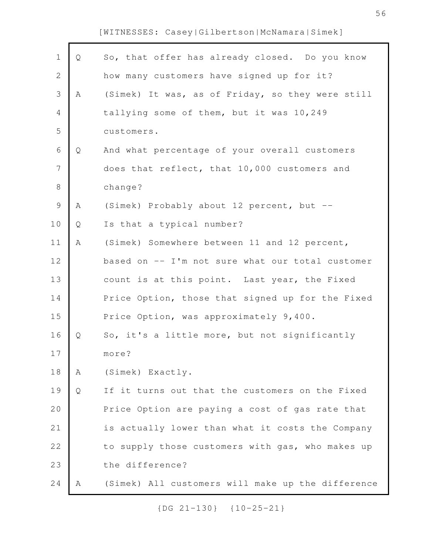Г

| $\mathbf 1$    | Q | So, that offer has already closed. Do you know    |
|----------------|---|---------------------------------------------------|
| $\overline{2}$ |   | how many customers have signed up for it?         |
| 3              | Α | (Simek) It was, as of Friday, so they were still  |
| $\overline{4}$ |   | tallying some of them, but it was 10,249          |
| 5              |   | customers.                                        |
| $\sqrt{6}$     | Q | And what percentage of your overall customers     |
| 7              |   | does that reflect, that 10,000 customers and      |
| $8\,$          |   | change?                                           |
| $\mathcal{G}$  | Α | (Simek) Probably about 12 percent, but --         |
| 10             | Q | Is that a typical number?                         |
| 11             | A | (Simek) Somewhere between 11 and 12 percent,      |
| 12             |   | based on -- I'm not sure what our total customer  |
| 13             |   | count is at this point. Last year, the Fixed      |
| 14             |   | Price Option, those that signed up for the Fixed  |
| 15             |   | Price Option, was approximately 9,400.            |
| 16             | Q | So, it's a little more, but not significantly     |
| 17             |   | more?                                             |
| 18             | Α | (Simek) Exactly.                                  |
| 19             | Q | If it turns out that the customers on the Fixed   |
| 20             |   | Price Option are paying a cost of gas rate that   |
| 21             |   | is actually lower than what it costs the Company  |
| 22             |   | to supply those customers with gas, who makes up  |
| 23             |   | the difference?                                   |
| 24             | Α | (Simek) All customers will make up the difference |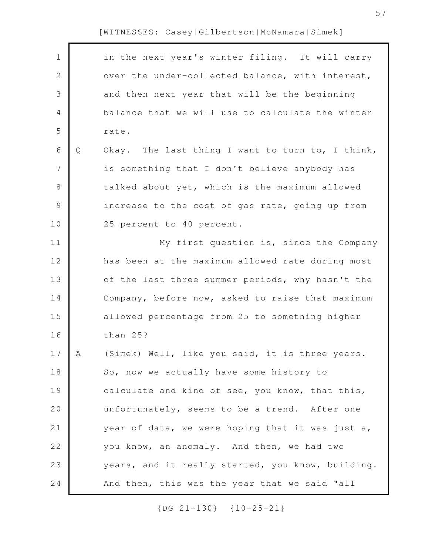| $\mathbf 1$    |   | in the next year's winter filing. It will carry   |
|----------------|---|---------------------------------------------------|
| $\mathbf{2}$   |   | over the under-collected balance, with interest,  |
| 3              |   | and then next year that will be the beginning     |
| $\overline{4}$ |   | balance that we will use to calculate the winter  |
| 5              |   | rate.                                             |
| 6              | Q | Okay. The last thing I want to turn to, I think,  |
| 7              |   | is something that I don't believe anybody has     |
| $8\,$          |   | talked about yet, which is the maximum allowed    |
| $\mathcal{G}$  |   | increase to the cost of gas rate, going up from   |
| 10             |   | 25 percent to 40 percent.                         |
| 11             |   | My first question is, since the Company           |
| 12             |   | has been at the maximum allowed rate during most  |
| 13             |   | of the last three summer periods, why hasn't the  |
| 14             |   | Company, before now, asked to raise that maximum  |
| 15             |   | allowed percentage from 25 to something higher    |
| 16             |   | than 25?                                          |
| 17             | A | (Simek) Well, like you said, it is three years.   |
| 18             |   | So, now we actually have some history to          |
| 19             |   | calculate and kind of see, you know, that this,   |
| 20             |   | unfortunately, seems to be a trend. After one     |
| 21             |   | year of data, we were hoping that it was just a,  |
| 22             |   | you know, an anomaly. And then, we had two        |
| 23             |   | years, and it really started, you know, building. |
| 24             |   | And then, this was the year that we said "all     |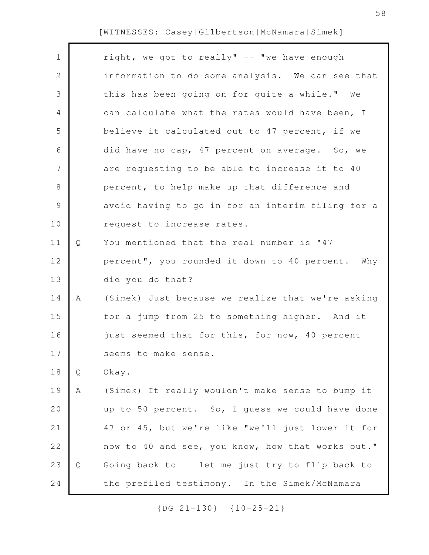| $\mathbf 1$   |   | right, we got to really" -- "we have enough       |
|---------------|---|---------------------------------------------------|
| 2             |   | information to do some analysis. We can see that  |
| 3             |   | this has been going on for quite a while." We     |
| 4             |   | can calculate what the rates would have been, I   |
| 5             |   | believe it calculated out to 47 percent, if we    |
| 6             |   | did have no cap, 47 percent on average. So, we    |
| 7             |   | are requesting to be able to increase it to 40    |
| 8             |   | percent, to help make up that difference and      |
| $\mathcal{G}$ |   | avoid having to go in for an interim filing for a |
| 10            |   | request to increase rates.                        |
| 11            | Q | You mentioned that the real number is "47         |
| 12            |   | percent", you rounded it down to 40 percent. Why  |
| 13            |   | did you do that?                                  |
| 14            | Α | (Simek) Just because we realize that we're asking |
| 15            |   | for a jump from 25 to something higher. And it    |
| 16            |   | just seemed that for this, for now, 40 percent    |
| 17            |   | seems to make sense.                              |
| 18            | Q | Okay.                                             |
| 19            | Α | (Simek) It really wouldn't make sense to bump it  |
| 20            |   | up to 50 percent. So, I guess we could have done  |
| 21            |   | 47 or 45, but we're like "we'll just lower it for |
| 22            |   | now to 40 and see, you know, how that works out." |
| 23            | Q | Going back to -- let me just try to flip back to  |
| 24            |   | the prefiled testimony. In the Simek/McNamara     |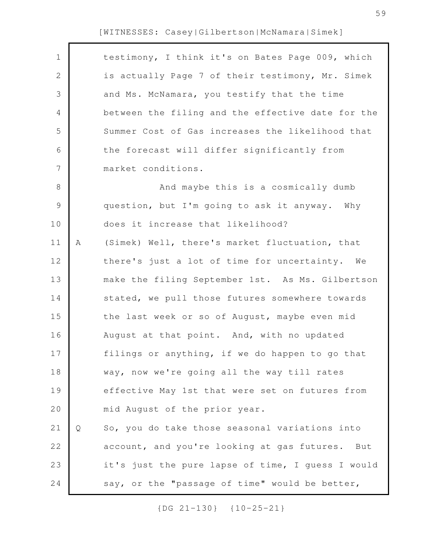| $\mathbf 1$  |   | testimony, I think it's on Bates Page 009, which  |
|--------------|---|---------------------------------------------------|
| $\mathbf{2}$ |   | is actually Page 7 of their testimony, Mr. Simek  |
| 3            |   | and Ms. McNamara, you testify that the time       |
| 4            |   | between the filing and the effective date for the |
| 5            |   | Summer Cost of Gas increases the likelihood that  |
| 6            |   | the forecast will differ significantly from       |
| 7            |   | market conditions.                                |
| 8            |   | And maybe this is a cosmically dumb               |
| $\mathsf 9$  |   | question, but I'm going to ask it anyway. Why     |
| 10           |   | does it increase that likelihood?                 |
| 11           | Α | (Simek) Well, there's market fluctuation, that    |
| 12           |   | there's just a lot of time for uncertainty. We    |
| 13           |   | make the filing September 1st. As Ms. Gilbertson  |
| 14           |   | stated, we pull those futures somewhere towards   |
| 15           |   | the last week or so of August, maybe even mid     |
| 16           |   | August at that point. And, with no updated        |
| 17           |   | filings or anything, if we do happen to go that   |
| 18           |   | way, now we're going all the way till rates       |
| 19           |   | effective May 1st that were set on futures from   |
| 20           |   | mid August of the prior year.                     |
| 21           | Q | So, you do take those seasonal variations into    |
| 22           |   | account, and you're looking at gas futures. But   |
| 23           |   | it's just the pure lapse of time, I guess I would |
| 24           |   | say, or the "passage of time" would be better,    |
|              |   |                                                   |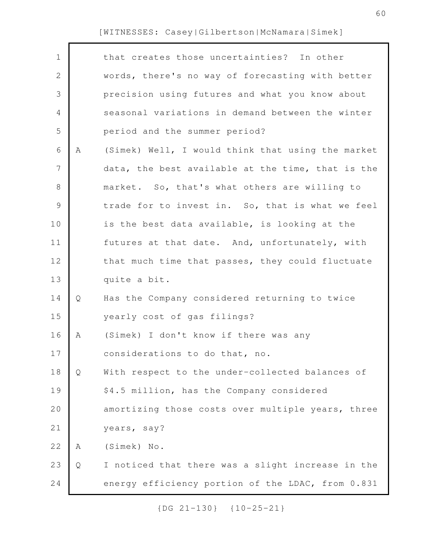| $\mathbf 1$    |   | that creates those uncertainties? In other        |
|----------------|---|---------------------------------------------------|
| $\mathbf{2}$   |   | words, there's no way of forecasting with better  |
| 3              |   | precision using futures and what you know about   |
| 4              |   | seasonal variations in demand between the winter  |
| 5              |   | period and the summer period?                     |
| 6              | Α | (Simek) Well, I would think that using the market |
| $7\phantom{.}$ |   | data, the best available at the time, that is the |
| 8              |   | market. So, that's what others are willing to     |
| 9              |   | trade for to invest in. So, that is what we feel  |
| 10             |   | is the best data available, is looking at the     |
| 11             |   | futures at that date. And, unfortunately, with    |
| 12             |   | that much time that passes, they could fluctuate  |
| 13             |   | quite a bit.                                      |
| 14             | Q | Has the Company considered returning to twice     |
| 15             |   | yearly cost of gas filings?                       |
| 16             | Α | (Simek) I don't know if there was any             |
| 17             |   | considerations to do that, no.                    |
| 18             | Q | With respect to the under-collected balances of   |
| 19             |   | \$4.5 million, has the Company considered         |
| 20             |   | amortizing those costs over multiple years, three |
| 21             |   | years, say?                                       |
| 22             | Α | (Simek) No.                                       |
| 23             | Q | I noticed that there was a slight increase in the |
| 24             |   | energy efficiency portion of the LDAC, from 0.831 |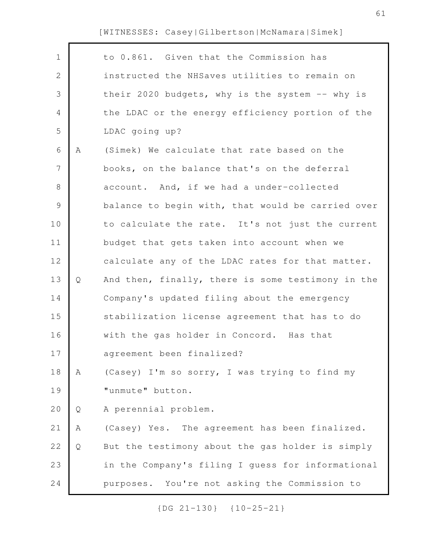Г

| $\mathbf 1$  |   | to 0.861. Given that the Commission has           |
|--------------|---|---------------------------------------------------|
| $\mathbf{2}$ |   | instructed the NHSaves utilities to remain on     |
| 3            |   | their 2020 budgets, why is the system -- why is   |
| 4            |   | the LDAC or the energy efficiency portion of the  |
| 5            |   | LDAC going up?                                    |
| 6            | Α | (Simek) We calculate that rate based on the       |
| 7            |   | books, on the balance that's on the deferral      |
| $8\,$        |   | account. And, if we had a under-collected         |
| $\mathsf 9$  |   | balance to begin with, that would be carried over |
| 10           |   | to calculate the rate. It's not just the current  |
| 11           |   | budget that gets taken into account when we       |
| 12           |   | calculate any of the LDAC rates for that matter.  |
| 13           | Q | And then, finally, there is some testimony in the |
| 14           |   | Company's updated filing about the emergency      |
| 15           |   | stabilization license agreement that has to do    |
| 16           |   | with the gas holder in Concord. Has that          |
| 17           |   | agreement been finalized?                         |
| 18           | Α | (Casey) I'm so sorry, I was trying to find my     |
| 19           |   | "unmute" button.                                  |
| 20           | Q | A perennial problem.                              |
| 21           | Α | (Casey) Yes. The agreement has been finalized.    |
| 22           | Q | But the testimony about the gas holder is simply  |
| 23           |   | in the Company's filing I guess for informational |
| 24           |   | purposes. You're not asking the Commission to     |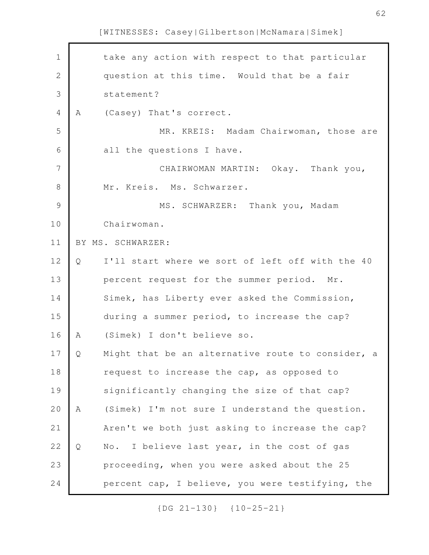| $1\,$          |   | take any action with respect to that particular   |
|----------------|---|---------------------------------------------------|
| $\sqrt{2}$     |   | question at this time. Would that be a fair       |
| 3              |   | statement?                                        |
| $\overline{4}$ | Α | (Casey) That's correct.                           |
| 5              |   | MR. KREIS: Madam Chairwoman, those are            |
| 6              |   | all the questions I have.                         |
| $\overline{7}$ |   | CHAIRWOMAN MARTIN: Okay. Thank you,               |
| $\,8\,$        |   | Mr. Kreis. Ms. Schwarzer.                         |
| $\mathcal{G}$  |   | MS. SCHWARZER: Thank you, Madam                   |
| 10             |   | Chairwoman.                                       |
| 11             |   | BY MS. SCHWARZER:                                 |
| 12             | Q | I'll start where we sort of left off with the 40  |
| 13             |   | percent request for the summer period. Mr.        |
| 14             |   | Simek, has Liberty ever asked the Commission,     |
| 15             |   | during a summer period, to increase the cap?      |
| 16             | A | (Simek) I don't believe so.                       |
| 17             | Q | Might that be an alternative route to consider, a |
| 18             |   | request to increase the cap, as opposed to        |
| 19             |   | significantly changing the size of that cap?      |
| 20             | Α | (Simek) I'm not sure I understand the question.   |
| 21             |   | Aren't we both just asking to increase the cap?   |
| 22             | Q | I believe last year, in the cost of gas<br>No.    |
| 23             |   | proceeding, when you were asked about the 25      |
| 24             |   | percent cap, I believe, you were testifying, the  |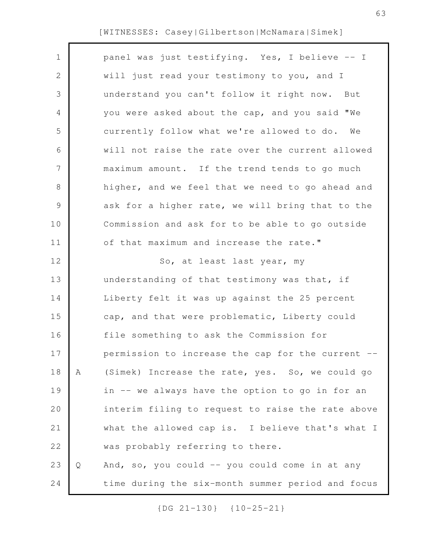|   | panel was just testifying. Yes, I believe -- I    |
|---|---------------------------------------------------|
|   | will just read your testimony to you, and I       |
|   | understand you can't follow it right now. But     |
|   | you were asked about the cap, and you said "We    |
|   | currently follow what we're allowed to do.<br>We  |
|   | will not raise the rate over the current allowed  |
|   | maximum amount. If the trend tends to go much     |
|   | higher, and we feel that we need to go ahead and  |
|   | ask for a higher rate, we will bring that to the  |
|   | Commission and ask for to be able to go outside   |
|   | of that maximum and increase the rate."           |
|   | So, at least last year, my                        |
|   | understanding of that testimony was that, if      |
|   | Liberty felt it was up against the 25 percent     |
|   | cap, and that were problematic, Liberty could     |
|   | file something to ask the Commission for          |
|   | permission to increase the cap for the current -- |
| Α | (Simek) Increase the rate, yes. So, we could go   |
|   | in -- we always have the option to go in for an   |
|   | interim filing to request to raise the rate above |
|   | what the allowed cap is. I believe that's what I  |
|   | was probably referring to there.                  |
| Q | And, so, you could -- you could come in at any    |
|   | time during the six-month summer period and focus |
|   |                                                   |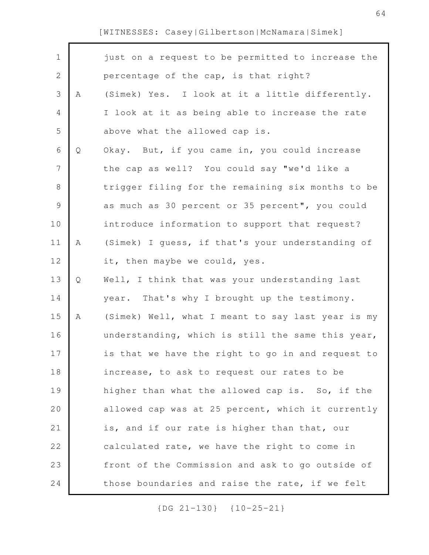| $\mathbf 1$    |   | just on a request to be permitted to increase the |
|----------------|---|---------------------------------------------------|
| $\mathbf{2}$   |   | percentage of the cap, is that right?             |
| 3              | Α | (Simek) Yes. I look at it a little differently.   |
| 4              |   | I look at it as being able to increase the rate   |
| 5              |   | above what the allowed cap is.                    |
| 6              | Q | Okay. But, if you came in, you could increase     |
| $\overline{7}$ |   | the cap as well? You could say "we'd like a       |
| $8\,$          |   | trigger filing for the remaining six months to be |
| $\overline{9}$ |   | as much as 30 percent or 35 percent", you could   |
| 10             |   | introduce information to support that request?    |
| 11             | Α | (Simek) I guess, if that's your understanding of  |
| 12             |   | it, then maybe we could, yes.                     |
| 13             | Q | Well, I think that was your understanding last    |
| 14             |   | year. That's why I brought up the testimony.      |
| 15             | A | (Simek) Well, what I meant to say last year is my |
| 16             |   | understanding, which is still the same this year, |
| 17             |   | is that we have the right to go in and request to |
| 18             |   | increase, to ask to request our rates to be       |
| 19             |   | higher than what the allowed cap is. So, if the   |
| 20             |   | allowed cap was at 25 percent, which it currently |
| 21             |   | is, and if our rate is higher than that, our      |
| 22             |   | calculated rate, we have the right to come in     |
| 23             |   | front of the Commission and ask to go outside of  |
| 24             |   | those boundaries and raise the rate, if we felt   |
|                |   |                                                   |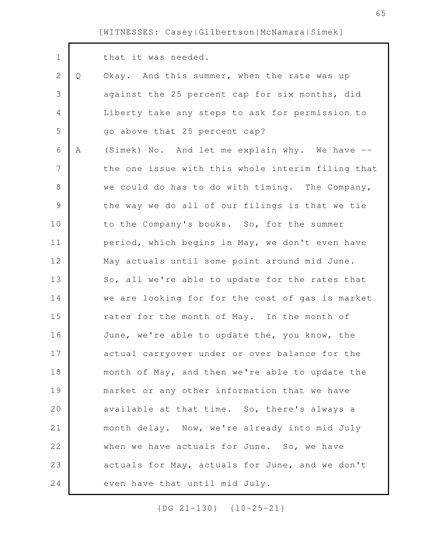| $\mathbf 1$    |   | that it was needed.                               |
|----------------|---|---------------------------------------------------|
| $\mathbf{2}$   | Q | Okay. And this summer, when the rate was up       |
| 3              |   | against the 25 percent cap for six months, did    |
| 4              |   | Liberty take any steps to ask for permission to   |
| 5              |   | go above that 25 percent cap?                     |
| 6              | Α | (Simek) No. And let me explain why. We have --    |
| $7\phantom{.}$ |   | the one issue with this whole interim filing that |
| 8              |   | we could do has to do with timing. The Company,   |
| $\mathsf 9$    |   | the way we do all of our filings is that we tie   |
| 10             |   | to the Company's books. So, for the summer        |
| 11             |   | period, which begins in May, we don't even have   |
| 12             |   | May actuals until some point around mid June.     |
| 13             |   | So, all we're able to update for the rates that   |
| 14             |   | we are looking for for the cost of gas is market  |
| 15             |   | rates for the month of May. In the month of       |
| 16             |   | June, we're able to update the, you know, the     |
| 17             |   | actual carryover under or over balance for the    |
| 18             |   | month of May, and then we're able to update the   |
| 19             |   | market or any other information that we have      |
| 20             |   | available at that time. So, there's always a      |
| 21             |   | month delay. Now, we're already into mid July     |
| 22             |   | when we have actuals for June. So, we have        |
| 23             |   | actuals for May, actuals for June, and we don't   |
| 24             |   | even have that until mid July.                    |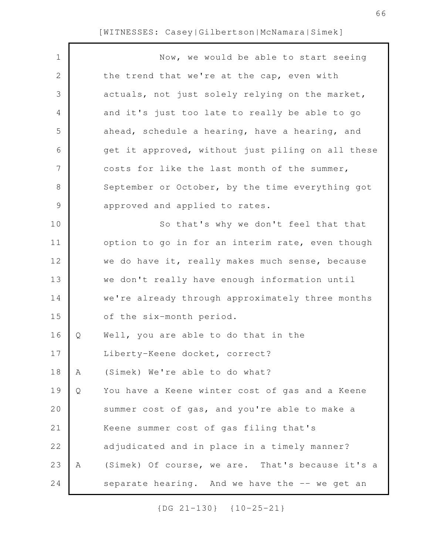| $\mathbf 1$   |   | Now, we would be able to start seeing             |
|---------------|---|---------------------------------------------------|
| 2             |   | the trend that we're at the cap, even with        |
| 3             |   | actuals, not just solely relying on the market,   |
| 4             |   | and it's just too late to really be able to go    |
| 5             |   | ahead, schedule a hearing, have a hearing, and    |
| 6             |   | get it approved, without just piling on all these |
| 7             |   | costs for like the last month of the summer,      |
| $8\,$         |   | September or October, by the time everything got  |
| $\mathcal{G}$ |   | approved and applied to rates.                    |
| 10            |   | So that's why we don't feel that that             |
| 11            |   | option to go in for an interim rate, even though  |
| 12            |   | we do have it, really makes much sense, because   |
| 13            |   | we don't really have enough information until     |
| 14            |   | we're already through approximately three months  |
| 15            |   | of the six-month period.                          |
| 16            | Q | Well, you are able to do that in the              |
| 17            |   | Liberty-Keene docket, correct?                    |
| 18            | Α | (Simek) We're able to do what?                    |
| 19            | Q | You have a Keene winter cost of gas and a Keene   |
| 20            |   | summer cost of gas, and you're able to make a     |
| 21            |   | Keene summer cost of gas filing that's            |
| 22            |   | adjudicated and in place in a timely manner?      |
| 23            | A | (Simek) Of course, we are. That's because it's a  |
| 24            |   | separate hearing. And we have the -- we get an    |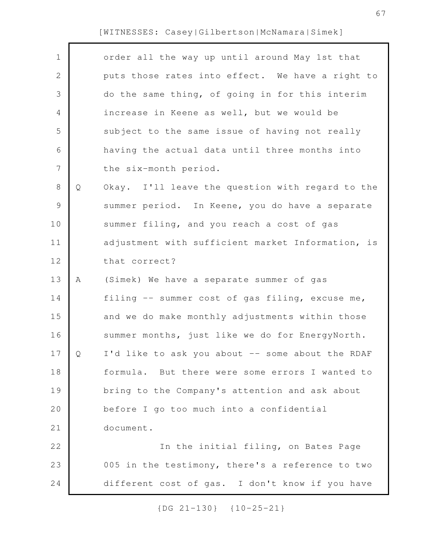| $\mathbf 1$    |   | order all the way up until around May 1st that    |
|----------------|---|---------------------------------------------------|
| $\mathbf{2}$   |   | puts those rates into effect. We have a right to  |
| 3              |   | do the same thing, of going in for this interim   |
| 4              |   | increase in Keene as well, but we would be        |
| 5              |   | subject to the same issue of having not really    |
| 6              |   | having the actual data until three months into    |
| $\overline{7}$ |   | the six-month period.                             |
| 8              | Q | Okay. I'll leave the question with regard to the  |
| 9              |   | summer period. In Keene, you do have a separate   |
| 10             |   | summer filing, and you reach a cost of gas        |
| 11             |   | adjustment with sufficient market Information, is |
| 12             |   | that correct?                                     |
| 13             | Α | (Simek) We have a separate summer of gas          |
| 14             |   | filing -- summer cost of gas filing, excuse me,   |
| 15             |   | and we do make monthly adjustments within those   |
| 16             |   | summer months, just like we do for EnergyNorth.   |
| 17             | Ο | I'd like to ask you about -- some about the RDAF  |
| 18             |   | formula. But there were some errors I wanted to   |
| 19             |   | bring to the Company's attention and ask about    |
| 20             |   | before I go too much into a confidential          |
| 21             |   | document.                                         |
| 22             |   | In the initial filing, on Bates Page              |
| 23             |   | 005 in the testimony, there's a reference to two  |
| 24             |   | different cost of gas. I don't know if you have   |
|                |   |                                                   |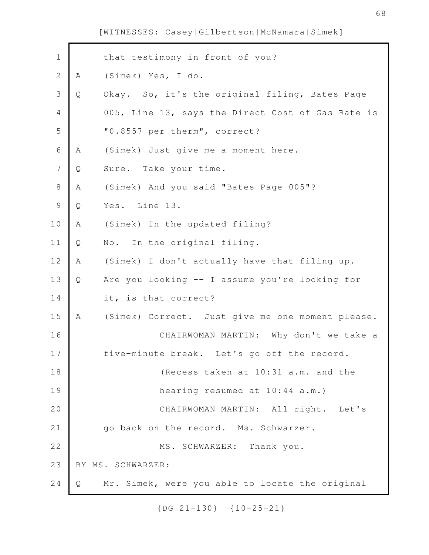| $\mathbf 1$    |   | that testimony in front of you?                   |
|----------------|---|---------------------------------------------------|
| $\overline{2}$ | Α | (Simek) Yes, I do.                                |
| 3              | Q | Okay. So, it's the original filing, Bates Page    |
| 4              |   | 005, Line 13, says the Direct Cost of Gas Rate is |
| 5              |   | "0.8557 per therm", correct?                      |
| 6              | Α | (Simek) Just give me a moment here.               |
| 7              | Q | Sure. Take your time.                             |
| $8\,$          | A | (Simek) And you said "Bates Page 005"?            |
| $\mathcal{G}$  | Q | Yes. Line 13.                                     |
| 10             | Α | (Simek) In the updated filing?                    |
| 11             | Q | No. In the original filing.                       |
| 12             | Α | (Simek) I don't actually have that filing up.     |
| 13             | Q | Are you looking -- I assume you're looking for    |
| 14             |   | it, is that correct?                              |
| 15             | Α | (Simek) Correct. Just give me one moment please.  |
| 16             |   | CHAIRWOMAN MARTIN: Why don't we take a            |
| 17             |   | five-minute break. Let's go off the record.       |
| 18             |   | (Recess taken at 10:31 a.m. and the               |
| 19             |   | hearing resumed at 10:44 a.m.)                    |
| 20             |   | CHAIRWOMAN MARTIN: All right. Let's               |
| 21             |   | go back on the record. Ms. Schwarzer.             |
| 22             |   | MS. SCHWARZER: Thank you.                         |
| 23             |   | BY MS. SCHWARZER:                                 |
| 24             | Q | Mr. Simek, were you able to locate the original   |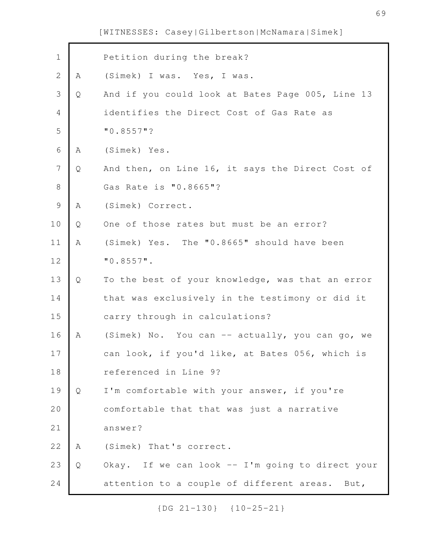| $\mathbf 1$    |   | Petition during the break?                        |
|----------------|---|---------------------------------------------------|
| $\overline{2}$ | Α | (Simek) I was. Yes, I was.                        |
| $\mathsf S$    | Q | And if you could look at Bates Page 005, Line 13  |
| $\overline{4}$ |   | identifies the Direct Cost of Gas Rate as         |
| 5              |   | $"0.8557"$ ?                                      |
| $\epsilon$     | Α | (Simek) Yes.                                      |
| $\overline{7}$ | Q | And then, on Line 16, it says the Direct Cost of  |
| $\,8\,$        |   | Gas Rate is "0.8665"?                             |
| $\mathsf 9$    | Α | (Simek) Correct.                                  |
| 10             | Q | One of those rates but must be an error?          |
| 11             | Α | (Simek) Yes. The "0.8665" should have been        |
| 12             |   | $"0.8557"$ .                                      |
| 13             | Q | To the best of your knowledge, was that an error  |
| 14             |   | that was exclusively in the testimony or did it   |
| 15             |   | carry through in calculations?                    |
| 16             | Α | (Simek) No. You can -- actually, you can go, we   |
| 17             |   | can look, if you'd like, at Bates 056, which is   |
| 18             |   | referenced in Line 9?                             |
| 19             | Q | I'm comfortable with your answer, if you're       |
| 20             |   | comfortable that that was just a narrative        |
| 21             |   | answer?                                           |
| 22             | Α | (Simek) That's correct.                           |
| 23             | Q | Okay. If we can look -- I'm going to direct your  |
| 24             |   | attention to a couple of different areas.<br>But, |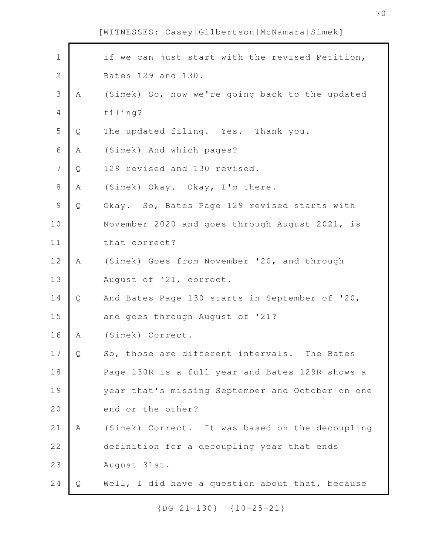| $\mathbf 1$    |   | if we can just start with the revised Petition,  |
|----------------|---|--------------------------------------------------|
| $\mathbf{2}$   |   | Bates 129 and 130.                               |
| 3              | Α | (Simek) So, now we're going back to the updated  |
| $\overline{4}$ |   | filing?                                          |
| 5              | Q | The updated filing. Yes. Thank you.              |
| $\sqrt{6}$     | Α | (Simek) And which pages?                         |
| $\overline{7}$ | Q | 129 revised and 130 revised.                     |
| 8              | Α | (Simek) Okay. Okay, I'm there.                   |
| $\mathsf 9$    | Q | Okay. So, Bates Page 129 revised starts with     |
| 10             |   | November 2020 and goes through August 2021, is   |
| 11             |   | that correct?                                    |
| 12             | Α | (Simek) Goes from November '20, and through      |
| 13             |   | August of '21, correct.                          |
| 14             | Q | And Bates Page 130 starts in September of '20,   |
| 15             |   | and goes through August of '21?                  |
| 16             | A | (Simek) Correct.                                 |
| 17             | Q | So, those are different intervals.<br>The Bates  |
| 18             |   | Page 130R is a full year and Bates 129R shows a  |
| 19             |   | year that's missing September and October on one |
| 20             |   | end or the other?                                |
| 21             | Α | (Simek) Correct. It was based on the decoupling  |
| 22             |   | definition for a decoupling year that ends       |
| 23             |   | August 31st.                                     |
| 24             | Q | Well, I did have a question about that, because  |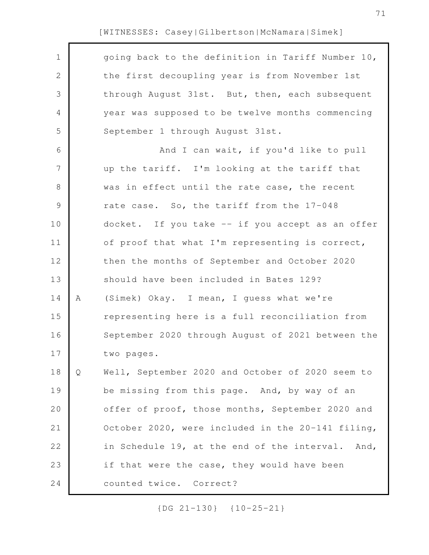| $\mathbf 1$    |   | going back to the definition in Tariff Number 10, |
|----------------|---|---------------------------------------------------|
| $\mathbf{2}$   |   | the first decoupling year is from November 1st    |
| 3              |   | through August 31st. But, then, each subsequent   |
| 4              |   | year was supposed to be twelve months commencing  |
| 5              |   | September 1 through August 31st.                  |
| 6              |   | And I can wait, if you'd like to pull             |
| $\overline{7}$ |   | up the tariff. I'm looking at the tariff that     |
| 8              |   | was in effect until the rate case, the recent     |
| 9              |   | rate case. So, the tariff from the 17-048         |
| 10             |   | docket. If you take -- if you accept as an offer  |
| 11             |   | of proof that what I'm representing is correct,   |
| 12             |   | then the months of September and October 2020     |
| 13             |   | should have been included in Bates 129?           |
| 14             | A | (Simek) Okay. I mean, I guess what we're          |
| 15             |   | representing here is a full reconciliation from   |
| 16             |   | September 2020 through August of 2021 between the |
| 17             |   | two pages.                                        |
| 18             | Q | Well, September 2020 and October of 2020 seem to  |
| 19             |   | be missing from this page. And, by way of an      |
| 20             |   | offer of proof, those months, September 2020 and  |
| 21             |   | October 2020, were included in the 20-141 filing, |
| 22             |   | in Schedule 19, at the end of the interval. And,  |
| 23             |   | if that were the case, they would have been       |
| 24             |   | counted twice. Correct?                           |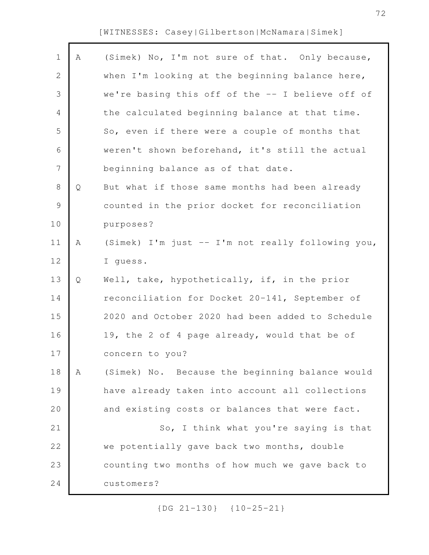Г

| $\mathbf 1$    | Α | (Simek) No, I'm not sure of that. Only because,   |
|----------------|---|---------------------------------------------------|
| $\sqrt{2}$     |   | when I'm looking at the beginning balance here,   |
| 3              |   | we're basing this off of the -- I believe off of  |
| 4              |   | the calculated beginning balance at that time.    |
| 5              |   | So, even if there were a couple of months that    |
| 6              |   | weren't shown beforehand, it's still the actual   |
| $\overline{7}$ |   | beginning balance as of that date.                |
| $\,8\,$        | Q | But what if those same months had been already    |
| $\mathcal{G}$  |   | counted in the prior docket for reconciliation    |
| 10             |   | purposes?                                         |
| 11             | Α | (Simek) I'm just -- I'm not really following you, |
| 12             |   | I guess.                                          |
| 13             | Q | Well, take, hypothetically, if, in the prior      |
| 14             |   | reconciliation for Docket 20-141, September of    |
| 15             |   | 2020 and October 2020 had been added to Schedule  |
| 16             |   | 19, the 2 of 4 page already, would that be of     |
| 17             |   | concern to you?                                   |
| 18             | Α | (Simek) No. Because the beginning balance would   |
| 19             |   | have already taken into account all collections   |
| 20             |   | and existing costs or balances that were fact.    |
| 21             |   | So, I think what you're saying is that            |
| 22             |   | we potentially gave back two months, double       |
| 23             |   |                                                   |
|                |   | counting two months of how much we gave back to   |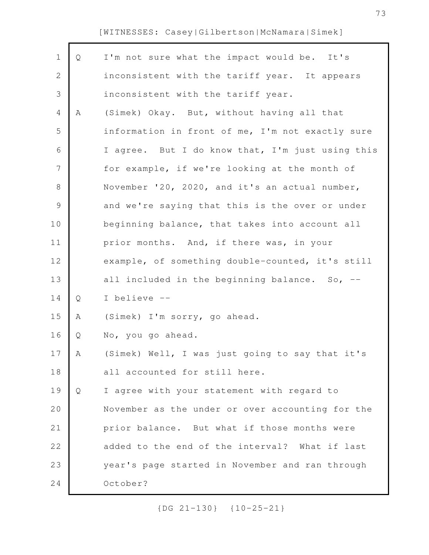Г

| $\mathbf 1$   | Q | I'm not sure what the impact would be. It's      |
|---------------|---|--------------------------------------------------|
| $\mathbf{2}$  |   | inconsistent with the tariff year. It appears    |
| 3             |   | inconsistent with the tariff year.               |
| 4             | Α | (Simek) Okay. But, without having all that       |
| 5             |   | information in front of me, I'm not exactly sure |
| 6             |   | I agree. But I do know that, I'm just using this |
| 7             |   | for example, if we're looking at the month of    |
| $8\,$         |   | November '20, 2020, and it's an actual number,   |
| $\mathcal{G}$ |   | and we're saying that this is the over or under  |
| 10            |   | beginning balance, that takes into account all   |
| 11            |   | prior months. And, if there was, in your         |
| 12            |   | example, of something double-counted, it's still |
| 13            |   | all included in the beginning balance. So, $-$ - |
| 14            | Q | I believe --                                     |
| 15            | A | (Simek) I'm sorry, go ahead.                     |
| 16            | Q | No, you go ahead.                                |
| 17            | Α | (Simek) Well, I was just going to say that it's  |
| 18            |   | all accounted for still here.                    |
| 19            | Q | I agree with your statement with regard to       |
| 20            |   | November as the under or over accounting for the |
| 21            |   | prior balance. But what if those months were     |
| 22            |   | added to the end of the interval? What if last   |
| 23            |   | year's page started in November and ran through  |
| 24            |   | October?                                         |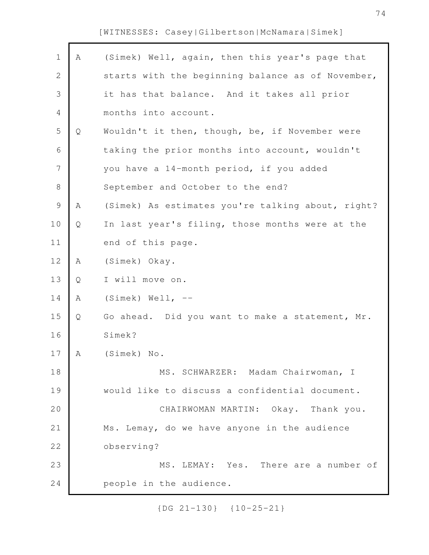| $\mathbf 1$    | Α | (Simek) Well, again, then this year's page that   |
|----------------|---|---------------------------------------------------|
| $\mathbf 2$    |   | starts with the beginning balance as of November, |
| $\mathcal{S}$  |   | it has that balance. And it takes all prior       |
| $\overline{4}$ |   | months into account.                              |
| 5              | Q | Wouldn't it then, though, be, if November were    |
| 6              |   | taking the prior months into account, wouldn't    |
| 7              |   | you have a 14-month period, if you added          |
| $\,8\,$        |   | September and October to the end?                 |
| $\mathcal{G}$  | Α | (Simek) As estimates you're talking about, right? |
| 10             | Q | In last year's filing, those months were at the   |
| 11             |   | end of this page.                                 |
| 12             | Α | (Simek) Okay.                                     |
| 13             | Q | I will move on.                                   |
| 14             | Α | $(Simek)$ Well, $--$                              |
| 15             | Q | Go ahead. Did you want to make a statement, Mr.   |
| 16             |   | Simek?                                            |
| 17             | A | (Simek) No.                                       |
| 18             |   | MS. SCHWARZER: Madam Chairwoman, I                |
| 19             |   | would like to discuss a confidential document.    |
| 20             |   | CHAIRWOMAN MARTIN: Okay. Thank you.               |
| 21             |   | Ms. Lemay, do we have anyone in the audience      |
| 22             |   | observing?                                        |
| 23             |   | MS. LEMAY: Yes. There are a number of             |
| 24             |   | people in the audience.                           |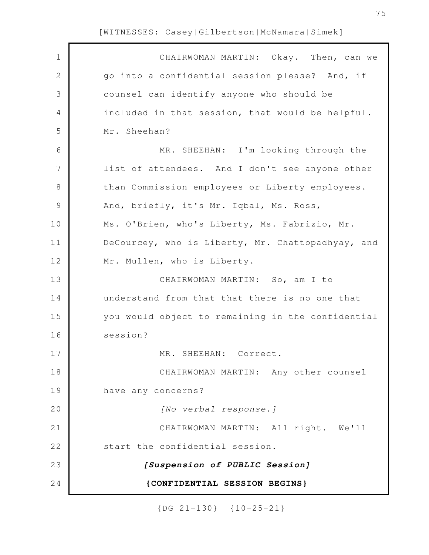| $\mathbf 1$     | CHAIRWOMAN MARTIN: Okay. Then, can we             |
|-----------------|---------------------------------------------------|
| $\mathbf{2}$    | go into a confidential session please? And, if    |
| 3               | counsel can identify anyone who should be         |
| 4               | included in that session, that would be helpful.  |
| 5               | Mr. Sheehan?                                      |
| 6               | MR. SHEEHAN: I'm looking through the              |
| $7\phantom{.0}$ | list of attendees. And I don't see anyone other   |
| $8\,$           | than Commission employees or Liberty employees.   |
| $\mathcal{G}$   | And, briefly, it's Mr. Iqbal, Ms. Ross,           |
| 10              | Ms. O'Brien, who's Liberty, Ms. Fabrizio, Mr.     |
| 11              | DeCourcey, who is Liberty, Mr. Chattopadhyay, and |
| 12              | Mr. Mullen, who is Liberty.                       |
| 13              | CHAIRWOMAN MARTIN: So, am I to                    |
| 14              | understand from that that there is no one that    |
| 15              | you would object to remaining in the confidential |
| 16              | session?                                          |
| 17              | MR. SHEEHAN: Correct.                             |
| 18              | CHAIRWOMAN MARTIN: Any other counsel              |
| 19              | have any concerns?                                |
| 20              | [No verbal response.]                             |
| 21              | CHAIRWOMAN MARTIN: All right. We'll               |
| 22              | start the confidential session.                   |
| 23              | [Suspension of PUBLIC Session]                    |
| 24              | {CONFIDENTIAL SESSION BEGINS}                     |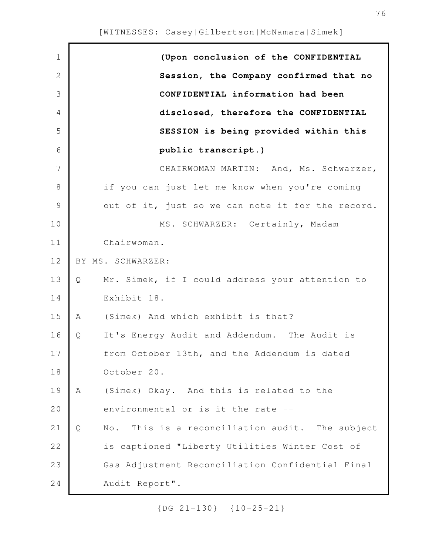| $\mathbf 1$   | (Upon conclusion of the CONFIDENTIAL                    |
|---------------|---------------------------------------------------------|
| $\mathbf{2}$  | Session, the Company confirmed that no                  |
| 3             | CONFIDENTIAL information had been                       |
| 4             | disclosed, therefore the CONFIDENTIAL                   |
| 5             | SESSION is being provided within this                   |
| 6             | public transcript.)                                     |
| 7             | CHAIRWOMAN MARTIN: And, Ms. Schwarzer,                  |
| $8\,$         | if you can just let me know when you're coming          |
| $\mathcal{G}$ | out of it, just so we can note it for the record.       |
| 10            | MS. SCHWARZER: Certainly, Madam                         |
| 11            | Chairwoman.                                             |
| 12            | BY MS. SCHWARZER:                                       |
| 13            | Mr. Simek, if I could address your attention to<br>Q    |
| 14            | Exhibit 18.                                             |
| 15            | (Simek) And which exhibit is that?<br>A                 |
| 16            | It's Energy Audit and Addendum. The Audit is<br>Q       |
| 17            | from October 13th, and the Addendum is dated            |
| 18            | October 20.                                             |
| 19            | (Simek) Okay. And this is related to the<br>Α           |
| 20            | environmental or is it the rate --                      |
| 21            | This is a reconciliation audit. The subject<br>Q<br>No. |
| 22            | is captioned "Liberty Utilities Winter Cost of          |
| 23            | Gas Adjustment Reconciliation Confidential Final        |
| 24            | Audit Report".                                          |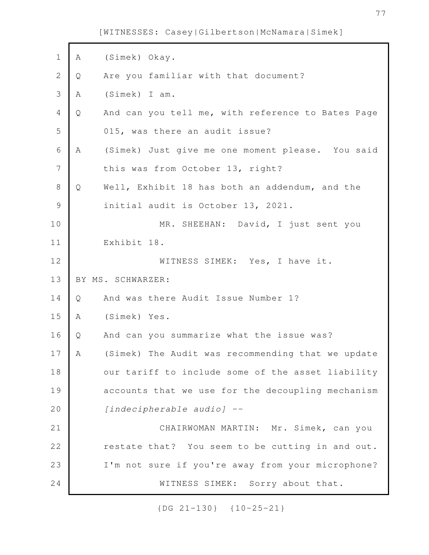| $\mathbf 1$    | Α | (Simek) Okay.                                     |
|----------------|---|---------------------------------------------------|
| $\overline{2}$ | Q | Are you familiar with that document?              |
| 3              | Α | (Simek) I am.                                     |
| 4              | Q | And can you tell me, with reference to Bates Page |
| 5              |   | 015, was there an audit issue?                    |
| $\sqrt{6}$     | A | (Simek) Just give me one moment please. You said  |
| 7              |   | this was from October 13, right?                  |
| $\,8\,$        | Q | Well, Exhibit 18 has both an addendum, and the    |
| $\mathcal{G}$  |   | initial audit is October 13, 2021.                |
| 10             |   | MR. SHEEHAN: David, I just sent you               |
| 11             |   | Exhibit 18.                                       |
| 12             |   | WITNESS SIMEK: Yes, I have it.                    |
|                |   |                                                   |
| 13             |   | BY MS. SCHWARZER:                                 |
| 14             | Q | And was there Audit Issue Number 1?               |
| 15             | Α | (Simek) Yes.                                      |
| 16             | Q | And can you summarize what the issue was?         |
| 17             | A | (Simek) The Audit was recommending that we update |
| 18             |   | our tariff to include some of the asset liability |
| 19             |   | accounts that we use for the decoupling mechanism |
| 20             |   | [indecipherable audio] --                         |
| 21             |   | CHAIRWOMAN MARTIN: Mr. Simek, can you             |
| 22             |   | restate that? You seem to be cutting in and out.  |
| 23             |   | I'm not sure if you're away from your microphone? |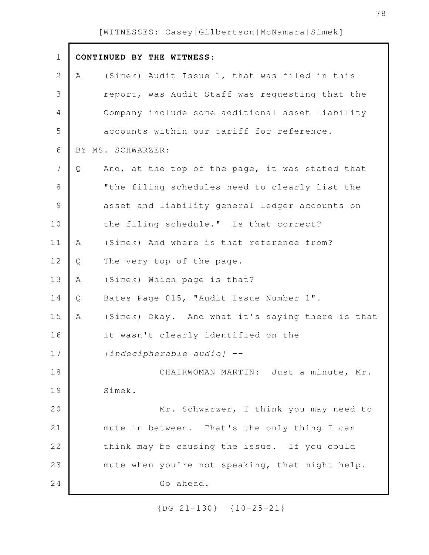Г

| $\mathbf 1$   |   | CONTINUED BY THE WITNESS:                        |
|---------------|---|--------------------------------------------------|
| $\mathbf{2}$  | A | (Simek) Audit Issue 1, that was filed in this    |
| 3             |   | report, was Audit Staff was requesting that the  |
| 4             |   | Company include some additional asset liability  |
| 5             |   | accounts within our tariff for reference.        |
| 6             |   | BY MS. SCHWARZER:                                |
| 7             | Q | And, at the top of the page, it was stated that  |
| 8             |   | "the filing schedules need to clearly list the   |
| $\mathcal{G}$ |   | asset and liability general ledger accounts on   |
| 10            |   | the filing schedule." Is that correct?           |
| 11            | Α | (Simek) And where is that reference from?        |
| 12            | Q | The very top of the page.                        |
| 13            | Α | (Simek) Which page is that?                      |
| 14            | Q | Bates Page 015, "Audit Issue Number 1".          |
| 15            | A | (Simek) Okay. And what it's saying there is that |
| 16            |   | it wasn't clearly identified on the              |
| 17            |   | [indecipherable audio] --                        |
| 18            |   | CHAIRWOMAN MARTIN: Just a minute, Mr.            |
| 19            |   | Simek.                                           |
| 20            |   | Mr. Schwarzer, I think you may need to           |
| 21            |   | mute in between. That's the only thing I can     |
| 22            |   | think may be causing the issue. If you could     |
| 23            |   | mute when you're not speaking, that might help.  |
| 24            |   | Go ahead.                                        |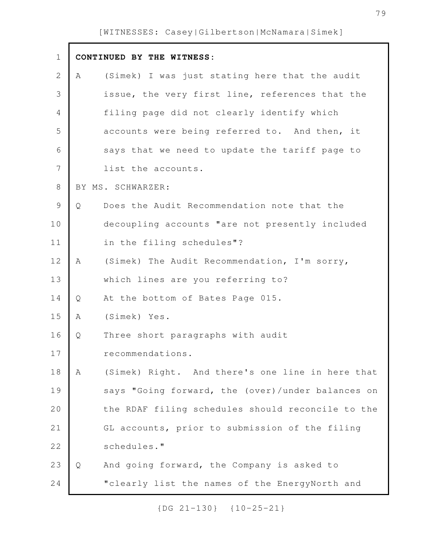| $\mathbf 1$ |   | CONTINUED BY THE WITNESS:                         |
|-------------|---|---------------------------------------------------|
| 2           | Α | (Simek) I was just stating here that the audit    |
| 3           |   | issue, the very first line, references that the   |
| 4           |   | filing page did not clearly identify which        |
| 5           |   | accounts were being referred to. And then, it     |
| 6           |   | says that we need to update the tariff page to    |
| 7           |   | list the accounts.                                |
| $8\,$       |   | BY MS. SCHWARZER:                                 |
| $\mathsf 9$ | Q | Does the Audit Recommendation note that the       |
| 10          |   | decoupling accounts "are not presently included   |
| 11          |   | in the filing schedules"?                         |
| 12          | A | (Simek) The Audit Recommendation, I'm sorry,      |
| 13          |   | which lines are you referring to?                 |
| 14          | Q | At the bottom of Bates Page 015.                  |
| 15          | Α | (Simek) Yes.                                      |
| 16          | Q | Three short paragraphs with audit                 |
| 17          |   | recommendations.                                  |
| 18          | Α | (Simek) Right. And there's one line in here that  |
| 19          |   | says "Going forward, the (over)/under balances on |
| 20          |   | the RDAF filing schedules should reconcile to the |
| 21          |   | GL accounts, prior to submission of the filing    |
| 22          |   | schedules."                                       |
| 23          | Q | And going forward, the Company is asked to        |
| 24          |   | "clearly list the names of the EnergyNorth and    |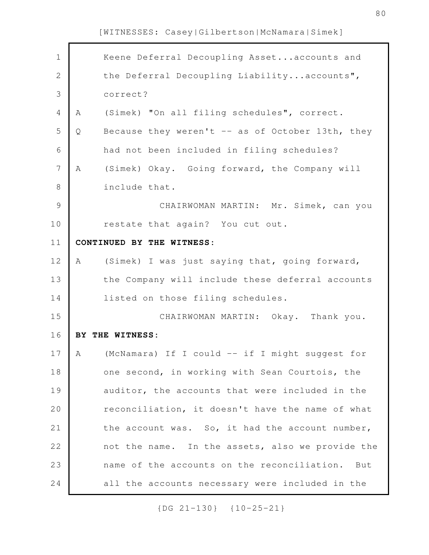| $\mathbf 1$  |   | Keene Deferral Decoupling Assetaccounts and      |
|--------------|---|--------------------------------------------------|
| $\mathbf{2}$ |   | the Deferral Decoupling Liabilityaccounts",      |
| 3            |   | correct?                                         |
| 4            | Α | (Simek) "On all filing schedules", correct.      |
| 5            | Q | Because they weren't -- as of October 13th, they |
| $\sqrt{6}$   |   | had not been included in filing schedules?       |
| 7            | Α | (Simek) Okay. Going forward, the Company will    |
| $\,8\,$      |   | include that.                                    |
| 9            |   | CHAIRWOMAN MARTIN: Mr. Simek, can you            |
| 10           |   | restate that again? You cut out.                 |
| 11           |   | CONTINUED BY THE WITNESS:                        |
| 12           | Α | (Simek) I was just saying that, going forward,   |
| 13           |   | the Company will include these deferral accounts |
| 14           |   | listed on those filing schedules.                |
|              |   |                                                  |
| 15           |   | CHAIRWOMAN MARTIN: Okay. Thank you.              |
| 16           |   | BY THE WITNESS:                                  |
| 17           | A | (McNamara) If I could -- if I might suggest for  |
| 18           |   | one second, in working with Sean Courtois, the   |
| 19           |   | auditor, the accounts that were included in the  |
| 20           |   | reconciliation, it doesn't have the name of what |
| 21           |   | the account was. So, it had the account number,  |
| 22           |   | not the name. In the assets, also we provide the |
| 23           |   | name of the accounts on the reconciliation. But  |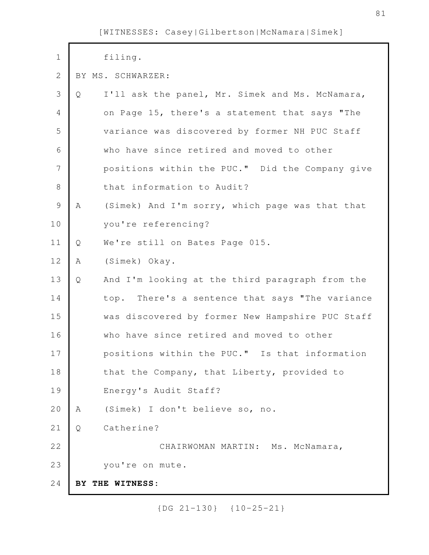| $\mathbf 1$    |   | filing.                                          |
|----------------|---|--------------------------------------------------|
| $\mathbf{2}$   |   | BY MS. SCHWARZER:                                |
| 3              | Q | I'll ask the panel, Mr. Simek and Ms. McNamara,  |
| $\overline{4}$ |   | on Page 15, there's a statement that says "The   |
| 5              |   | variance was discovered by former NH PUC Staff   |
| 6              |   | who have since retired and moved to other        |
| 7              |   | positions within the PUC." Did the Company give  |
| $\,8\,$        |   | that information to Audit?                       |
| $\mathsf 9$    | A | (Simek) And I'm sorry, which page was that that  |
| 10             |   | you're referencing?                              |
| 11             | Q | We're still on Bates Page 015.                   |
| 12             | Α | (Simek) Okay.                                    |
| 13             | Q | And I'm looking at the third paragraph from the  |
| 14             |   | top. There's a sentence that says "The variance  |
| 15             |   | was discovered by former New Hampshire PUC Staff |
| 16             |   | who have since retired and moved to other        |
| 17             |   | positions within the PUC." Is that information   |
| 18             |   | that the Company, that Liberty, provided to      |
| 19             |   | Energy's Audit Staff?                            |
| 20             | Α | (Simek) I don't believe so, no.                  |
| 21             | Q | Catherine?                                       |
| 22             |   | CHAIRWOMAN MARTIN: Ms. McNamara,                 |
| 23             |   | you're on mute.                                  |
| 24             |   | BY THE WITNESS:                                  |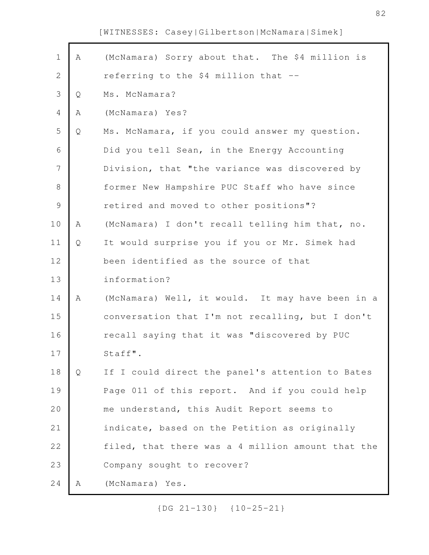Г

| $\mathbf 1$    | Α            | (McNamara) Sorry about that. The \$4 million is   |
|----------------|--------------|---------------------------------------------------|
| $\mathbf{2}$   |              | referring to the \$4 million that --              |
| $\mathfrak{Z}$ | Q            | Ms. McNamara?                                     |
| $\sqrt{4}$     | Α            | (McNamara) Yes?                                   |
| 5              | Q            | Ms. McNamara, if you could answer my question.    |
| 6              |              | Did you tell Sean, in the Energy Accounting       |
| $\overline{7}$ |              | Division, that "the variance was discovered by    |
| 8              |              | former New Hampshire PUC Staff who have since     |
| $\mathcal{G}$  |              | retired and moved to other positions"?            |
| 10             | A            | (McNamara) I don't recall telling him that, no.   |
| 11             | Q            | It would surprise you if you or Mr. Simek had     |
| 12             |              | been identified as the source of that             |
| 13             |              | information?                                      |
| 14             | Α            | (McNamara) Well, it would. It may have been in a  |
| 15             |              | conversation that I'm not recalling, but I don't  |
| 16             |              | recall saying that it was "discovered by PUC      |
| 17             |              | Staff".                                           |
| 18             | $\mathsf{Q}$ | If I could direct the panel's attention to Bates  |
| 19             |              | Page 011 of this report. And if you could help    |
| 20             |              | me understand, this Audit Report seems to         |
| 21             |              | indicate, based on the Petition as originally     |
| 22             |              | filed, that there was a 4 million amount that the |
| 23             |              | Company sought to recover?                        |
| 24             | Α            | (McNamara) Yes.                                   |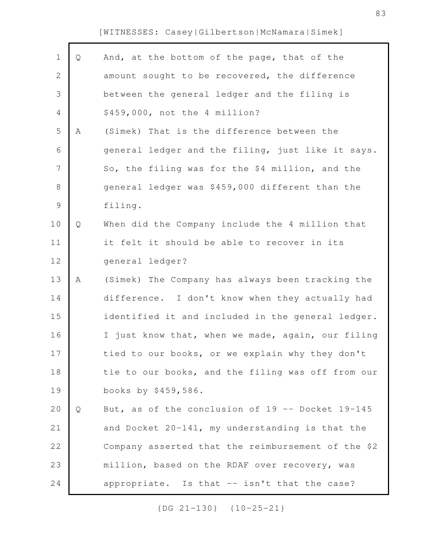Г

| $\mathbf 1$    | Q | And, at the bottom of the page, that of the          |
|----------------|---|------------------------------------------------------|
| $\overline{2}$ |   | amount sought to be recovered, the difference        |
| 3              |   | between the general ledger and the filing is         |
| $\overline{4}$ |   | \$459,000, not the 4 million?                        |
| 5              | Α | (Simek) That is the difference between the           |
| 6              |   | general ledger and the filing, just like it says.    |
| 7              |   | So, the filing was for the \$4 million, and the      |
| $\,8\,$        |   | general ledger was \$459,000 different than the      |
| $\mathcal{G}$  |   | filing.                                              |
| 10             | Q | When did the Company include the 4 million that      |
| 11             |   | it felt it should be able to recover in its          |
| 12             |   | general ledger?                                      |
| 13             | Α | (Simek) The Company has always been tracking the     |
| 14             |   | difference. I don't know when they actually had      |
| 15             |   | identified it and included in the general ledger.    |
| 16             |   | I just know that, when we made, again, our filing    |
| 17             |   | tied to our books, or we explain why they don't      |
| 18             |   | tie to our books, and the filing was off from our    |
| 19             |   | books by \$459,586.                                  |
| 20             | Q | But, as of the conclusion of $19$ -- Docket $19-145$ |
| 21             |   | and Docket 20-141, my understanding is that the      |
| 22             |   | Company asserted that the reimbursement of the \$2   |
| 23             |   | million, based on the RDAF over recovery, was        |
| 24             |   | appropriate. Is that -- isn't that the case?         |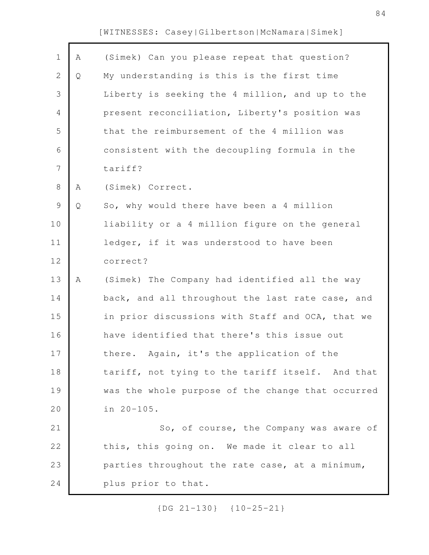| $\mathbf 1$    | Α | (Simek) Can you please repeat that question?      |
|----------------|---|---------------------------------------------------|
| 2              | Q | My understanding is this is the first time        |
| 3              |   | Liberty is seeking the 4 million, and up to the   |
| 4              |   | present reconciliation, Liberty's position was    |
| 5              |   | that the reimbursement of the 4 million was       |
| 6              |   | consistent with the decoupling formula in the     |
| $\overline{7}$ |   | tariff?                                           |
| 8              | Α | (Simek) Correct.                                  |
| 9              | Q | So, why would there have been a 4 million         |
| 10             |   | liability or a 4 million figure on the general    |
| 11             |   | ledger, if it was understood to have been         |
| 12             |   | correct?                                          |
| 13             | Α | (Simek) The Company had identified all the way    |
| 14             |   | back, and all throughout the last rate case, and  |
| 15             |   | in prior discussions with Staff and OCA, that we  |
| 16             |   | have identified that there's this issue out       |
| 17             |   | there. Again, it's the application of the         |
| 18             |   | tariff, not tying to the tariff itself. And that  |
| 19             |   | was the whole purpose of the change that occurred |
| 20             |   | in 20-105.                                        |
| 21             |   | So, of course, the Company was aware of           |
| 22             |   | this, this going on. We made it clear to all      |
| 23             |   | parties throughout the rate case, at a minimum,   |
| 24             |   | plus prior to that.                               |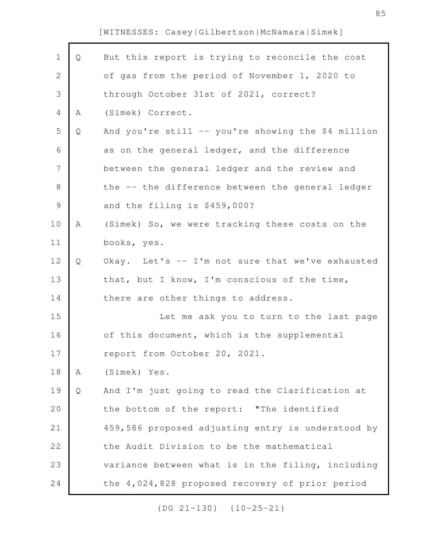Г

| $\mathbf 1$    | Q | But this report is trying to reconcile the cost    |
|----------------|---|----------------------------------------------------|
| $\overline{2}$ |   | of gas from the period of November 1, 2020 to      |
| 3              |   | through October 31st of 2021, correct?             |
| 4              | Α | (Simek) Correct.                                   |
| 5              | Q | And you're still -- you're showing the \$4 million |
| 6              |   | as on the general ledger, and the difference       |
| 7              |   | between the general ledger and the review and      |
| 8              |   | the -- the difference between the general ledger   |
| $\mathsf 9$    |   | and the filing is \$459,000?                       |
| 10             | Α | (Simek) So, we were tracking these costs on the    |
| 11             |   | books, yes.                                        |
| 12             | Q | Okay. Let's -- I'm not sure that we've exhausted   |
| 13             |   | that, but I know, I'm conscious of the time,       |
| 14             |   | there are other things to address.                 |
| 15             |   | Let me ask you to turn to the last page            |
| 16             |   | of this document, which is the supplemental        |
| 17             |   | report from October 20, 2021.                      |
| 18             | A | (Simek) Yes.                                       |
| 19             | Q | And I'm just going to read the Clarification at    |
| 20             |   | the bottom of the report: "The identified          |
| 21             |   | 459,586 proposed adjusting entry is understood by  |
| 22             |   | the Audit Division to be the mathematical          |
| 23             |   | variance between what is in the filing, including  |
| 24             |   | the 4,024,828 proposed recovery of prior period    |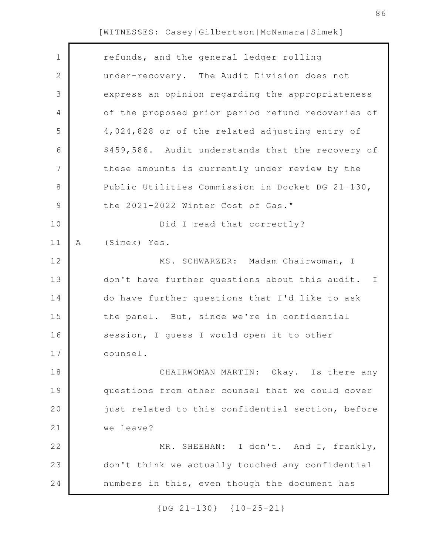| $\mathbf 1$    |   | refunds, and the general ledger rolling           |
|----------------|---|---------------------------------------------------|
| $\mathbf 2$    |   | under-recovery. The Audit Division does not       |
| 3              |   | express an opinion regarding the appropriateness  |
| $\overline{4}$ |   | of the proposed prior period refund recoveries of |
| 5              |   | 4,024,828 or of the related adjusting entry of    |
| 6              |   | \$459,586. Audit understands that the recovery of |
| 7              |   | these amounts is currently under review by the    |
| 8              |   | Public Utilities Commission in Docket DG 21-130,  |
| $\mathcal{G}$  |   | the 2021-2022 Winter Cost of Gas."                |
| 10             |   | Did I read that correctly?                        |
| 11             | Α | (Simek) Yes.                                      |
| 12             |   | MS. SCHWARZER: Madam Chairwoman, I                |
| 13             |   | don't have further questions about this audit. I  |
| 14             |   | do have further questions that I'd like to ask    |
| 15             |   | the panel. But, since we're in confidential       |
| 16             |   | session, I guess I would open it to other         |
| 17             |   | counsel.                                          |
| 18             |   | CHAIRWOMAN MARTIN: Okay. Is there any             |
| 19             |   | questions from other counsel that we could cover  |
| 20             |   | just related to this confidential section, before |
| 21             |   | we leave?                                         |
| 22             |   | MR. SHEEHAN: I don't. And I, frankly,             |
| 23             |   | don't think we actually touched any confidential  |
| 24             |   | numbers in this, even though the document has     |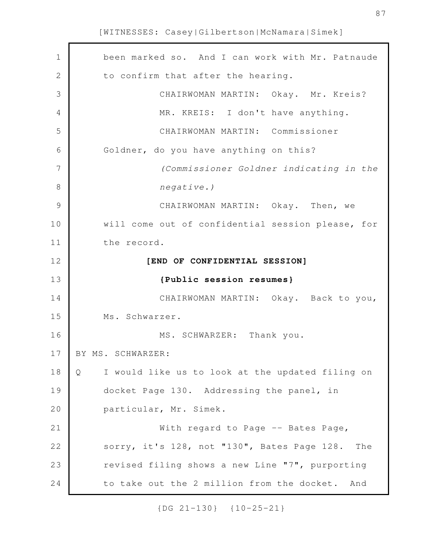| 1            | been marked so. And I can work with Mr. Patnaude      |
|--------------|-------------------------------------------------------|
| $\mathbf{2}$ | to confirm that after the hearing.                    |
| 3            | CHAIRWOMAN MARTIN: Okay. Mr. Kreis?                   |
| 4            | MR. KREIS: I don't have anything.                     |
| 5            | CHAIRWOMAN MARTIN: Commissioner                       |
| 6            | Goldner, do you have anything on this?                |
| 7            | (Commissioner Goldner indicating in the               |
| 8            | $negative.$ )                                         |
| 9            | CHAIRWOMAN MARTIN: Okay. Then, we                     |
| 10           | will come out of confidential session please, for     |
| 11           | the record.                                           |
| 12           | [END OF CONFIDENTIAL SESSION]                         |
|              |                                                       |
| 13           | {Public session resumes}                              |
| 14           | CHAIRWOMAN MARTIN: Okay. Back to you,                 |
| 15           | Ms. Schwarzer.                                        |
| 16           | MS. SCHWARZER: Thank you.                             |
| 17           | BY MS. SCHWARZER:                                     |
| 18           | I would like us to look at the updated filing on<br>Q |
| 19           | docket Page 130. Addressing the panel, in             |
| 20           | particular, Mr. Simek.                                |
| 21           | With regard to Page -- Bates Page,                    |
| 22           | sorry, it's 128, not "130", Bates Page 128.<br>The    |
| 23           | revised filing shows a new Line "7", purporting       |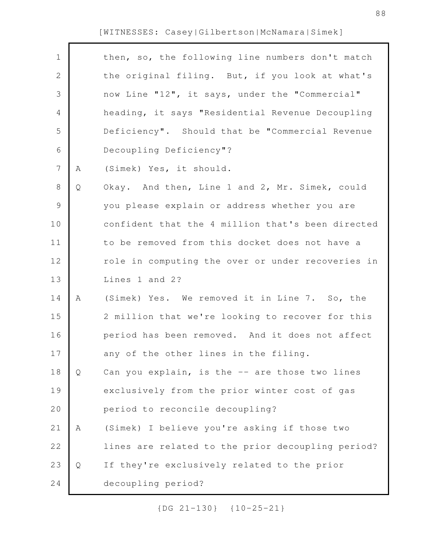| $\mathbf 1$    |   | then, so, the following line numbers don't match  |
|----------------|---|---------------------------------------------------|
| $\mathbf{2}$   |   | the original filing. But, if you look at what's   |
| 3              |   | now Line "12", it says, under the "Commercial"    |
| 4              |   | heading, it says "Residential Revenue Decoupling  |
| 5              |   | Deficiency". Should that be "Commercial Revenue   |
| 6              |   | Decoupling Deficiency"?                           |
| $7\phantom{.}$ | Α | (Simek) Yes, it should.                           |
| 8              | Q | Okay. And then, Line 1 and 2, Mr. Simek, could    |
| 9              |   | you please explain or address whether you are     |
| 10             |   | confident that the 4 million that's been directed |
| 11             |   | to be removed from this docket does not have a    |
| 12             |   | role in computing the over or under recoveries in |
| 13             |   | Lines 1 and 2?                                    |
| 14             | Α | (Simek) Yes. We removed it in Line 7. So, the     |
| 15             |   | 2 million that we're looking to recover for this  |
| 16             |   | period has been removed. And it does not affect   |
| 17             |   | any of the other lines in the filing.             |
| 18             | Q | Can you explain, is the -- are those two lines    |
| 19             |   | exclusively from the prior winter cost of gas     |
| 20             |   | period to reconcile decoupling?                   |
| 21             | Α | (Simek) I believe you're asking if those two      |
| 22             |   | lines are related to the prior decoupling period? |
| 23             | Q | If they're exclusively related to the prior       |
| 24             |   | decoupling period?                                |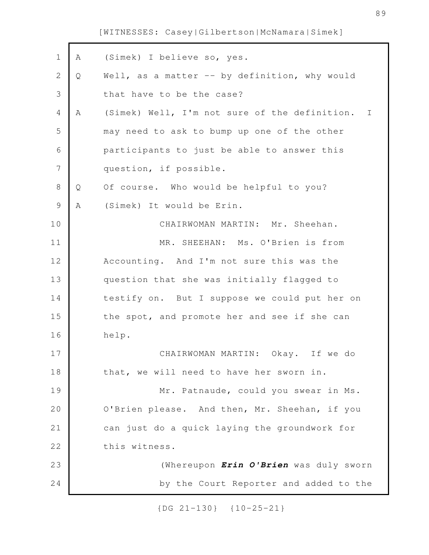| $\mathbf 1$    | Α | (Simek) I believe so, yes.                      |
|----------------|---|-------------------------------------------------|
| $\mathbf 2$    | Q | Well, as a matter -- by definition, why would   |
| 3              |   | that have to be the case?                       |
| $\overline{4}$ | A | (Simek) Well, I'm not sure of the definition. I |
| 5              |   | may need to ask to bump up one of the other     |
| 6              |   | participants to just be able to answer this     |
| $\overline{7}$ |   | question, if possible.                          |
| 8              | Q | Of course. Who would be helpful to you?         |
| $\mathcal{G}$  | Α | (Simek) It would be Erin.                       |
| 10             |   | CHAIRWOMAN MARTIN: Mr. Sheehan.                 |
| 11             |   | MR. SHEEHAN: Ms. O'Brien is from                |
| 12             |   | Accounting. And I'm not sure this was the       |
| 13             |   | question that she was initially flagged to      |
| 14             |   | testify on. But I suppose we could put her on   |
| 15             |   | the spot, and promote her and see if she can    |
| 16             |   | help.                                           |
| 17             |   | CHAIRWOMAN MARTIN: Okay. If we do               |
| 18             |   | that, we will need to have her sworn in.        |
| 19             |   | Mr. Patnaude, could you swear in Ms.            |
| 20             |   | O'Brien please. And then, Mr. Sheehan, if you   |
| 21             |   | can just do a quick laying the groundwork for   |
| 22             |   | this witness.                                   |
| 23             |   | (Whereupon Erin O'Brien was duly sworn          |
| 24             |   | by the Court Reporter and added to the          |
|                |   |                                                 |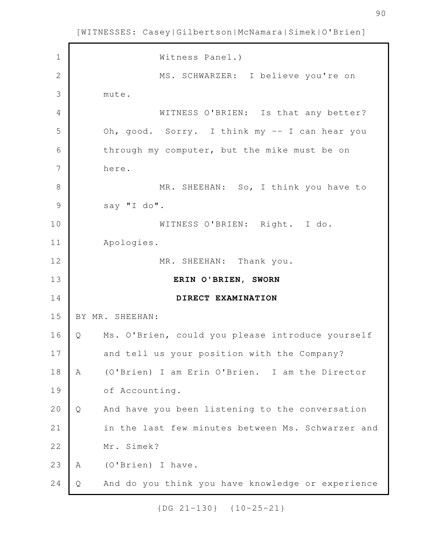Witness Panel.) MS. SCHWARZER: I believe you're on mute. WITNESS O'BRIEN: Is that any better? Oh, good. Sorry. I think my -- I can hear you through my computer, but the mike must be on here. MR. SHEEHAN: So, I think you have to say "I do". WITNESS O'BRIEN: Right. I do. Apologies. MR. SHEEHAN: Thank you. **ERIN O'BRIEN, SWORN DIRECT EXAMINATION** BY MR. SHEEHAN: Q Ms. O'Brien, could you please introduce yourself and tell us your position with the Company? A (O'Brien) I am Erin O'Brien. I am the Director of Accounting. Q And have you been listening to the conversation in the last few minutes between Ms. Schwarzer and Mr. Simek? A (O'Brien) I have. Q And do you think you have knowledge or experience 1 2 3 4 5 6 7 8 9 10 11 12 13 14 15 16 17 18 19 20 21 22 23 24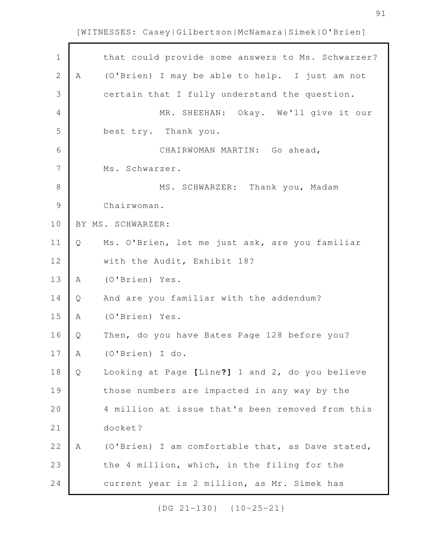| $\mathbf 1$   |   | that could provide some answers to Ms. Schwarzer? |
|---------------|---|---------------------------------------------------|
| $\sqrt{2}$    | Α | (O'Brien) I may be able to help. I just am not    |
| 3             |   | certain that I fully understand the question.     |
| 4             |   | MR. SHEEHAN: Okay. We'll give it our              |
| 5             |   | best try. Thank you.                              |
| 6             |   | CHAIRWOMAN MARTIN: Go ahead,                      |
| 7             |   | Ms. Schwarzer.                                    |
| 8             |   | MS. SCHWARZER: Thank you, Madam                   |
| $\mathcal{G}$ |   | Chairwoman.                                       |
| 10            |   | BY MS. SCHWARZER:                                 |
| 11            | Q | Ms. O'Brien, let me just ask, are you familiar    |
| 12            |   | with the Audit, Exhibit 18?                       |
| 13            | Α | (O'Brien) Yes.                                    |
| 14            | Q | And are you familiar with the addendum?           |
| 15            | Α | (O'Brien) Yes.                                    |
| 16            | Q | Then, do you have Bates Page 128 before you?      |
| 17            | Α | (O'Brien) I do.                                   |
| 18            | Q | Looking at Page [Line?] 1 and 2, do you believe   |
| 19            |   | those numbers are impacted in any way by the      |
| 20            |   | 4 million at issue that's been removed from this  |
| 21            |   | docket?                                           |
| 22            | A | (O'Brien) I am comfortable that, as Dave stated,  |
| 23            |   | the 4 million, which, in the filing for the       |
| 24            |   | current year is 2 million, as Mr. Simek has       |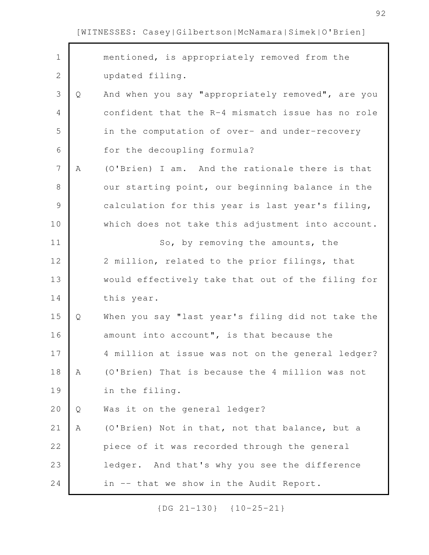| $\mathbf 1$   |   | mentioned, is appropriately removed from the      |
|---------------|---|---------------------------------------------------|
| $\mathbf{2}$  |   | updated filing.                                   |
| 3             | Q | And when you say "appropriately removed", are you |
| 4             |   | confident that the R-4 mismatch issue has no role |
| 5             |   | in the computation of over- and under-recovery    |
| 6             |   | for the decoupling formula?                       |
| 7             | A | (O'Brien) I am. And the rationale there is that   |
| 8             |   | our starting point, our beginning balance in the  |
| $\mathcal{G}$ |   | calculation for this year is last year's filing,  |
| 10            |   | which does not take this adjustment into account. |
| 11            |   | So, by removing the amounts, the                  |
| 12            |   | 2 million, related to the prior filings, that     |
| 13            |   | would effectively take that out of the filing for |
| 14            |   | this year.                                        |
| 15            | Q | When you say "last year's filing did not take the |
| 16            |   | amount into account", is that because the         |
| 17            |   | 4 million at issue was not on the general ledger? |
| 18            | A | (O'Brien) That is because the 4 million was not   |
| 19            |   | in the filing.                                    |
| 20            | Q | Was it on the general ledger?                     |
| 21            | Α | (O'Brien) Not in that, not that balance, but a    |
| 22            |   | piece of it was recorded through the general      |
| 23            |   | ledger. And that's why you see the difference     |
| 24            |   | in -- that we show in the Audit Report.           |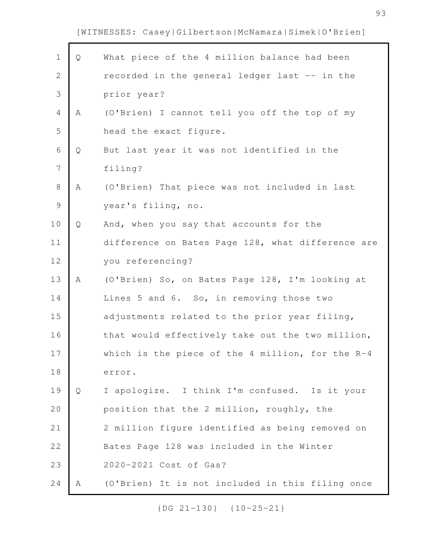| $\mathbf 1$    | Q | What piece of the 4 million balance had been       |
|----------------|---|----------------------------------------------------|
| $\overline{2}$ |   | recorded in the general ledger last -- in the      |
| 3              |   | prior year?                                        |
| $\overline{4}$ | Α | (O'Brien) I cannot tell you off the top of my      |
| 5              |   | head the exact figure.                             |
| 6              | Q | But last year it was not identified in the         |
| 7              |   | filing?                                            |
| 8              | Α | (O'Brien) That piece was not included in last      |
| $\mathcal{G}$  |   | year's filing, no.                                 |
| 10             | Q | And, when you say that accounts for the            |
| 11             |   | difference on Bates Page 128, what difference are  |
| 12             |   | you referencing?                                   |
| 13             | Α | (O'Brien) So, on Bates Page 128, I'm looking at    |
| 14             |   | Lines 5 and 6. So, in removing those two           |
| 15             |   | adjustments related to the prior year filing,      |
| 16             |   | that would effectively take out the two million,   |
| 17             |   | which is the piece of the 4 million, for the $R-4$ |
| 18             |   | error.                                             |
| 19             | Q | I apologize. I think I'm confused. Is it your      |
| 20             |   | position that the 2 million, roughly, the          |
| 21             |   | 2 million figure identified as being removed on    |
| 22             |   | Bates Page 128 was included in the Winter          |
| 23             |   | 2020-2021 Cost of Gas?                             |
| 24             | Α | (O'Brien) It is not included in this filing once   |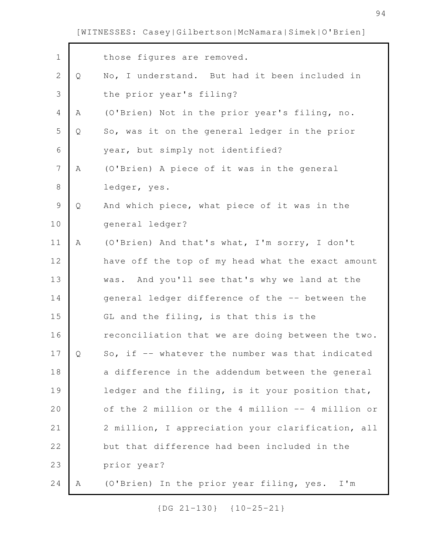| $\mathbf 1$      |   | those figures are removed.                        |
|------------------|---|---------------------------------------------------|
| $\sqrt{2}$       | Q | No, I understand. But had it been included in     |
| $\mathsf 3$      |   | the prior year's filing?                          |
| $\overline{4}$   | Α | (O'Brien) Not in the prior year's filing, no.     |
| 5                | Q | So, was it on the general ledger in the prior     |
| 6                |   | year, but simply not identified?                  |
| $\boldsymbol{7}$ | Α | (O'Brien) A piece of it was in the general        |
| $\,8\,$          |   | ledger, yes.                                      |
| $\mathcal{G}$    | Q | And which piece, what piece of it was in the      |
| 10               |   | general ledger?                                   |
| 11               | Α | (O'Brien) And that's what, I'm sorry, I don't     |
| 12               |   | have off the top of my head what the exact amount |
| 13               |   | was. And you'll see that's why we land at the     |
| 14               |   | general ledger difference of the -- between the   |
| 15               |   | GL and the filing, is that this is the            |
| 16               |   | reconciliation that we are doing between the two. |
| 17               | Q | So, if -- whatever the number was that indicated  |
| 18               |   | a difference in the addendum between the general  |
| 19               |   | ledger and the filing, is it your position that,  |
| 20               |   | of the 2 million or the 4 million -- 4 million or |
| 21               |   | 2 million, I appreciation your clarification, all |
| 22               |   | but that difference had been included in the      |
| 23               |   | prior year?                                       |
| 24               | Α | (O'Brien) In the prior year filing, yes.<br>I'm   |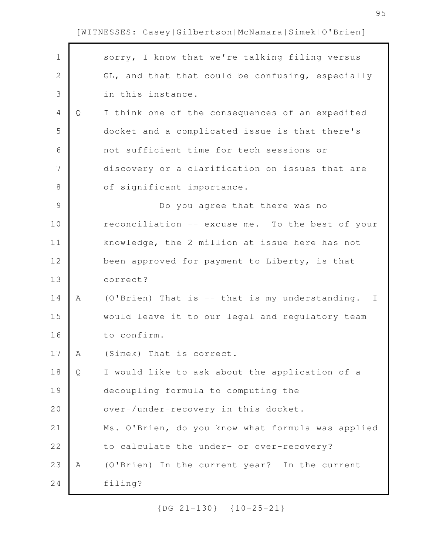| $\mathbf 1$   |   | sorry, I know that we're talking filing versus    |
|---------------|---|---------------------------------------------------|
| $\mathbf{2}$  |   | GL, and that that could be confusing, especially  |
| 3             |   | in this instance.                                 |
| 4             | Q | I think one of the consequences of an expedited   |
| 5             |   | docket and a complicated issue is that there's    |
| 6             |   | not sufficient time for tech sessions or          |
| 7             |   | discovery or a clarification on issues that are   |
| 8             |   | of significant importance.                        |
| $\mathcal{G}$ |   | Do you agree that there was no                    |
| 10            |   | reconciliation -- excuse me. To the best of your  |
| 11            |   | knowledge, the 2 million at issue here has not    |
| 12            |   | been approved for payment to Liberty, is that     |
| 13            |   | correct?                                          |
| 14            | Α | (O'Brien) That is -- that is my understanding. I  |
| 15            |   | would leave it to our legal and regulatory team   |
| 16            |   | to confirm.                                       |
| 17            | A | (Simek) That is correct.                          |
| 18            | Q | I would like to ask about the application of a    |
| 19            |   | decoupling formula to computing the               |
| 20            |   | over-/under-recovery in this docket.              |
| 21            |   | Ms. O'Brien, do you know what formula was applied |
| 22            |   | to calculate the under- or over-recovery?         |
| 23            | Α | (O'Brien) In the current year? In the current     |
| 24            |   | filing?                                           |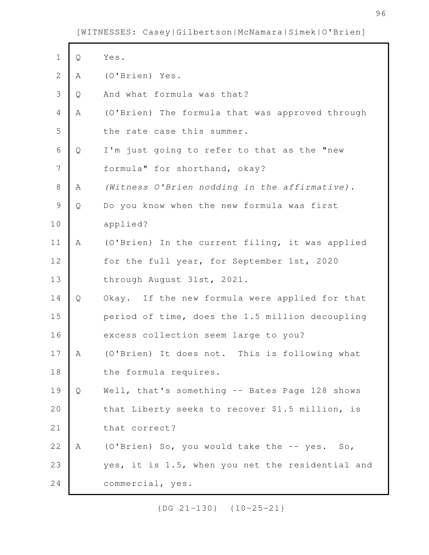$\mathsf{r}$ 

| $\mathbf 1$    | Q | Yes.                                             |
|----------------|---|--------------------------------------------------|
| $\mathbf{2}$   | Α | (O'Brien) Yes.                                   |
| 3              | Q | And what formula was that?                       |
| 4              | Α | (O'Brien) The formula that was approved through  |
| 5              |   | the rate case this summer.                       |
| $\sqrt{6}$     | Q | I'm just going to refer to that as the "new      |
| $\overline{7}$ |   | formula" for shorthand, okay?                    |
| $8\,$          | Α | (Witness O'Brien nodding in the affirmative).    |
| $\mathcal{G}$  | Q | Do you know when the new formula was first       |
| 10             |   | applied?                                         |
| 11             | Α | (O'Brien) In the current filing, it was applied  |
| 12             |   | for the full year, for September 1st, 2020       |
| 13             |   | through August 31st, 2021.                       |
| 14             | Q | Okay. If the new formula were applied for that   |
| 15             |   | period of time, does the 1.5 million decoupling  |
| 16             |   | excess collection seem large to you?             |
| 17             | Α | (O'Brien) It does not. This is following what    |
| 18             |   | the formula requires.                            |
| 19             | Q | Well, that's something -- Bates Page 128 shows   |
| 20             |   | that Liberty seeks to recover \$1.5 million, is  |
| 21             |   | that correct?                                    |
| 22             | Α | (O'Brien) So, you would take the -- yes. So,     |
| 23             |   | yes, it is 1.5, when you net the residential and |
| 24             |   | commercial, yes.                                 |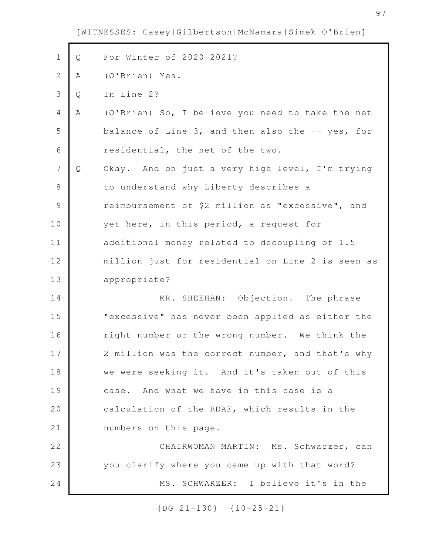Q For Winter of 2020-2021? A (O'Brien) Yes. Q In Line 2? A (O'Brien) So, I believe you need to take the net balance of Line 3, and then also the -- yes, for residential, the net of the two. Q Okay. And on just a very high level, I'm trying to understand why Liberty describes a reimbursement of \$2 million as "excessive", and yet here, in this period, a request for additional money related to decoupling of 1.5 million just for residential on Line 2 is seen as appropriate? MR. SHEEHAN: Objection. The phrase "excessive" has never been applied as either the right number or the wrong number. We think the 2 million was the correct number, and that's why we were seeking it. And it's taken out of this case. And what we have in this case is a calculation of the RDAF, which results in the numbers on this page. CHAIRWOMAN MARTIN: Ms. Schwarzer, can you clarify where you came up with that word? MS. SCHWARZER: I believe it's in the 1 2 3 4 5 6 7 8 9 10 11 12 13 14 15 16 17 18 19 20 21 22 23 24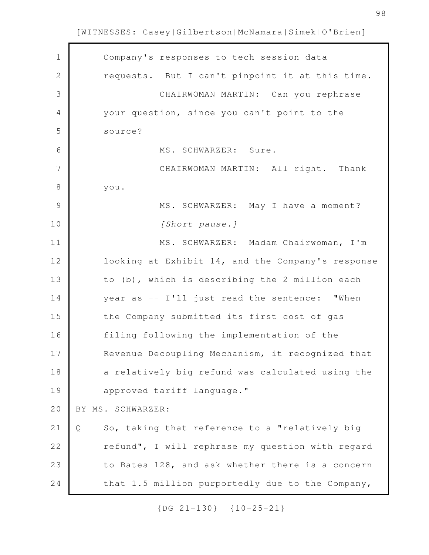$\mathbf{r}$ 

| $\mathbf 1$   | Company's responses to tech session data            |
|---------------|-----------------------------------------------------|
| $\mathbf{2}$  | requests. But I can't pinpoint it at this time.     |
| 3             | CHAIRWOMAN MARTIN: Can you rephrase                 |
| 4             | your question, since you can't point to the         |
| 5             | source?                                             |
| 6             | MS. SCHWARZER: Sure.                                |
| 7             | CHAIRWOMAN MARTIN: All right. Thank                 |
| 8             | you.                                                |
| $\mathcal{G}$ | MS. SCHWARZER: May I have a moment?                 |
| 10            | [Short pause.]                                      |
| 11            | MS. SCHWARZER: Madam Chairwoman, I'm                |
| 12            | looking at Exhibit 14, and the Company's response   |
| 13            | to (b), which is describing the 2 million each      |
| 14            | year as -- I'll just read the sentence: "When       |
| 15            | the Company submitted its first cost of gas         |
| 16            | filing following the implementation of the          |
| 17            | Revenue Decoupling Mechanism, it recognized that    |
| 18            | a relatively big refund was calculated using the    |
| 19            | approved tariff language."                          |
| 20            | BY MS. SCHWARZER:                                   |
| 21            | So, taking that reference to a "relatively big<br>Q |
| 22            | refund", I will rephrase my question with regard    |
| 23            | to Bates 128, and ask whether there is a concern    |
| 24            | that 1.5 million purportedly due to the Company,    |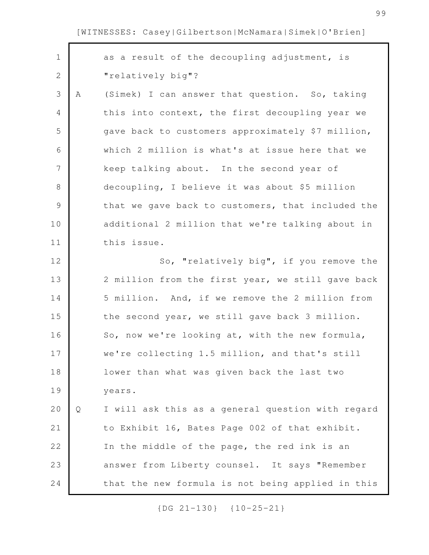| $\mathbf 1$    |   | as a result of the decoupling adjustment, is      |
|----------------|---|---------------------------------------------------|
| $\mathbf{2}$   |   | "relatively big"?                                 |
| 3              | Α | (Simek) I can answer that question. So, taking    |
| 4              |   | this into context, the first decoupling year we   |
| 5              |   | gave back to customers approximately \$7 million, |
| 6              |   | which 2 million is what's at issue here that we   |
| $\overline{7}$ |   | keep talking about. In the second year of         |
| 8              |   | decoupling, I believe it was about \$5 million    |
| 9              |   | that we gave back to customers, that included the |
| 10             |   | additional 2 million that we're talking about in  |
| 11             |   | this issue.                                       |
| 12             |   | So, "relatively big", if you remove the           |
| 13             |   | 2 million from the first year, we still gave back |
| 14             |   | 5 million. And, if we remove the 2 million from   |
| 15             |   | the second year, we still gave back 3 million.    |
| 16             |   | So, now we're looking at, with the new formula,   |
| 17             |   | we're collecting 1.5 million, and that's still    |
| 18             |   | lower than what was given back the last two       |
| 19             |   | years.                                            |
| 20             | Q | I will ask this as a general question with regard |
| 21             |   | to Exhibit 16, Bates Page 002 of that exhibit.    |
| 22             |   | In the middle of the page, the red ink is an      |
| 23             |   | answer from Liberty counsel. It says "Remember    |
| 24             |   | that the new formula is not being applied in this |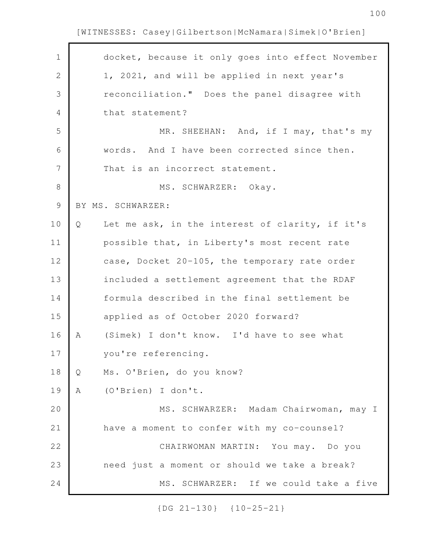| $\mathbf 1$ |   | docket, because it only goes into effect November |
|-------------|---|---------------------------------------------------|
| 2           |   | 1, 2021, and will be applied in next year's       |
| 3           |   | reconciliation." Does the panel disagree with     |
| 4           |   | that statement?                                   |
| 5           |   | MR. SHEEHAN: And, if I may, that's my             |
| 6           |   | words. And I have been corrected since then.      |
| 7           |   | That is an incorrect statement.                   |
| $8\,$       |   | MS. SCHWARZER: Okay.                              |
| 9           |   | BY MS. SCHWARZER:                                 |
| 10          | Q | Let me ask, in the interest of clarity, if it's   |
| 11          |   | possible that, in Liberty's most recent rate      |
| 12          |   | case, Docket 20-105, the temporary rate order     |
| 13          |   | included a settlement agreement that the RDAF     |
| 14          |   | formula described in the final settlement be      |
| 15          |   | applied as of October 2020 forward?               |
| 16          | Α | (Simek) I don't know. I'd have to see what        |
| 17          |   | you're referencing.                               |
| 18          | Q | Ms. O'Brien, do you know?                         |
| 19          | A | (O'Brien) I don't.                                |
| 20          |   | MS. SCHWARZER: Madam Chairwoman, may I            |
| 21          |   | have a moment to confer with my co-counsel?       |
| 22          |   | CHAIRWOMAN MARTIN: You may. Do you                |
| 23          |   | need just a moment or should we take a break?     |
| 24          |   | MS. SCHWARZER: If we could take a five            |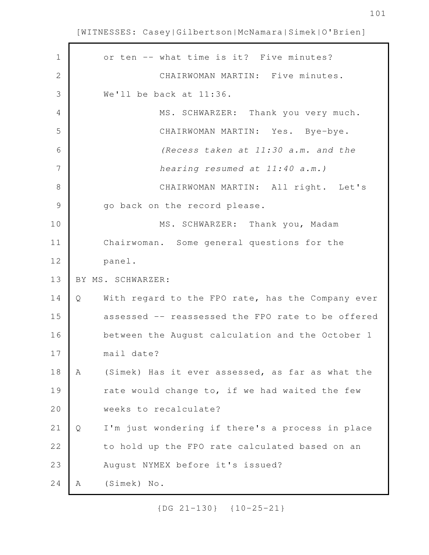r

| $\mathbf 1$   | or ten -- what time is it? Five minutes?               |
|---------------|--------------------------------------------------------|
| $\mathbf{2}$  | CHAIRWOMAN MARTIN: Five minutes.                       |
| 3             | We'll be back at 11:36.                                |
| 4             | MS. SCHWARZER: Thank you very much.                    |
| 5             | CHAIRWOMAN MARTIN: Yes. Bye-bye.                       |
| 6             | (Recess taken at 11:30 a.m. and the                    |
| 7             | hearing resumed at 11:40 a.m.)                         |
| 8             | CHAIRWOMAN MARTIN: All right. Let's                    |
| $\mathcal{G}$ | go back on the record please.                          |
| 10            | MS. SCHWARZER: Thank you, Madam                        |
| 11            | Chairwoman. Some general questions for the             |
| 12            | panel.                                                 |
|               |                                                        |
| 13            | BY MS. SCHWARZER:                                      |
| 14            | With regard to the FPO rate, has the Company ever<br>Q |
| 15            | assessed -- reassessed the FPO rate to be offered      |
| 16            | between the August calculation and the October 1       |
| 17            | mail date?                                             |
| 18            | (Simek) Has it ever assessed, as far as what the<br>Α  |
| 19            | rate would change to, if we had waited the few         |
| 20            | weeks to recalculate?                                  |
| 21            | I'm just wondering if there's a process in place<br>Q  |
| 22            | to hold up the FPO rate calculated based on an         |
| 23            | August NYMEX before it's issued?                       |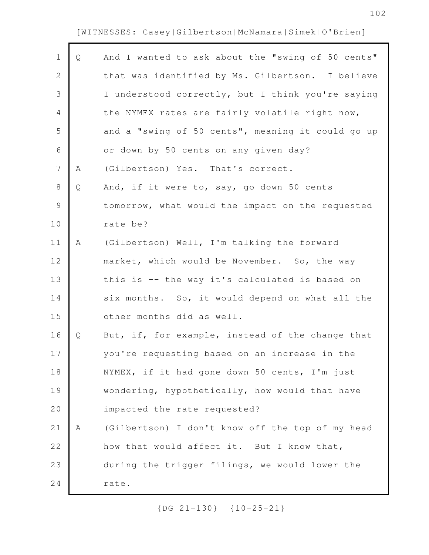r

| $\mathbf 1$    | Q | And I wanted to ask about the "swing of 50 cents" |
|----------------|---|---------------------------------------------------|
| 2              |   | that was identified by Ms. Gilbertson. I believe  |
| 3              |   | I understood correctly, but I think you're saying |
| 4              |   | the NYMEX rates are fairly volatile right now,    |
| 5              |   | and a "swing of 50 cents", meaning it could go up |
| 6              |   | or down by 50 cents on any given day?             |
| $\overline{7}$ | Α | (Gilbertson) Yes. That's correct.                 |
| $8\,$          | Q | And, if it were to, say, go down 50 cents         |
| $\mathsf 9$    |   | tomorrow, what would the impact on the requested  |
| 10             |   | rate be?                                          |
| 11             | Α | (Gilbertson) Well, I'm talking the forward        |
| 12             |   | market, which would be November. So, the way      |
| 13             |   | this is -- the way it's calculated is based on    |
| 14             |   | six months. So, it would depend on what all the   |
| 15             |   | other months did as well.                         |
| 16             | Q | But, if, for example, instead of the change that  |
| 17             |   | you're requesting based on an increase in the     |
| 18             |   | NYMEX, if it had gone down 50 cents, I'm just     |
| 19             |   | wondering, hypothetically, how would that have    |
| 20             |   | impacted the rate requested?                      |
| 21             | Α | (Gilbertson) I don't know off the top of my head  |
| 22             |   | how that would affect it. But I know that,        |
| 23             |   | during the trigger filings, we would lower the    |
| 24             |   | rate.                                             |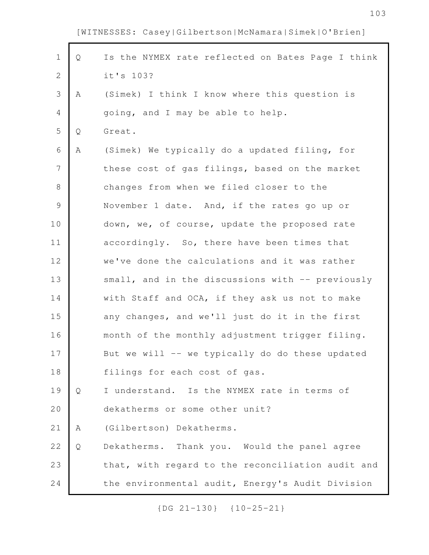г

| $\mathbf 1$    | Q | Is the NYMEX rate reflected on Bates Page I think |
|----------------|---|---------------------------------------------------|
| $\mathbf{2}$   |   | it's 103?                                         |
| 3              | Α | (Simek) I think I know where this question is     |
| 4              |   | going, and I may be able to help.                 |
| 5              | Q | Great.                                            |
| 6              | Α | (Simek) We typically do a updated filing, for     |
| $\overline{7}$ |   | these cost of gas filings, based on the market    |
| $8\,$          |   | changes from when we filed closer to the          |
| $\mathsf 9$    |   | November 1 date. And, if the rates go up or       |
| 10             |   | down, we, of course, update the proposed rate     |
| 11             |   | accordingly. So, there have been times that       |
| 12             |   | we've done the calculations and it was rather     |
| 13             |   | small, and in the discussions with -- previously  |
| 14             |   | with Staff and OCA, if they ask us not to make    |
| 15             |   | any changes, and we'll just do it in the first    |
| 16             |   | month of the monthly adjustment trigger filing.   |
| 17             |   | But we will -- we typically do do these updated   |
| 18             |   | filings for each cost of gas.                     |
| 19             | Q | I understand. Is the NYMEX rate in terms of       |
| 20             |   | dekatherms or some other unit?                    |
| 21             | Α | (Gilbertson) Dekatherms.                          |
| 22             | Q | Dekatherms. Thank you. Would the panel agree      |
| 23             |   | that, with regard to the reconciliation audit and |
| 24             |   | the environmental audit, Energy's Audit Division  |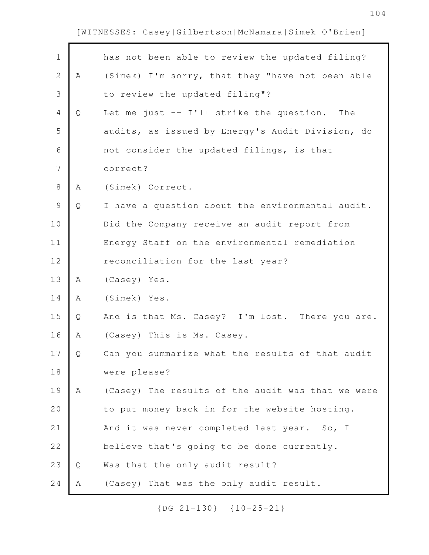| $\mathbf 1$   |   | has not been able to review the updated filing?   |
|---------------|---|---------------------------------------------------|
| $\mathbf{2}$  | Α | (Simek) I'm sorry, that they "have not been able  |
| 3             |   | to review the updated filing"?                    |
| 4             | Q | Let me just -- I'll strike the question.<br>The   |
| 5             |   | audits, as issued by Energy's Audit Division, do  |
| 6             |   | not consider the updated filings, is that         |
| 7             |   | correct?                                          |
| $8\,$         | Α | (Simek) Correct.                                  |
| $\mathcal{G}$ | Q | I have a question about the environmental audit.  |
| 10            |   | Did the Company receive an audit report from      |
| 11            |   | Energy Staff on the environmental remediation     |
| 12            |   | reconciliation for the last year?                 |
| 13            | Α | (Casey) Yes.                                      |
| 14            | Α | (Simek) Yes.                                      |
| 15            | Q | And is that Ms. Casey? I'm lost. There you are.   |
| 16            | Α | (Casey) This is Ms. Casey.                        |
| 17            | Q | Can you summarize what the results of that audit  |
| 18            |   | were please?                                      |
| 19            | Α | (Casey) The results of the audit was that we were |
| 20            |   | to put money back in for the website hosting.     |
| 21            |   | And it was never completed last year. So, I       |
| 22            |   | believe that's going to be done currently.        |
| 23            | Q | Was that the only audit result?                   |
| 24            | Α | (Casey) That was the only audit result.           |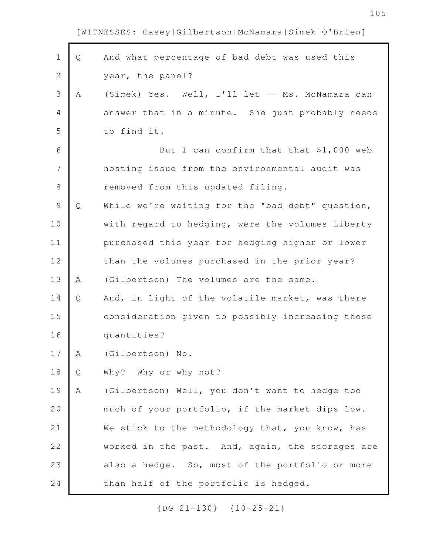| $\mathbf 1$    | Q | And what percentage of bad debt was used this    |
|----------------|---|--------------------------------------------------|
| $\overline{2}$ |   | year, the panel?                                 |
| 3              | Α | (Simek) Yes. Well, I'll let -- Ms. McNamara can  |
| 4              |   | answer that in a minute. She just probably needs |
| 5              |   | to find it.                                      |
| 6              |   | But I can confirm that that \$1,000 web          |
| 7              |   | hosting issue from the environmental audit was   |
| $\,8\,$        |   | removed from this updated filing.                |
| $\mathcal{G}$  | Q | While we're waiting for the "bad debt" question, |
| 10             |   | with regard to hedging, were the volumes Liberty |
| 11             |   | purchased this year for hedging higher or lower  |
| 12             |   | than the volumes purchased in the prior year?    |
| 13             | Α | (Gilbertson) The volumes are the same.           |
| 14             | Q | And, in light of the volatile market, was there  |
| 15             |   | consideration given to possibly increasing those |
| 16             |   | quantities?                                      |
| 17             | Α | (Gilbertson) No.                                 |
| 18             | Q | Why? Why or why not?                             |
| 19             | Α | (Gilbertson) Well, you don't want to hedge too   |
| 20             |   | much of your portfolio, if the market dips low.  |
| 21             |   | We stick to the methodology that, you know, has  |
| 22             |   | worked in the past. And, again, the storages are |
| 23             |   | also a hedge. So, most of the portfolio or more  |
| 24             |   | than half of the portfolio is hedged.            |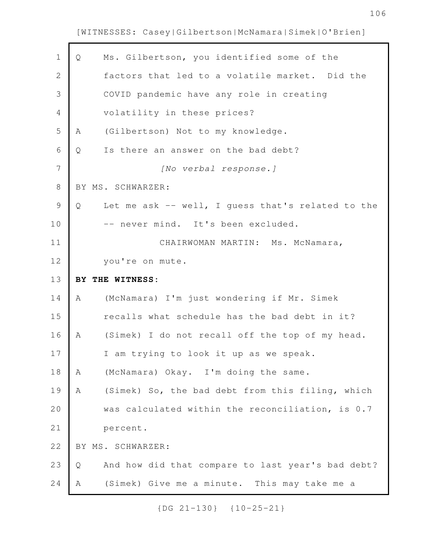| $\mathbf 1$   | Q | Ms. Gilbertson, you identified some of the        |
|---------------|---|---------------------------------------------------|
| $\mathbf{2}$  |   | factors that led to a volatile market. Did the    |
| 3             |   | COVID pandemic have any role in creating          |
| 4             |   | volatility in these prices?                       |
| 5             | Α | (Gilbertson) Not to my knowledge.                 |
| 6             | Q | Is there an answer on the bad debt?               |
| 7             |   | [No verbal response.]                             |
| $8\,$         |   | BY MS. SCHWARZER:                                 |
| $\mathcal{G}$ | Q | Let me ask -- well, I guess that's related to the |
| 10            |   | -- never mind. It's been excluded.                |
| 11            |   | CHAIRWOMAN MARTIN: Ms. McNamara,                  |
| 12            |   | you're on mute.                                   |
|               |   |                                                   |
| 13            |   | BY THE WITNESS:                                   |
| 14            | Α | (McNamara) I'm just wondering if Mr. Simek        |
| 15            |   | recalls what schedule has the bad debt in it?     |
| 16            | Α | (Simek) I do not recall off the top of my head.   |
| 17            |   | I am trying to look it up as we speak.            |
| 18            | Α | (McNamara) Okay. I'm doing the same.              |
| 19            | Α | (Simek) So, the bad debt from this filing, which  |
| 20            |   | was calculated within the reconciliation, is 0.7  |
| 21            |   | percent.                                          |
| 22            |   | BY MS. SCHWARZER:                                 |
| 23            | Q | And how did that compare to last year's bad debt? |
| 24            | Α | (Simek) Give me a minute. This may take me a      |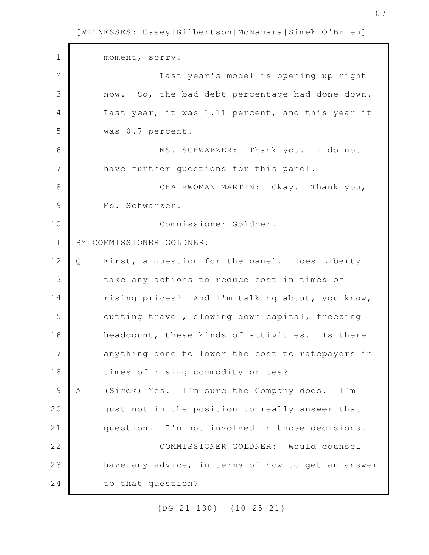moment, sorry. Last year's model is opening up right now. So, the bad debt percentage had done down. Last year, it was 1.11 percent, and this year it was 0.7 percent. MS. SCHWARZER: Thank you. I do not have further questions for this panel. CHAIRWOMAN MARTIN: Okay. Thank you, Ms. Schwarzer. Commissioner Goldner. BY COMMISSIONER GOLDNER: Q First, a question for the panel. Does Liberty take any actions to reduce cost in times of rising prices? And I'm talking about, you know, cutting travel, slowing down capital, freezing headcount, these kinds of activities. Is there anything done to lower the cost to ratepayers in times of rising commodity prices? A (Simek) Yes. I'm sure the Company does. I'm just not in the position to really answer that question. I'm not involved in those decisions. COMMISSIONER GOLDNER: Would counsel have any advice, in terms of how to get an answer to that question? 1 2 3 4 5 6 7 8 9 10 11 12 13 14 15 16 17 18 19 20 21 22 23 24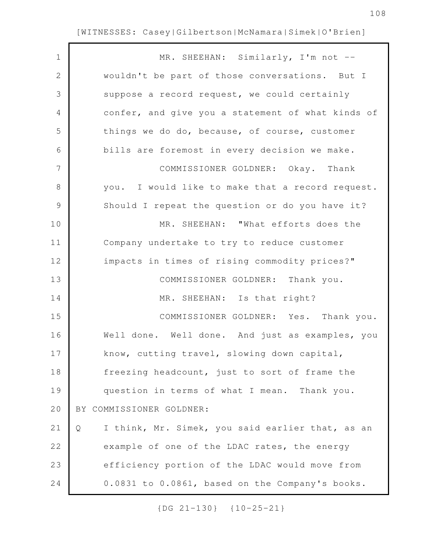| $\mathbf 1$    | MR. SHEEHAN: Similarly, I'm not --                    |
|----------------|-------------------------------------------------------|
| $\mathbf{2}$   | wouldn't be part of those conversations. But I        |
| 3              | suppose a record request, we could certainly          |
| 4              | confer, and give you a statement of what kinds of     |
| 5              | things we do do, because, of course, customer         |
| 6              | bills are foremost in every decision we make.         |
| $\overline{7}$ | COMMISSIONER GOLDNER: Okay. Thank                     |
| $8\,$          | you. I would like to make that a record request.      |
| $\mathcal{G}$  | Should I repeat the question or do you have it?       |
| 10             | MR. SHEEHAN: "What efforts does the                   |
| 11             | Company undertake to try to reduce customer           |
| 12             | impacts in times of rising commodity prices?"         |
| 13             | COMMISSIONER GOLDNER: Thank you.                      |
| 14             | MR. SHEEHAN: Is that right?                           |
| 15             | COMMISSIONER GOLDNER: Yes. Thank you.                 |
| 16             | Well done. Well done. And just as examples, you       |
| 17             | know, cutting travel, slowing down capital,           |
| 18             | freezing headcount, just to sort of frame the         |
| 19             | question in terms of what I mean. Thank you.          |
| 20             | BY COMMISSIONER GOLDNER:                              |
| 21             | I think, Mr. Simek, you said earlier that, as an<br>Q |
| 22             | example of one of the LDAC rates, the energy          |
| 23             | efficiency portion of the LDAC would move from        |
| 24             | 0.0831 to 0.0861, based on the Company's books.       |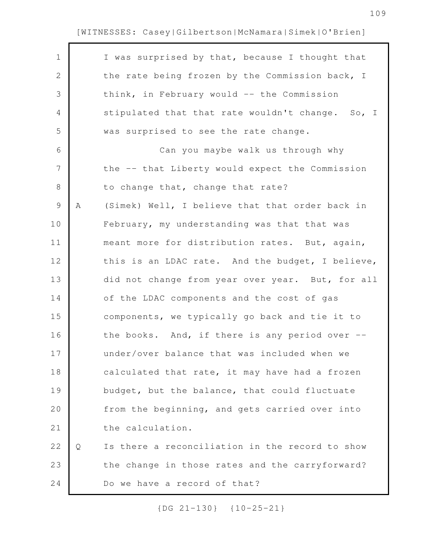| $\mathbf 1$  |   | I was surprised by that, because I thought that  |
|--------------|---|--------------------------------------------------|
| $\mathbf{2}$ |   | the rate being frozen by the Commission back, I  |
| 3            |   | think, in February would -- the Commission       |
| 4            |   | stipulated that that rate wouldn't change. So, I |
| 5            |   | was surprised to see the rate change.            |
| 6            |   | Can you maybe walk us through why                |
| 7            |   | the -- that Liberty would expect the Commission  |
| 8            |   | to change that, change that rate?                |
| $\mathsf 9$  | Α | (Simek) Well, I believe that that order back in  |
| 10           |   | February, my understanding was that that was     |
| 11           |   | meant more for distribution rates. But, again,   |
| 12           |   | this is an LDAC rate. And the budget, I believe, |
| 13           |   | did not change from year over year. But, for all |
| 14           |   | of the LDAC components and the cost of gas       |
| 15           |   | components, we typically go back and tie it to   |
| 16           |   | the books. And, if there is any period over $--$ |
| 17           |   | under/over balance that was included when we     |
| 18           |   | calculated that rate, it may have had a frozen   |
| 19           |   | budget, but the balance, that could fluctuate    |
| 20           |   | from the beginning, and gets carried over into   |
| 21           |   | the calculation.                                 |
| 22           | Q | Is there a reconciliation in the record to show  |
| 23           |   | the change in those rates and the carryforward?  |
| 24           |   | Do we have a record of that?                     |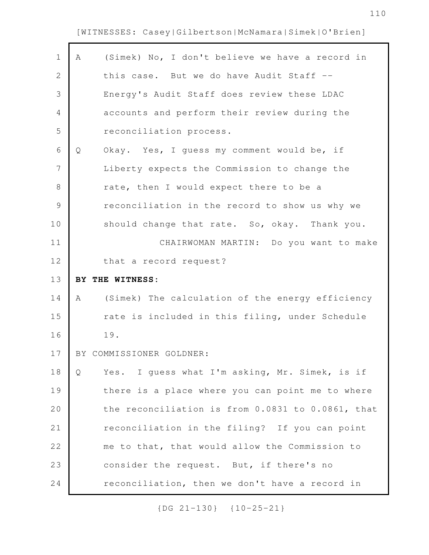r

| $\mathbf 1$    | Α | (Simek) No, I don't believe we have a record in   |
|----------------|---|---------------------------------------------------|
| $\overline{2}$ |   | this case. But we do have Audit Staff --          |
| 3              |   | Energy's Audit Staff does review these LDAC       |
| 4              |   | accounts and perform their review during the      |
| 5              |   | reconciliation process.                           |
| 6              | Q | Okay. Yes, I quess my comment would be, if        |
| $\overline{7}$ |   | Liberty expects the Commission to change the      |
| $8\,$          |   | rate, then I would expect there to be a           |
| $\mathcal{G}$  |   | reconciliation in the record to show us why we    |
| 10             |   | should change that rate. So, okay. Thank you.     |
| 11             |   | CHAIRWOMAN MARTIN: Do you want to make            |
| 12             |   | that a record request?                            |
|                |   |                                                   |
|                |   | BY THE WITNESS:                                   |
| 14             | A | (Simek) The calculation of the energy efficiency  |
| 13<br>15       |   | rate is included in this filing, under Schedule   |
| 16             |   | 19.                                               |
| 17             |   | BY COMMISSIONER GOLDNER:                          |
| 18             | Q | Yes. I guess what I'm asking, Mr. Simek, is if    |
| 19             |   | there is a place where you can point me to where  |
| 20             |   | the reconciliation is from 0.0831 to 0.0861, that |
| 21             |   | reconciliation in the filing? If you can point    |
| 22             |   | me to that, that would allow the Commission to    |
| 23             |   | consider the request. But, if there's no          |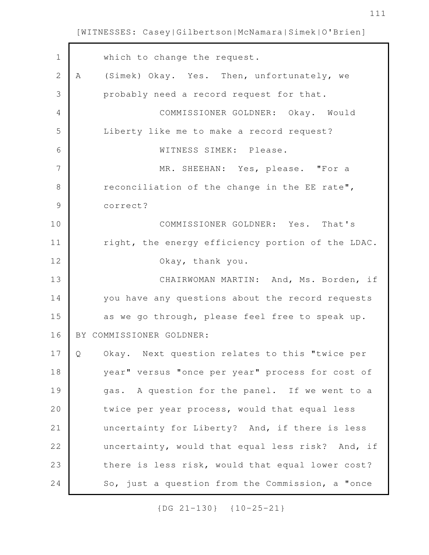| $\mathbf{1}$  | which to change the request.                        |
|---------------|-----------------------------------------------------|
| $\mathbf{2}$  | (Simek) Okay. Yes. Then, unfortunately, we<br>Α     |
| 3             | probably need a record request for that.            |
| 4             | COMMISSIONER GOLDNER: Okay. Would                   |
| 5             | Liberty like me to make a record request?           |
| 6             | WITNESS SIMEK: Please.                              |
| 7             | MR. SHEEHAN: Yes, please. "For a                    |
| 8             | reconciliation of the change in the EE rate",       |
| $\mathcal{G}$ | correct?                                            |
| 10            | COMMISSIONER GOLDNER: Yes. That's                   |
| 11            | right, the energy efficiency portion of the LDAC.   |
| 12            | Okay, thank you.                                    |
| 13            | CHAIRWOMAN MARTIN: And, Ms. Borden, if              |
| 14            | you have any questions about the record requests    |
| 15            | as we go through, please feel free to speak up.     |
| 16            | BY COMMISSIONER GOLDNER:                            |
| 17            | Okay. Next question relates to this "twice per<br>Q |
| 18            | year" versus "once per year" process for cost of    |
| 19            | gas. A question for the panel. If we went to a      |
| 20            | twice per year process, would that equal less       |
| 21            | uncertainty for Liberty? And, if there is less      |
| 22            | uncertainty, would that equal less risk? And, if    |
| 23            | there is less risk, would that equal lower cost?    |
| 24            | So, just a question from the Commission, a "once    |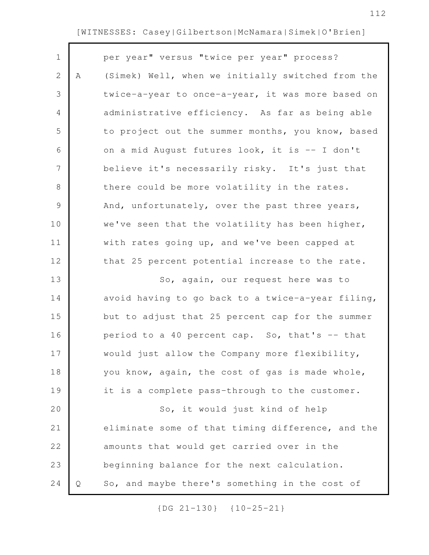|   | per year" versus "twice per year" process?        |
|---|---------------------------------------------------|
| Α | (Simek) Well, when we initially switched from the |
|   | twice-a-year to once-a-year, it was more based on |
|   | administrative efficiency. As far as being able   |
|   | to project out the summer months, you know, based |
|   | on a mid August futures look, it is -- I don't    |
|   | believe it's necessarily risky. It's just that    |
|   | there could be more volatility in the rates.      |
|   | And, unfortunately, over the past three years,    |
|   | we've seen that the volatility has been higher,   |
|   | with rates going up, and we've been capped at     |
|   | that 25 percent potential increase to the rate.   |
|   | So, again, our request here was to                |
|   | avoid having to go back to a twice-a-year filing, |
|   | but to adjust that 25 percent cap for the summer  |
|   | period to a 40 percent cap. So, that's -- that    |
|   | would just allow the Company more flexibility,    |
|   | you know, again, the cost of gas is made whole,   |
|   | it is a complete pass-through to the customer.    |
|   | So, it would just kind of help                    |
|   | eliminate some of that timing difference, and the |
|   | amounts that would get carried over in the        |
|   | beginning balance for the next calculation.       |
| Q | So, and maybe there's something in the cost of    |
|   |                                                   |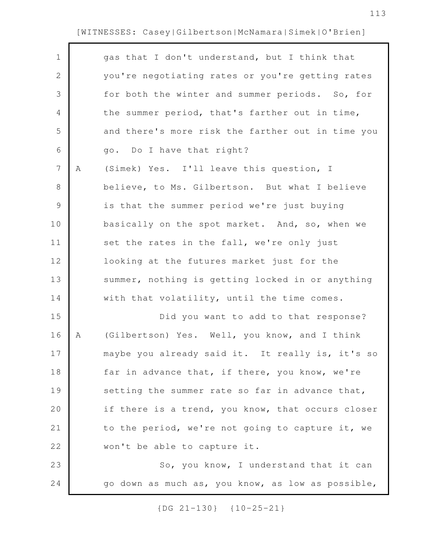| $\mathbf 1$    |   | gas that I don't understand, but I think that     |
|----------------|---|---------------------------------------------------|
| $\mathbf{2}$   |   | you're negotiating rates or you're getting rates  |
| 3              |   | for both the winter and summer periods. So, for   |
| 4              |   | the summer period, that's farther out in time,    |
| 5              |   | and there's more risk the farther out in time you |
| 6              |   | go. Do I have that right?                         |
| $\overline{7}$ | Α | (Simek) Yes. I'll leave this question, I          |
| 8              |   | believe, to Ms. Gilbertson. But what I believe    |
| $\mathsf 9$    |   | is that the summer period we're just buying       |
| 10             |   | basically on the spot market. And, so, when we    |
| 11             |   | set the rates in the fall, we're only just        |
| 12             |   | looking at the futures market just for the        |
| 13             |   | summer, nothing is getting locked in or anything  |
| 14             |   | with that volatility, until the time comes.       |
| 15             |   | Did you want to add to that response?             |
| 16             | Α | (Gilbertson) Yes. Well, you know, and I think     |
| 17             |   | maybe you already said it. It really is, it's so  |
| 18             |   | far in advance that, if there, you know, we're    |
| 19             |   | setting the summer rate so far in advance that,   |
| 20             |   | if there is a trend, you know, that occurs closer |
| 21             |   | to the period, we're not going to capture it, we  |
| 22             |   | won't be able to capture it.                      |
| 23             |   | So, you know, I understand that it can            |
| 24             |   | go down as much as, you know, as low as possible, |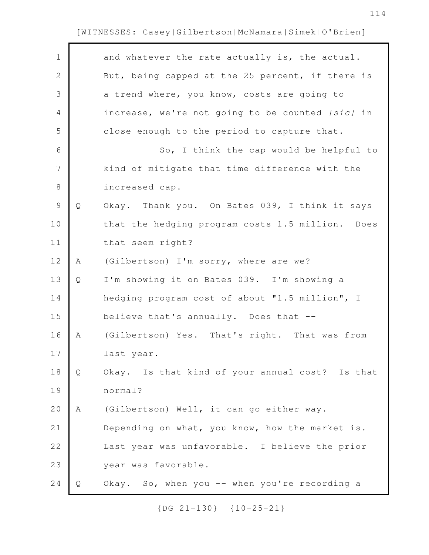$\Gamma$ 

| $\mathbf 1$ |   | and whatever the rate actually is, the actual.   |
|-------------|---|--------------------------------------------------|
| 2           |   | But, being capped at the 25 percent, if there is |
| 3           |   | a trend where, you know, costs are going to      |
| 4           |   | increase, we're not going to be counted [sic] in |
| 5           |   | close enough to the period to capture that.      |
| 6           |   | So, I think the cap would be helpful to          |
| 7           |   | kind of mitigate that time difference with the   |
| 8           |   | increased cap.                                   |
| $\mathsf 9$ | Q | Okay. Thank you. On Bates 039, I think it says   |
| 10          |   | that the hedging program costs 1.5 million. Does |
| 11          |   | that seem right?                                 |
| 12          | Α | (Gilbertson) I'm sorry, where are we?            |
| 13          | Q | I'm showing it on Bates 039. I'm showing a       |
| 14          |   | hedging program cost of about "1.5 million", I   |
| 15          |   | believe that's annually. Does that --            |
| 16          | Α | (Gilbertson) Yes. That's right. That was from    |
| 17          |   | last year.                                       |
| 18          | Q | Okay. Is that kind of your annual cost? Is that  |
| 19          |   | normal?                                          |
| 20          | Α | (Gilbertson) Well, it can go either way.         |
| 21          |   | Depending on what, you know, how the market is.  |
| 22          |   | Last year was unfavorable. I believe the prior   |
| 23          |   | year was favorable.                              |
| 24          | Q | Okay. So, when you -- when you're recording a    |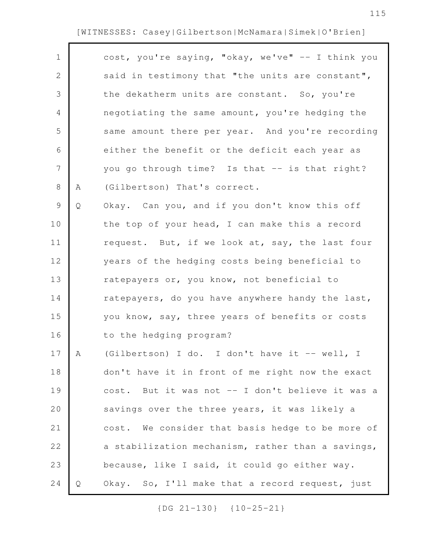г

| $\mathbf 1$  |   | cost, you're saying, "okay, we've" -- I think you |
|--------------|---|---------------------------------------------------|
| $\mathbf{2}$ |   | said in testimony that "the units are constant",  |
| 3            |   | the dekatherm units are constant. So, you're      |
| 4            |   | negotiating the same amount, you're hedging the   |
| 5            |   | same amount there per year. And you're recording  |
| 6            |   | either the benefit or the deficit each year as    |
| 7            |   | you go through time? Is that -- is that right?    |
| 8            | Α | (Gilbertson) That's correct.                      |
| $\mathsf 9$  | Q | Okay. Can you, and if you don't know this off     |
| 10           |   | the top of your head, I can make this a record    |
| 11           |   | request. But, if we look at, say, the last four   |
| 12           |   | years of the hedging costs being beneficial to    |
| 13           |   | ratepayers or, you know, not beneficial to        |
| 14           |   | ratepayers, do you have anywhere handy the last,  |
| 15           |   | you know, say, three years of benefits or costs   |
| 16           |   | to the hedging program?                           |
| 17           | Α | (Gilbertson) I do. I don't have it -- well, I     |
| 18           |   | don't have it in front of me right now the exact  |
| 19           |   | cost. But it was not -- I don't believe it was a  |
| 20           |   | savings over the three years, it was likely a     |
| 21           |   | cost. We consider that basis hedge to be more of  |
| 22           |   | a stabilization mechanism, rather than a savings, |
| 23           |   | because, like I said, it could go either way.     |
| 24           | Q | Okay. So, I'll make that a record request, just   |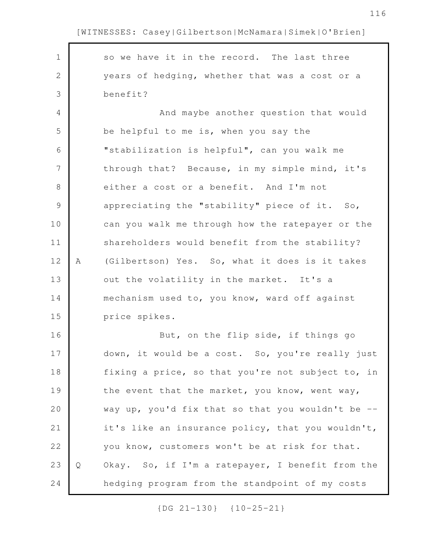so we have it in the record. The last three years of hedging, whether that was a cost or a benefit? And maybe another question that would be helpful to me is, when you say the "stabilization is helpful", can you walk me through that? Because, in my simple mind, it's either a cost or a benefit. And I'm not appreciating the "stability" piece of it. So, can you walk me through how the ratepayer or the shareholders would benefit from the stability? A (Gilbertson) Yes. So, what it does is it takes out the volatility in the market. It's a mechanism used to, you know, ward off against price spikes. But, on the flip side, if things go down, it would be a cost. So, you're really just fixing a price, so that you're not subject to, in the event that the market, you know, went way, way up, you'd fix that so that you wouldn't be  $$ it's like an insurance policy, that you wouldn't, you know, customers won't be at risk for that. Q Okay. So, if I'm a ratepayer, I benefit from the hedging program from the standpoint of my costs 1 2 3 4 5 6 7 8 9 10 11 12 13 14 15 16 17 18 19 20 21 22 23 24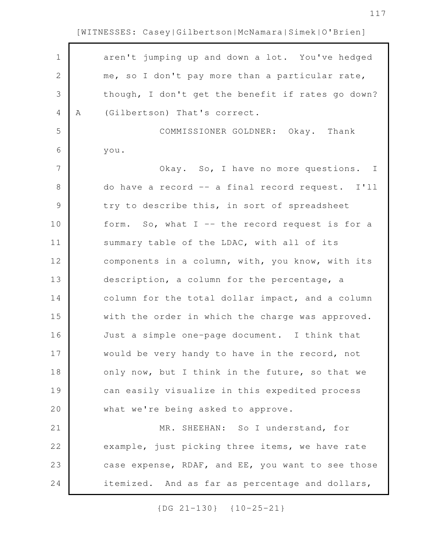| $\mathbf 1$ |   |                                                   |
|-------------|---|---------------------------------------------------|
|             |   | aren't jumping up and down a lot. You've hedged   |
| $\mathbf 2$ |   | me, so I don't pay more than a particular rate,   |
| 3           |   | though, I don't get the benefit if rates go down? |
| 4           | Α | (Gilbertson) That's correct.                      |
| 5           |   | COMMISSIONER GOLDNER: Okay. Thank                 |
| 6           |   | you.                                              |
| 7           |   | Okay. So, I have no more questions. I             |
| 8           |   | do have a record -- a final record request. I'll  |
| $\mathsf 9$ |   | try to describe this, in sort of spreadsheet      |
| 10          |   | form. So, what I -- the record request is for a   |
| 11          |   | summary table of the LDAC, with all of its        |
| 12          |   | components in a column, with, you know, with its  |
| 13          |   | description, a column for the percentage, a       |
| 14          |   | column for the total dollar impact, and a column  |
| 15          |   | with the order in which the charge was approved.  |
| 16          |   | Just a simple one-page document. I think that     |
| 17          |   | would be very handy to have in the record, not    |
| 18          |   | only now, but I think in the future, so that we   |
| 19          |   | can easily visualize in this expedited process    |
| 20          |   | what we're being asked to approve.                |
| 21          |   | MR. SHEEHAN: So I understand, for                 |
| 22          |   | example, just picking three items, we have rate   |
| 23          |   | case expense, RDAF, and EE, you want to see those |
| 24          |   | itemized. And as far as percentage and dollars,   |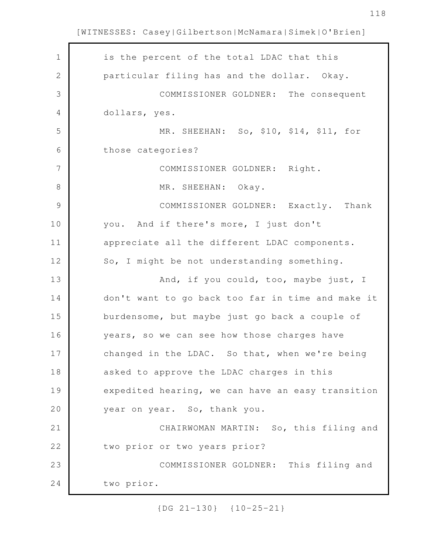$\mathbf{r}$ 

| $\mathbf 1$    | is the percent of the total LDAC that this        |
|----------------|---------------------------------------------------|
| $\mathbf{2}$   | particular filing has and the dollar. Okay.       |
| 3              | COMMISSIONER GOLDNER: The consequent              |
| 4              | dollars, yes.                                     |
| 5              | MR. SHEEHAN: So, \$10, \$14, \$11, for            |
| 6              | those categories?                                 |
| $\overline{7}$ | COMMISSIONER GOLDNER: Right.                      |
| $8\,$          | MR. SHEEHAN: Okay.                                |
| $\mathcal{G}$  | COMMISSIONER GOLDNER: Exactly. Thank              |
| 10             | you. And if there's more, I just don't            |
| 11             | appreciate all the different LDAC components.     |
| 12             | So, I might be not understanding something.       |
| 13             | And, if you could, too, maybe just, I             |
| 14             | don't want to go back too far in time and make it |
| 15             | burdensome, but maybe just go back a couple of    |
| 16             | years, so we can see how those charges have       |
| 17             | changed in the LDAC. So that, when we're being    |
| 18             | asked to approve the LDAC charges in this         |
| 19             | expedited hearing, we can have an easy transition |
| 20             | year on year. So, thank you.                      |
| 21             | CHAIRWOMAN MARTIN: So, this filing and            |
| 22             | two prior or two years prior?                     |
| 23             | COMMISSIONER GOLDNER: This filing and             |
| 24             | two prior.                                        |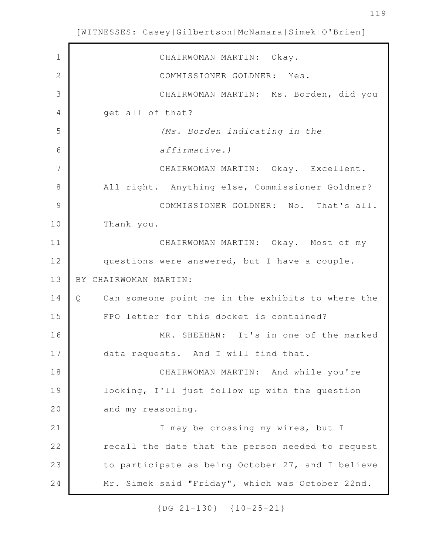CHAIRWOMAN MARTIN: Okay. COMMISSIONER GOLDNER: Yes. CHAIRWOMAN MARTIN: Ms. Borden, did you get all of that? *(Ms. Borden indicating in the affirmative.)* CHAIRWOMAN MARTIN: Okay. Excellent. All right. Anything else, Commissioner Goldner? COMMISSIONER GOLDNER: No. That's all. Thank you. CHAIRWOMAN MARTIN: Okay. Most of my questions were answered, but I have a couple. BY CHAIRWOMAN MARTIN: Q Can someone point me in the exhibits to where the FPO letter for this docket is contained? MR. SHEEHAN: It's in one of the marked data requests. And I will find that. CHAIRWOMAN MARTIN: And while you're looking, I'll just follow up with the question and my reasoning. I may be crossing my wires, but I recall the date that the person needed to request to participate as being October 27, and I believe Mr. Simek said "Friday", which was October 22nd. 1 2 3 4 5 6 7 8 9 10 11 12 13 14 15 16 17 18 19 20 21 22 23 24

[WITNESSES: Casey|Gilbertson|McNamara|Simek|O'Brien]

{DG 21-130} {10-25-21}

119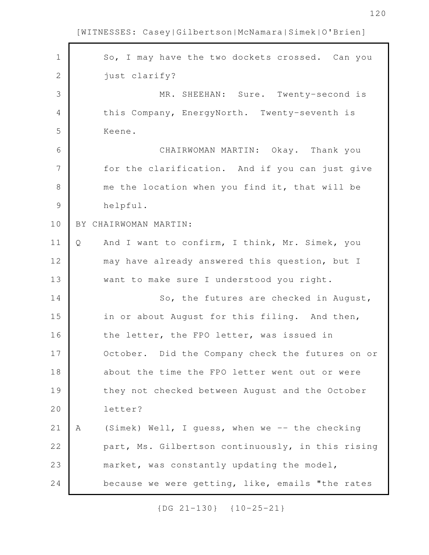| $\mathbf 1$   | So, I may have the two dockets crossed. Can you     |
|---------------|-----------------------------------------------------|
| 2             | just clarify?                                       |
| 3             | MR. SHEEHAN: Sure. Twenty-second is                 |
| 4             | this Company, EnergyNorth. Twenty-seventh is        |
| 5             | Keene.                                              |
| 6             | CHAIRWOMAN MARTIN: Okay. Thank you                  |
| 7             | for the clarification. And if you can just give     |
| 8             | me the location when you find it, that will be      |
| $\mathcal{G}$ | helpful.                                            |
| 10            | BY CHAIRWOMAN MARTIN:                               |
| 11            | And I want to confirm, I think, Mr. Simek, you<br>Q |
| 12            | may have already answered this question, but I      |
| 13            | want to make sure I understood you right.           |
| 14            | So, the futures are checked in August,              |
| 15            | in or about August for this filing. And then,       |
| 16            | the letter, the FPO letter, was issued in           |
| 17            | October. Did the Company check the futures on or    |
| 18            | about the time the FPO letter went out or were      |
| 19            | they not checked between August and the October     |
| 20            | letter?                                             |
| 21            | (Simek) Well, I guess, when we -- the checking<br>Α |
| 22            | part, Ms. Gilbertson continuously, in this rising   |
| 23            | market, was constantly updating the model,          |
| 24            | because we were getting, like, emails "the rates    |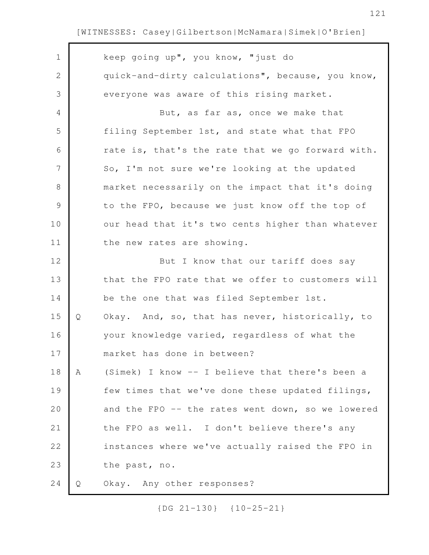$\Gamma$ 

| $\mathbf 1$   |   | keep going up", you know, "just do                |
|---------------|---|---------------------------------------------------|
| $\mathbf{2}$  |   | quick-and-dirty calculations", because, you know, |
| 3             |   | everyone was aware of this rising market.         |
| 4             |   | But, as far as, once we make that                 |
| 5             |   | filing September 1st, and state what that FPO     |
| 6             |   | rate is, that's the rate that we go forward with. |
| 7             |   | So, I'm not sure we're looking at the updated     |
| $8\,$         |   | market necessarily on the impact that it's doing  |
| $\mathcal{G}$ |   | to the FPO, because we just know off the top of   |
| 10            |   | our head that it's two cents higher than whatever |
| 11            |   | the new rates are showing.                        |
| 12            |   | But I know that our tariff does say               |
| 13            |   | that the FPO rate that we offer to customers will |
| 14            |   | be the one that was filed September 1st.          |
| 15            | Q | Okay. And, so, that has never, historically, to   |
| 16            |   | your knowledge varied, regardless of what the     |
| 17            |   | market has done in between?                       |
| 18            | Α | (Simek) I know -- I believe that there's been a   |
| 19            |   | few times that we've done these updated filings,  |
| 20            |   | and the FPO -- the rates went down, so we lowered |
| 21            |   | the FPO as well. I don't believe there's any      |
| 22            |   | instances where we've actually raised the FPO in  |
| 23            |   | the past, no.                                     |
|               |   |                                                   |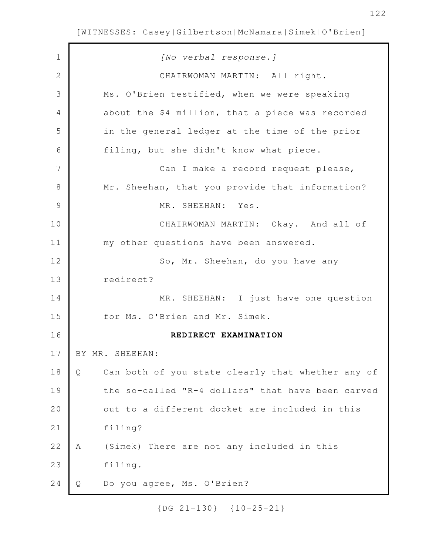| $\mathbf 1$   | [No verbal response.]                                  |
|---------------|--------------------------------------------------------|
| 2             | CHAIRWOMAN MARTIN: All right.                          |
| 3             | Ms. O'Brien testified, when we were speaking           |
| 4             | about the \$4 million, that a piece was recorded       |
| 5             | in the general ledger at the time of the prior         |
| 6             | filing, but she didn't know what piece.                |
| 7             | Can I make a record request please,                    |
| 8             | Mr. Sheehan, that you provide that information?        |
| $\mathcal{G}$ | MR. SHEEHAN: Yes.                                      |
| 10            | CHAIRWOMAN MARTIN: Okay. And all of                    |
| 11            | my other questions have been answered.                 |
| 12            | So, Mr. Sheehan, do you have any                       |
| 13            | redirect?                                              |
| 14            | MR. SHEEHAN: I just have one question                  |
| 15            | for Ms. O'Brien and Mr. Simek.                         |
| 16            | REDIRECT EXAMINATION                                   |
| 17            | BY MR. SHEEHAN:                                        |
| 18            | Can both of you state clearly that whether any of<br>Q |
| 19            | the so-called "R-4 dollars" that have been carved      |
| 20            | out to a different docket are included in this         |
| 21            | filing?                                                |
| 22            | (Simek) There are not any included in this<br>Α        |
| 23            | filing.                                                |
| 24            | Do you agree, Ms. O'Brien?<br>Q                        |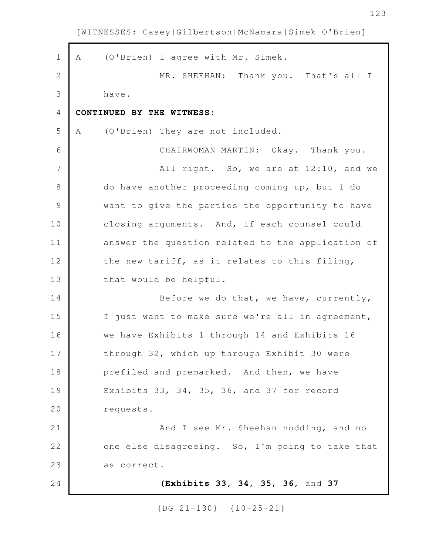A (O'Brien) I agree with Mr. Simek. MR. SHEEHAN: Thank you. That's all I have. **CONTINUED BY THE WITNESS:** A (O'Brien) They are not included. CHAIRWOMAN MARTIN: Okay. Thank you. All right. So, we are at 12:10, and we do have another proceeding coming up, but I do want to give the parties the opportunity to have closing arguments. And, if each counsel could answer the question related to the application of the new tariff, as it relates to this filing, that would be helpful. Before we do that, we have, currently, I just want to make sure we're all in agreement, we have Exhibits 1 through 14 and Exhibits 16 through 32, which up through Exhibit 30 were prefiled and premarked. And then, we have Exhibits 33, 34, 35, 36, and 37 for record requests. And I see Mr. Sheehan nodding, and no one else disagreeing. So, I'm going to take that as correct. **(Exhibits 33, 34, 35, 36,** and **37** 1 2 3 4 5 6 7 8 9 10 11 12 13 14 15 16 17 18 19 20 21 22 23 24

[WITNESSES: Casey|Gilbertson|McNamara|Simek|O'Brien]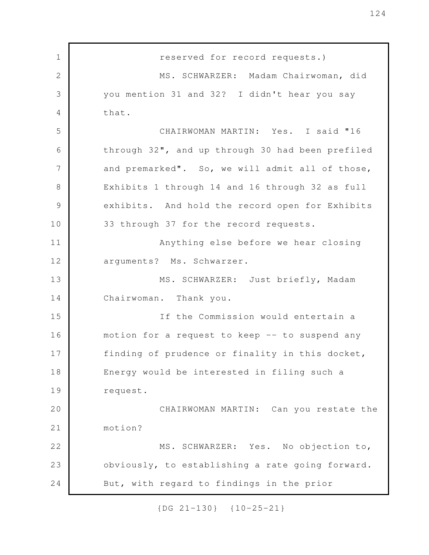reserved for record requests.) MS. SCHWARZER: Madam Chairwoman, did you mention 31 and 32? I didn't hear you say that. CHAIRWOMAN MARTIN: Yes. I said "16 through 32", and up through 30 had been prefiled and premarked". So, we will admit all of those, Exhibits 1 through 14 and 16 through 32 as full exhibits. And hold the record open for Exhibits 33 through 37 for the record requests. Anything else before we hear closing arguments? Ms. Schwarzer. MS. SCHWARZER: Just briefly, Madam Chairwoman. Thank you. If the Commission would entertain a motion for a request to keep -- to suspend any finding of prudence or finality in this docket, Energy would be interested in filing such a request. CHAIRWOMAN MARTIN: Can you restate the motion? MS. SCHWARZER: Yes. No objection to, obviously, to establishing a rate going forward. But, with regard to findings in the prior 1 2 3 4 5 6 7 8 9 10 11 12 13 14 15 16 17 18 19 20 21 22 23 24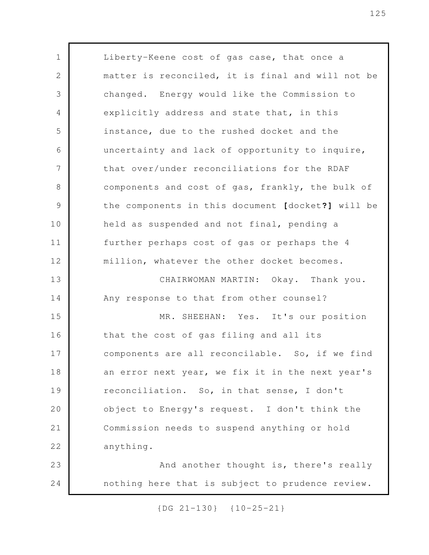Liberty-Keene cost of gas case, that once a matter is reconciled, it is final and will not be changed. Energy would like the Commission to explicitly address and state that, in this instance, due to the rushed docket and the uncertainty and lack of opportunity to inquire, that over/under reconciliations for the RDAF components and cost of gas, frankly, the bulk of the components in this document **[**docket**?]** will be held as suspended and not final, pending a further perhaps cost of gas or perhaps the 4 million, whatever the other docket becomes. CHAIRWOMAN MARTIN: Okay. Thank you. Any response to that from other counsel? MR. SHEEHAN: Yes. It's our position that the cost of gas filing and all its components are all reconcilable. So, if we find an error next year, we fix it in the next year's reconciliation. So, in that sense, I don't object to Energy's request. I don't think the Commission needs to suspend anything or hold anything. And another thought is, there's really nothing here that is subject to prudence review. 1 2 3 4 5 6 7 8 9 10 11 12 13 14 15 16 17 18 19 20 21 22 23 24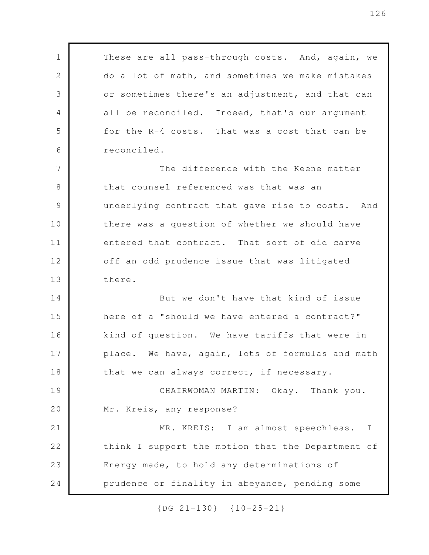These are all pass-through costs. And, again, we do a lot of math, and sometimes we make mistakes or sometimes there's an adjustment, and that can all be reconciled. Indeed, that's our argument for the R-4 costs. That was a cost that can be reconciled. The difference with the Keene matter that counsel referenced was that was an underlying contract that gave rise to costs. And there was a question of whether we should have entered that contract. That sort of did carve off an odd prudence issue that was litigated there. But we don't have that kind of issue here of a "should we have entered a contract?" kind of question. We have tariffs that were in place. We have, again, lots of formulas and math that we can always correct, if necessary. CHAIRWOMAN MARTIN: Okay. Thank you. Mr. Kreis, any response? MR. KREIS: I am almost speechless. I think I support the motion that the Department of Energy made, to hold any determinations of prudence or finality in abeyance, pending some 1 2 3 4 5 6 7 8 9 10 11 12 13 14 15 16 17 18 19 20 21 22 23 24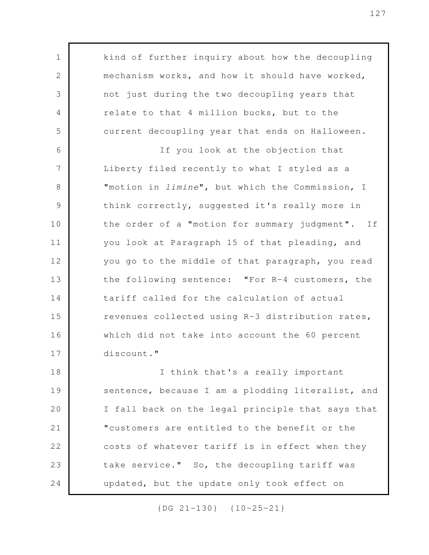kind of further inquiry about how the decoupling mechanism works, and how it should have worked, not just during the two decoupling years that relate to that 4 million bucks, but to the current decoupling year that ends on Halloween. If you look at the objection that Liberty filed recently to what I styled as a "motion in *limine*", but which the Commission, I think correctly, suggested it's really more in the order of a "motion for summary judgment". If you look at Paragraph 15 of that pleading, and you go to the middle of that paragraph, you read the following sentence: "For R-4 customers, the tariff called for the calculation of actual revenues collected using R-3 distribution rates, which did not take into account the 60 percent discount." I think that's a really important sentence, because I am a plodding literalist, and I fall back on the legal principle that says that "customers are entitled to the benefit or the costs of whatever tariff is in effect when they take service." So, the decoupling tariff was updated, but the update only took effect on 1 2 3 4 5 6 7 8 9 10 11 12 13 14 15 16 17 18 19 20 21 22 23 24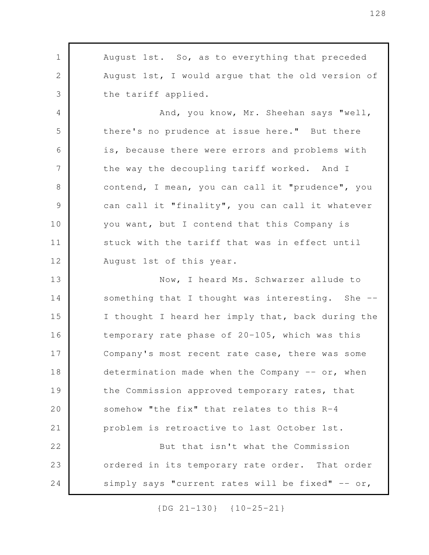August 1st. So, as to everything that preceded August 1st, I would argue that the old version of the tariff applied. 1 2 3

And, you know, Mr. Sheehan says "well, there's no prudence at issue here." But there is, because there were errors and problems with the way the decoupling tariff worked. And I contend, I mean, you can call it "prudence", you can call it "finality", you can call it whatever you want, but I contend that this Company is stuck with the tariff that was in effect until August 1st of this year. 4 5 6 7 8 9 10 11 12

Now, I heard Ms. Schwarzer allude to something that I thought was interesting. She -- I thought I heard her imply that, back during the temporary rate phase of 20-105, which was this Company's most recent rate case, there was some determination made when the Company -- or, when the Commission approved temporary rates, that somehow "the fix" that relates to this R-4 problem is retroactive to last October 1st. But that isn't what the Commission 13 14 15 16 17 18 19 20 21 22

ordered in its temporary rate order. That order simply says "current rates will be fixed"  $--$  or,

23

24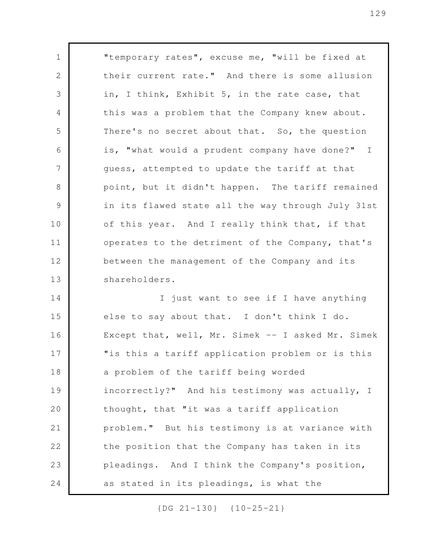"temporary rates", excuse me, "will be fixed at their current rate." And there is some allusion in, I think, Exhibit 5, in the rate case, that this was a problem that the Company knew about. There's no secret about that. So, the question is, "what would a prudent company have done?" I guess, attempted to update the tariff at that point, but it didn't happen. The tariff remained in its flawed state all the way through July 31st of this year. And I really think that, if that operates to the detriment of the Company, that's between the management of the Company and its shareholders. I just want to see if I have anything else to say about that. I don't think I do. Except that, well, Mr. Simek -- I asked Mr. Simek 1 2 3 4 5 6 7 8 9 10 11 12 13 14 15

"is this a tariff application problem or is this a problem of the tariff being worded incorrectly?" And his testimony was actually, I thought, that "it was a tariff application problem." But his testimony is at variance with the position that the Company has taken in its pleadings. And I think the Company's position, as stated in its pleadings, is what the 16 17 18 19 20 21 22 23 24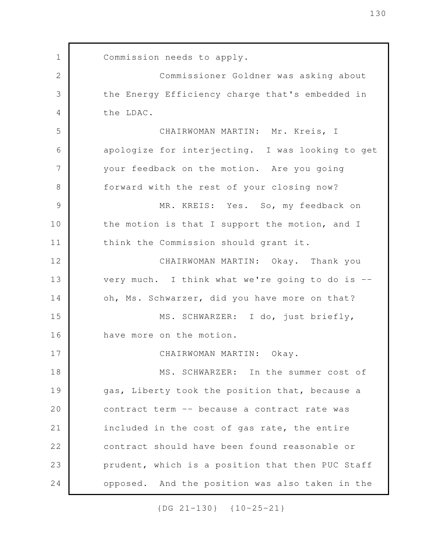Commission needs to apply. Commissioner Goldner was asking about the Energy Efficiency charge that's embedded in the LDAC. CHAIRWOMAN MARTIN: Mr. Kreis, I apologize for interjecting. I was looking to get your feedback on the motion. Are you going forward with the rest of your closing now? MR. KREIS: Yes. So, my feedback on the motion is that I support the motion, and I think the Commission should grant it. CHAIRWOMAN MARTIN: Okay. Thank you very much. I think what we're going to do is - oh, Ms. Schwarzer, did you have more on that? MS. SCHWARZER: I do, just briefly, have more on the motion. CHAIRWOMAN MARTIN: Okay. MS. SCHWARZER: In the summer cost of gas, Liberty took the position that, because a contract term -- because a contract rate was included in the cost of gas rate, the entire contract should have been found reasonable or prudent, which is a position that then PUC Staff opposed. And the position was also taken in the 1 2 3 4 5 6 7 8 9 10 11 12 13 14 15 16 17 18 19 20 21 22 23 24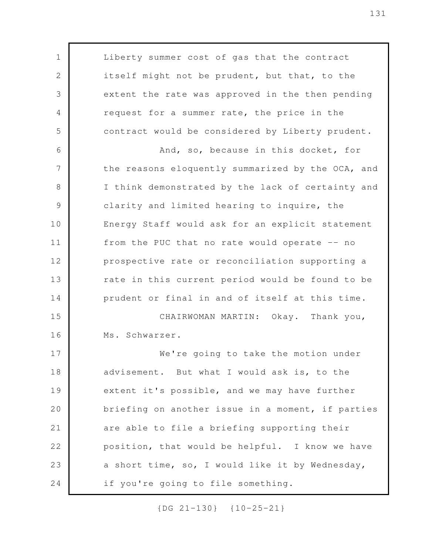Liberty summer cost of gas that the contract itself might not be prudent, but that, to the extent the rate was approved in the then pending request for a summer rate, the price in the contract would be considered by Liberty prudent. And, so, because in this docket, for the reasons eloquently summarized by the OCA, and I think demonstrated by the lack of certainty and clarity and limited hearing to inquire, the Energy Staff would ask for an explicit statement from the PUC that no rate would operate -- no prospective rate or reconciliation supporting a rate in this current period would be found to be prudent or final in and of itself at this time. CHAIRWOMAN MARTIN: Okay. Thank you, Ms. Schwarzer. We're going to take the motion under advisement. But what I would ask is, to the extent it's possible, and we may have further briefing on another issue in a moment, if parties are able to file a briefing supporting their position, that would be helpful. I know we have a short time, so, I would like it by Wednesday, if you're going to file something. 1 2 3 4 5 6 7 8 9 10 11 12 13 14 15 16 17 18 19 20 21 22 23 24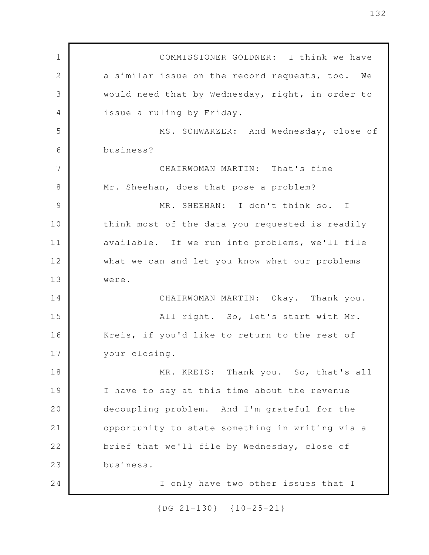COMMISSIONER GOLDNER: I think we have a similar issue on the record requests, too. We would need that by Wednesday, right, in order to issue a ruling by Friday. MS. SCHWARZER: And Wednesday, close of business? CHAIRWOMAN MARTIN: That's fine Mr. Sheehan, does that pose a problem? MR. SHEEHAN: I don't think so. I think most of the data you requested is readily available. If we run into problems, we'll file what we can and let you know what our problems were. CHAIRWOMAN MARTIN: Okay. Thank you. All right. So, let's start with Mr. Kreis, if you'd like to return to the rest of your closing. MR. KREIS: Thank you. So, that's all I have to say at this time about the revenue decoupling problem. And I'm grateful for the opportunity to state something in writing via a brief that we'll file by Wednesday, close of business. I only have two other issues that I 1 2 3 4 5 6 7 8 9 10 11 12 13 14 15 16 17 18 19 20 21 22 23 24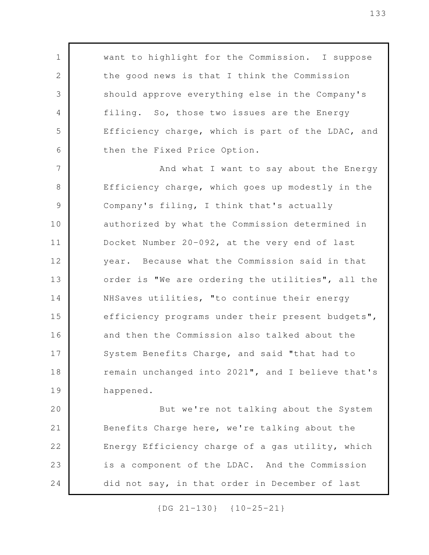want to highlight for the Commission. I suppose the good news is that I think the Commission should approve everything else in the Company's filing. So, those two issues are the Energy Efficiency charge, which is part of the LDAC, and then the Fixed Price Option.

1

2

3

4

5

6

And what I want to say about the Energy Efficiency charge, which goes up modestly in the Company's filing, I think that's actually authorized by what the Commission determined in Docket Number 20-092, at the very end of last year. Because what the Commission said in that order is "We are ordering the utilities", all the NHSaves utilities, "to continue their energy efficiency programs under their present budgets", and then the Commission also talked about the System Benefits Charge, and said "that had to remain unchanged into 2021", and I believe that's happened. 7 8 9 10 11 12 13 14 15 16 17 18 19

But we're not talking about the System Benefits Charge here, we're talking about the Energy Efficiency charge of a gas utility, which is a component of the LDAC. And the Commission did not say, in that order in December of last 20 21 22 23 24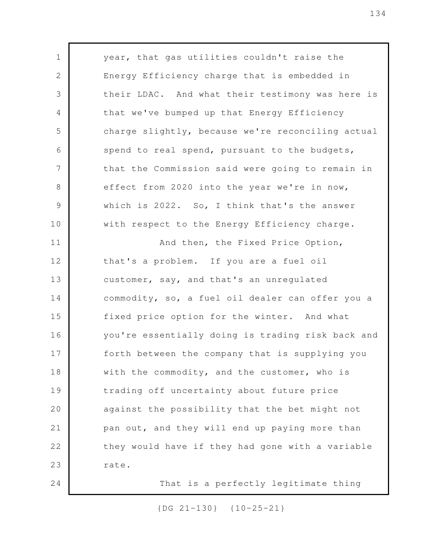year, that gas utilities couldn't raise the Energy Efficiency charge that is embedded in their LDAC. And what their testimony was here is that we've bumped up that Energy Efficiency charge slightly, because we're reconciling actual spend to real spend, pursuant to the budgets, that the Commission said were going to remain in effect from 2020 into the year we're in now, which is 2022. So, I think that's the answer with respect to the Energy Efficiency charge. And then, the Fixed Price Option, that's a problem. If you are a fuel oil customer, say, and that's an unregulated commodity, so, a fuel oil dealer can offer you a fixed price option for the winter. And what you're essentially doing is trading risk back and forth between the company that is supplying you with the commodity, and the customer, who is trading off uncertainty about future price against the possibility that the bet might not pan out, and they will end up paying more than they would have if they had gone with a variable rate. That is a perfectly legitimate thing 1 2 3 4 5 6 7 8 9 10 11 12 13 14 15 16 17 18 19 20 21 22 23 24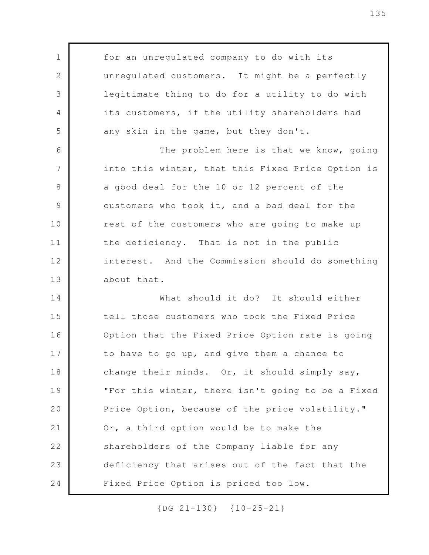for an unregulated company to do with its unregulated customers. It might be a perfectly legitimate thing to do for a utility to do with its customers, if the utility shareholders had any skin in the game, but they don't.

1

2

3

4

5

The problem here is that we know, going into this winter, that this Fixed Price Option is a good deal for the 10 or 12 percent of the customers who took it, and a bad deal for the rest of the customers who are going to make up the deficiency. That is not in the public interest. And the Commission should do something about that. 6 7 8 9 10 11 12 13

What should it do? It should either tell those customers who took the Fixed Price Option that the Fixed Price Option rate is going to have to go up, and give them a chance to change their minds. Or, it should simply say, "For this winter, there isn't going to be a Fixed Price Option, because of the price volatility." Or, a third option would be to make the shareholders of the Company liable for any deficiency that arises out of the fact that the Fixed Price Option is priced too low. 14 15 16 17 18 19 20 21 22 23 24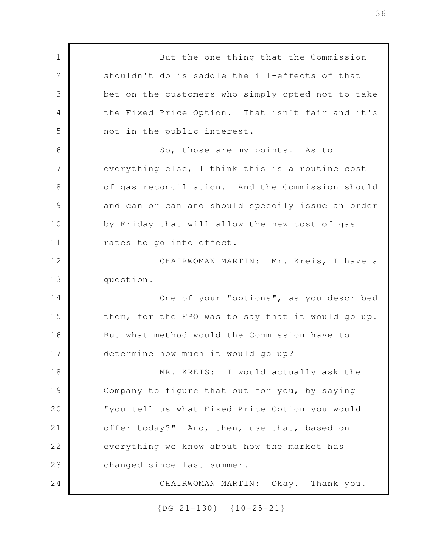But the one thing that the Commission shouldn't do is saddle the ill-effects of that bet on the customers who simply opted not to take the Fixed Price Option. That isn't fair and it's not in the public interest. So, those are my points. As to everything else, I think this is a routine cost of gas reconciliation. And the Commission should and can or can and should speedily issue an order by Friday that will allow the new cost of gas rates to go into effect. CHAIRWOMAN MARTIN: Mr. Kreis, I have a question. One of your "options", as you described them, for the FPO was to say that it would go up. But what method would the Commission have to determine how much it would go up? MR. KREIS: I would actually ask the Company to figure that out for you, by saying "you tell us what Fixed Price Option you would offer today?" And, then, use that, based on everything we know about how the market has changed since last summer. CHAIRWOMAN MARTIN: Okay. Thank you. 1 2 3 4 5 6 7 8 9 10 11 12 13 14 15 16 17 18 19 20 21 22 23 24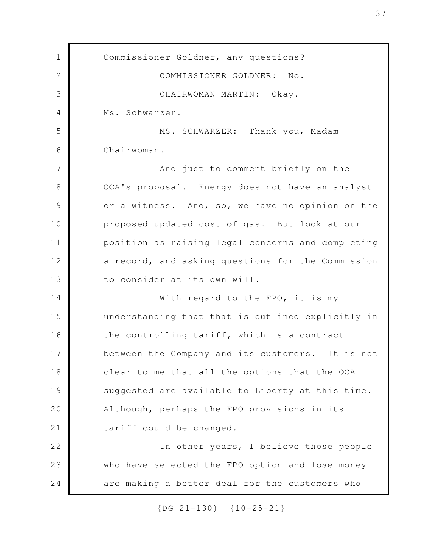Commissioner Goldner, any questions? COMMISSIONER GOLDNER: No. CHAIRWOMAN MARTIN: Okay. Ms. Schwarzer. MS. SCHWARZER: Thank you, Madam Chairwoman. And just to comment briefly on the OCA's proposal. Energy does not have an analyst or a witness. And, so, we have no opinion on the proposed updated cost of gas. But look at our position as raising legal concerns and completing a record, and asking questions for the Commission to consider at its own will. With regard to the FPO, it is my understanding that that is outlined explicitly in the controlling tariff, which is a contract between the Company and its customers. It is not clear to me that all the options that the OCA suggested are available to Liberty at this time. Although, perhaps the FPO provisions in its tariff could be changed. In other years, I believe those people who have selected the FPO option and lose money are making a better deal for the customers who 1 2 3 4 5 6 7 8 9 10 11 12 13 14 15 16 17 18 19 20 21 22 23 24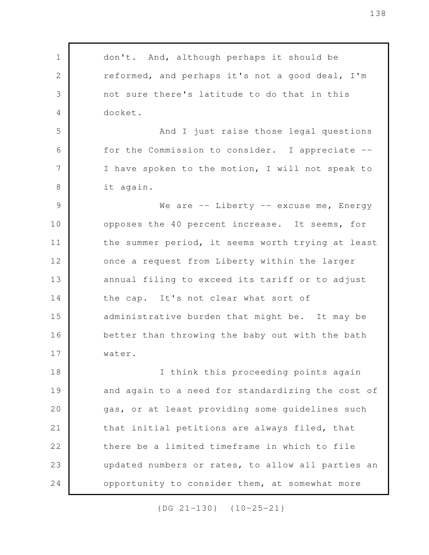don't. And, although perhaps it should be reformed, and perhaps it's not a good deal, I'm not sure there's latitude to do that in this docket. And I just raise those legal questions for the Commission to consider. I appreciate -- I have spoken to the motion, I will not speak to it again. We are  $--$  Liberty  $--$  excuse me, Energy opposes the 40 percent increase. It seems, for the summer period, it seems worth trying at least once a request from Liberty within the larger annual filing to exceed its tariff or to adjust the cap. It's not clear what sort of administrative burden that might be. It may be better than throwing the baby out with the bath water. I think this proceeding points again and again to a need for standardizing the cost of gas, or at least providing some guidelines such that initial petitions are always filed, that there be a limited timeframe in which to file updated numbers or rates, to allow all parties an opportunity to consider them, at somewhat more 1 2 3 4 5 6 7 8 9 10 11 12 13 14 15 16 17 18 19 20 21 22 23 24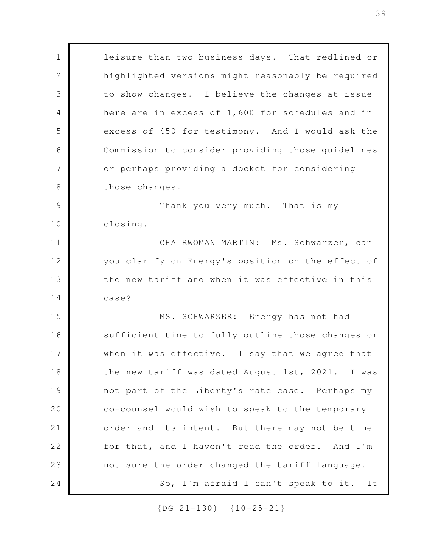leisure than two business days. That redlined or highlighted versions might reasonably be required to show changes. I believe the changes at issue here are in excess of 1,600 for schedules and in excess of 450 for testimony. And I would ask the Commission to consider providing those guidelines or perhaps providing a docket for considering those changes. Thank you very much. That is my closing. CHAIRWOMAN MARTIN: Ms. Schwarzer, can you clarify on Energy's position on the effect of the new tariff and when it was effective in this case? MS. SCHWARZER: Energy has not had sufficient time to fully outline those changes or when it was effective. I say that we agree that the new tariff was dated August 1st, 2021. I was not part of the Liberty's rate case. Perhaps my co-counsel would wish to speak to the temporary order and its intent. But there may not be time for that, and I haven't read the order. And I'm not sure the order changed the tariff language. So, I'm afraid I can't speak to it. It 1 2 3 4 5 6 7 8 9 10 11 12 13 14 15 16 17 18 19 20 21 22 23 24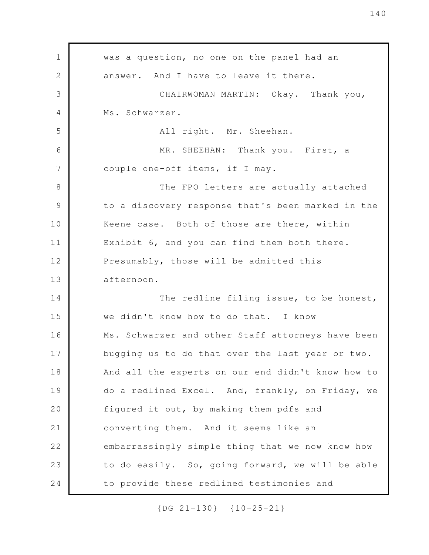was a question, no one on the panel had an answer. And I have to leave it there. CHAIRWOMAN MARTIN: Okay. Thank you, Ms. Schwarzer. All right. Mr. Sheehan. MR. SHEEHAN: Thank you. First, a couple one-off items, if I may. The FPO letters are actually attached to a discovery response that's been marked in the Keene case. Both of those are there, within Exhibit 6, and you can find them both there. Presumably, those will be admitted this afternoon. The redline filing issue, to be honest, we didn't know how to do that. I know Ms. Schwarzer and other Staff attorneys have been bugging us to do that over the last year or two. And all the experts on our end didn't know how to do a redlined Excel. And, frankly, on Friday, we figured it out, by making them pdfs and converting them. And it seems like an embarrassingly simple thing that we now know how to do easily. So, going forward, we will be able to provide these redlined testimonies and 1 2 3 4 5 6 7 8 9 10 11 12 13 14 15 16 17 18 19 20 21 22 23 24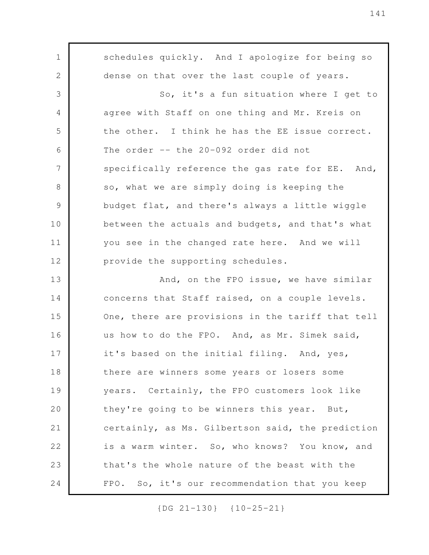schedules quickly. And I apologize for being so dense on that over the last couple of years. So, it's a fun situation where I get to agree with Staff on one thing and Mr. Kreis on the other. I think he has the EE issue correct. The order -- the 20-092 order did not specifically reference the gas rate for EE. And, so, what we are simply doing is keeping the budget flat, and there's always a little wiggle between the actuals and budgets, and that's what you see in the changed rate here. And we will provide the supporting schedules. And, on the FPO issue, we have similar concerns that Staff raised, on a couple levels. One, there are provisions in the tariff that tell us how to do the FPO. And, as Mr. Simek said, it's based on the initial filing. And, yes, there are winners some years or losers some years. Certainly, the FPO customers look like they're going to be winners this year. But, certainly, as Ms. Gilbertson said, the prediction is a warm winter. So, who knows? You know, and that's the whole nature of the beast with the FPO. So, it's our recommendation that you keep 1 2 3 4 5 6 7 8 9 10 11 12 13 14 15 16 17 18 19 20 21 22 23 24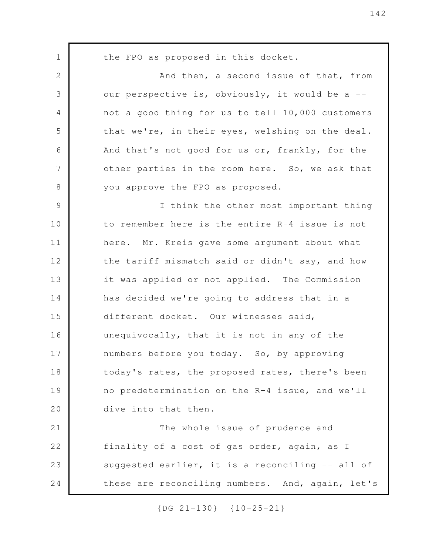the FPO as proposed in this docket. And then, a second issue of that, from our perspective is, obviously, it would be a  $$ not a good thing for us to tell 10,000 customers that we're, in their eyes, welshing on the deal. And that's not good for us or, frankly, for the other parties in the room here. So, we ask that you approve the FPO as proposed. I think the other most important thing to remember here is the entire R-4 issue is not here. Mr. Kreis gave some argument about what the tariff mismatch said or didn't say, and how it was applied or not applied. The Commission has decided we're going to address that in a different docket. Our witnesses said, unequivocally, that it is not in any of the numbers before you today. So, by approving today's rates, the proposed rates, there's been no predetermination on the R-4 issue, and we'll dive into that then. The whole issue of prudence and finality of a cost of gas order, again, as I suggested earlier, it is a reconciling -- all of these are reconciling numbers. And, again, let's 1 2 3 4 5 6 7 8 9 10 11 12 13 14 15 16 17 18 19 20 21 22 23 24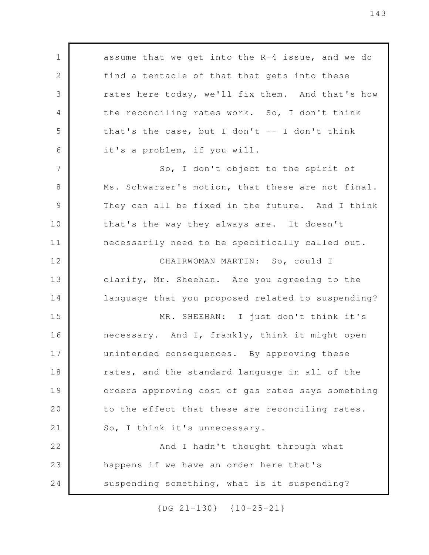assume that we get into the R-4 issue, and we do find a tentacle of that that gets into these rates here today, we'll fix them. And that's how the reconciling rates work. So, I don't think that's the case, but I don't  $-$ - I don't think it's a problem, if you will. So, I don't object to the spirit of Ms. Schwarzer's motion, that these are not final. They can all be fixed in the future. And I think that's the way they always are. It doesn't necessarily need to be specifically called out. CHAIRWOMAN MARTIN: So, could I clarify, Mr. Sheehan. Are you agreeing to the language that you proposed related to suspending? MR. SHEEHAN: I just don't think it's necessary. And I, frankly, think it might open unintended consequences. By approving these rates, and the standard language in all of the orders approving cost of gas rates says something to the effect that these are reconciling rates. So, I think it's unnecessary. And I hadn't thought through what happens if we have an order here that's suspending something, what is it suspending? 1 2 3 4 5 6 7 8 9 10 11 12 13 14 15 16 17 18 19 20 21 22 23 24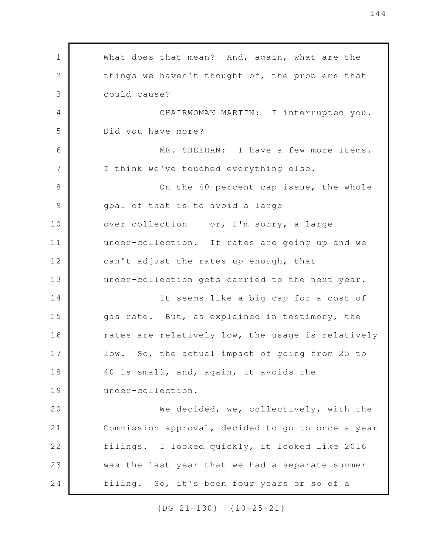What does that mean? And, again, what are the things we haven't thought of, the problems that could cause? CHAIRWOMAN MARTIN: I interrupted you. Did you have more? MR. SHEEHAN: I have a few more items. I think we've touched everything else. On the 40 percent cap issue, the whole goal of that is to avoid a large over-collection -- or, I'm sorry, a large under-collection. If rates are going up and we can't adjust the rates up enough, that under-collection gets carried to the next year. It seems like a big cap for a cost of gas rate. But, as explained in testimony, the rates are relatively low, the usage is relatively low. So, the actual impact of going from 25 to 40 is small, and, again, it avoids the under-collection. We decided, we, collectively, with the Commission approval, decided to go to once-a-year filings. I looked quickly, it looked like 2016 was the last year that we had a separate summer filing. So, it's been four years or so of a 1 2 3 4 5 6 7 8 9 10 11 12 13 14 15 16 17 18 19 20 21 22 23 24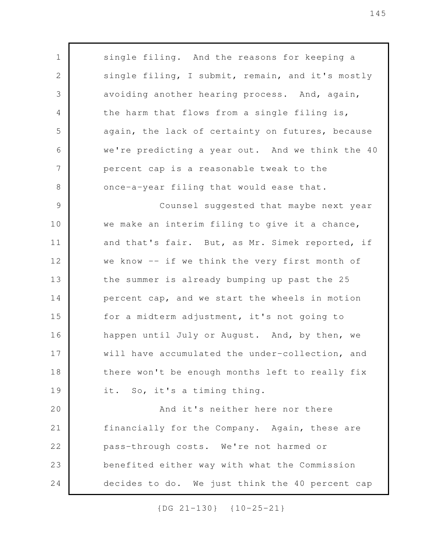single filing. And the reasons for keeping a single filing, I submit, remain, and it's mostly avoiding another hearing process. And, again, the harm that flows from a single filing is, again, the lack of certainty on futures, because we're predicting a year out. And we think the 40 percent cap is a reasonable tweak to the once-a-year filing that would ease that. Counsel suggested that maybe next year we make an interim filing to give it a chance, and that's fair. But, as Mr. Simek reported, if we know -- if we think the very first month of the summer is already bumping up past the 25 percent cap, and we start the wheels in motion for a midterm adjustment, it's not going to happen until July or August. And, by then, we will have accumulated the under-collection, and there won't be enough months left to really fix it. So, it's a timing thing. And it's neither here nor there financially for the Company. Again, these are pass-through costs. We're not harmed or benefited either way with what the Commission decides to do. We just think the 40 percent cap 1 2 3 4 5 6 7 8 9 10 11 12 13 14 15 16 17 18 19 20 21 22 23 24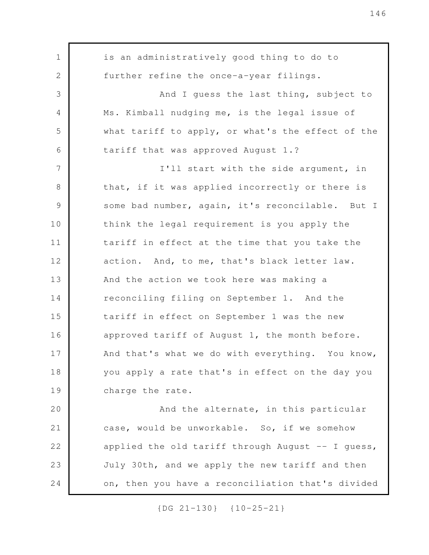is an administratively good thing to do to further refine the once-a-year filings. And I guess the last thing, subject to Ms. Kimball nudging me, is the legal issue of what tariff to apply, or what's the effect of the tariff that was approved August 1.? I'll start with the side argument, in that, if it was applied incorrectly or there is some bad number, again, it's reconcilable. But I think the legal requirement is you apply the tariff in effect at the time that you take the action. And, to me, that's black letter law. And the action we took here was making a reconciling filing on September 1. And the tariff in effect on September 1 was the new approved tariff of August 1, the month before. And that's what we do with everything. You know, you apply a rate that's in effect on the day you charge the rate. And the alternate, in this particular case, would be unworkable. So, if we somehow applied the old tariff through August  $-$ - I guess, July 30th, and we apply the new tariff and then on, then you have a reconciliation that's divided 1 2 3 4 5 6 7 8 9 10 11 12 13 14 15 16 17 18 19 20 21 22 23 24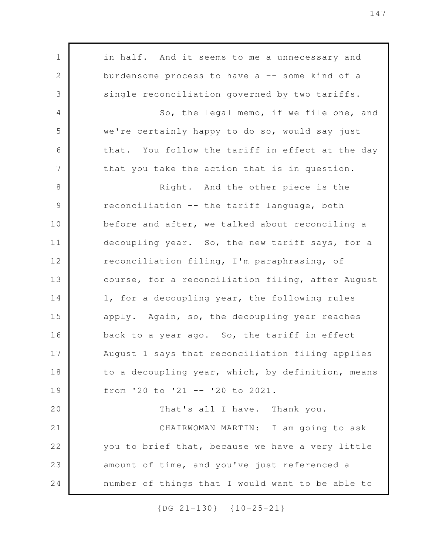in half. And it seems to me a unnecessary and burdensome process to have  $a$  -- some kind of a single reconciliation governed by two tariffs. So, the legal memo, if we file one, and we're certainly happy to do so, would say just that. You follow the tariff in effect at the day that you take the action that is in question. Right. And the other piece is the reconciliation -- the tariff language, both before and after, we talked about reconciling a decoupling year. So, the new tariff says, for a reconciliation filing, I'm paraphrasing, of course, for a reconciliation filing, after August 1, for a decoupling year, the following rules apply. Again, so, the decoupling year reaches back to a year ago. So, the tariff in effect August 1 says that reconciliation filing applies to a decoupling year, which, by definition, means from '20 to '21 -- '20 to 2021. That's all I have. Thank you. CHAIRWOMAN MARTIN: I am going to ask you to brief that, because we have a very little amount of time, and you've just referenced a number of things that I would want to be able to 1 2 3 4 5 6 7 8 9 10 11 12 13 14 15 16 17 18 19 20 21 22 23 24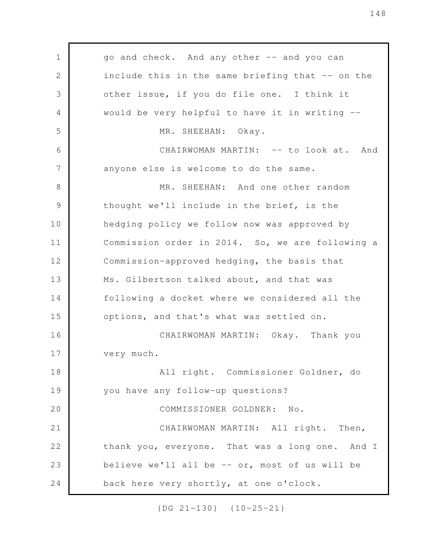go and check. And any other -- and you can include this in the same briefing that -- on the other issue, if you do file one. I think it would be very helpful to have it in writing -- MR. SHEEHAN: Okay. CHAIRWOMAN MARTIN: -- to look at. And anyone else is welcome to do the same. MR. SHEEHAN: And one other random thought we'll include in the brief, is the hedging policy we follow now was approved by Commission order in 2014. So, we are following a Commission-approved hedging, the basis that Ms. Gilbertson talked about, and that was following a docket where we considered all the options, and that's what was settled on. CHAIRWOMAN MARTIN: Okay. Thank you very much. All right. Commissioner Goldner, do you have any follow-up questions? COMMISSIONER GOLDNER: No. CHAIRWOMAN MARTIN: All right. Then, thank you, everyone. That was a long one. And I believe we'll all be -- or, most of us will be back here very shortly, at one o'clock. 1 2 3 4 5 6 7 8 9 10 11 12 13 14 15 16 17 18 19 20 21 22 23 24